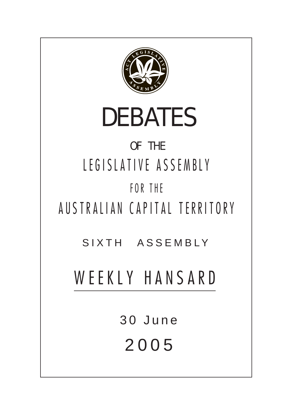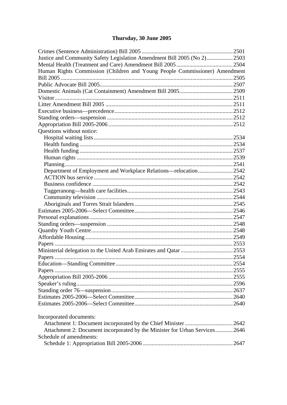# Thursday, 30 June 2005

| Justice and Community Safety Legislation Amendment Bill 2005 (No 2)2503     |  |
|-----------------------------------------------------------------------------|--|
|                                                                             |  |
| Human Rights Commission (Children and Young People Commissioner) Amendment  |  |
|                                                                             |  |
|                                                                             |  |
|                                                                             |  |
|                                                                             |  |
|                                                                             |  |
|                                                                             |  |
|                                                                             |  |
|                                                                             |  |
| Questions without notice:                                                   |  |
|                                                                             |  |
|                                                                             |  |
|                                                                             |  |
|                                                                             |  |
|                                                                             |  |
| Department of Employment and Workplace Relations—relocation2542             |  |
|                                                                             |  |
|                                                                             |  |
|                                                                             |  |
|                                                                             |  |
|                                                                             |  |
|                                                                             |  |
|                                                                             |  |
|                                                                             |  |
|                                                                             |  |
|                                                                             |  |
|                                                                             |  |
|                                                                             |  |
|                                                                             |  |
|                                                                             |  |
|                                                                             |  |
|                                                                             |  |
|                                                                             |  |
|                                                                             |  |
|                                                                             |  |
|                                                                             |  |
| Incorporated documents:                                                     |  |
|                                                                             |  |
| Attachment 2: Document incorporated by the Minister for Urban Services 2646 |  |
| Schedule of amendments:                                                     |  |
|                                                                             |  |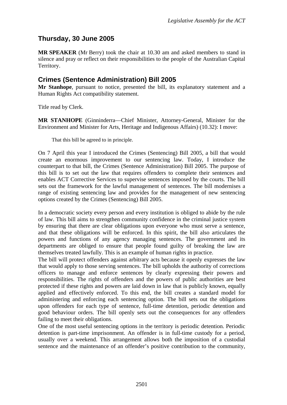# <span id="page-2-0"></span>**Thursday, 30 June 2005**

**MR SPEAKER** (Mr Berry) took the chair at 10.30 am and asked members to stand in silence and pray or reflect on their responsibilities to the people of the Australian Capital Territory.

# **Crimes (Sentence Administration) Bill 2005**

**Mr Stanhope**, pursuant to notice, presented the bill, its explanatory statement and a Human Rights Act compatibility statement.

Title read by Clerk.

**MR STANHOPE** (Ginninderra—Chief Minister, Attorney-General, Minister for the Environment and Minister for Arts, Heritage and Indigenous Affairs) (10.32): I move:

That this bill be agreed to in principle.

On 7 April this year I introduced the Crimes (Sentencing) Bill 2005, a bill that would create an enormous improvement to our sentencing law. Today, I introduce the counterpart to that bill, the Crimes (Sentence Administration) Bill 2005. The purpose of this bill is to set out the law that requires offenders to complete their sentences and enables ACT Corrective Services to supervise sentences imposed by the courts. The bill sets out the framework for the lawful management of sentences. The bill modernises a range of existing sentencing law and provides for the management of new sentencing options created by the Crimes (Sentencing) Bill 2005.

In a democratic society every person and every institution is obliged to abide by the rule of law. This bill aims to strengthen community confidence in the criminal justice system by ensuring that there are clear obligations upon everyone who must serve a sentence, and that these obligations will be enforced. In this spirit, the bill also articulates the powers and functions of any agency managing sentences. The government and its departments are obliged to ensure that people found guilty of breaking the law are themselves treated lawfully. This is an example of human rights in practice.

The bill will protect offenders against arbitrary acts because it openly expresses the law that would apply to those serving sentences. The bill upholds the authority of corrections officers to manage and enforce sentences by clearly expressing their powers and responsibilities. The rights of offenders and the powers of public authorities are best protected if these rights and powers are laid down in law that is publicly known, equally applied and effectively enforced. To this end, the bill creates a standard model for administering and enforcing each sentencing option. The bill sets out the obligations upon offenders for each type of sentence, full-time detention, periodic detention and good behaviour orders. The bill openly sets out the consequences for any offenders failing to meet their obligations.

One of the most useful sentencing options in the territory is periodic detention. Periodic detention is part-time imprisonment. An offender is in full-time custody for a period, usually over a weekend. This arrangement allows both the imposition of a custodial sentence and the maintenance of an offender's positive contribution to the community,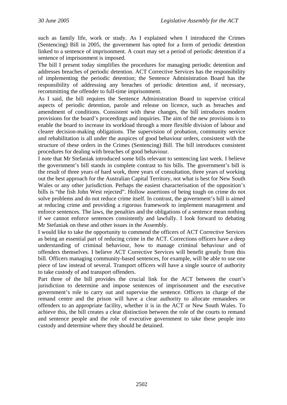such as family life, work or study. As I explained when I introduced the Crimes (Sentencing) Bill in 2005, the government has opted for a form of periodic detention linked to a sentence of imprisonment. A court may set a period of periodic detention if a sentence of imprisonment is imposed.

The bill I present today simplifies the procedures for managing periodic detention and addresses breaches of periodic detention. ACT Corrective Services has the responsibility of implementing the periodic detention; the Sentence Administration Board has the responsibility of addressing any breaches of periodic detention and, if necessary, recommitting the offender to full-time imprisonment.

As I said, the bill requires the Sentence Administration Board to supervise critical aspects of periodic detention, parole and release on licence, such as breaches and amendment of conditions. Consistent with these changes, the bill introduces modern provisions for the board's proceedings and inquiries. The aim of the new provisions is to enable the board to increase its workload through a more flexible division of labour and clearer decision-making obligations. The supervision of probation, community service and rehabilitation is all under the auspices of good behaviour orders, consistent with the structure of these orders in the Crimes (Sentencing) Bill. The bill introduces consistent procedures for dealing with breaches of good behaviour.

I note that Mr Stefaniak introduced some bills relevant to sentencing last week. I believe the government's bill stands in complete contrast to his bills. The government's bill is the result of three years of hard work, three years of consultation, three years of working out the best approach for the Australian Capital Territory, not what is best for New South Wales or any other jurisdiction. Perhaps the easiest characterisation of the opposition's bills is "the fish John West rejected". Hollow assertions of being tough on crime do not solve problems and do not reduce crime itself. In contrast, the government's bill is aimed at reducing crime and providing a rigorous framework to implement management and enforce sentences. The laws, the penalties and the obligations of a sentence mean nothing if we cannot enforce sentences consistently and lawfully. I look forward to debating Mr Stefaniak on these and other issues in the Assembly.

I would like to take the opportunity to commend the officers of ACT Corrective Services as being an essential part of reducing crime in the ACT. Corrections officers have a deep understanding of criminal behaviour, how to manage criminal behaviour and of offenders themselves. I believe ACT Corrective Services will benefit greatly from this bill. Officers managing community-based sentences, for example, will be able to use one piece of law instead of several. Transport officers will have a single source of authority to take custody of and transport offenders.

Part three of the bill provides the crucial link for the ACT between the court's jurisdiction to determine and impose sentences of imprisonment and the executive government's role to carry out and supervise the sentence. Officers in charge of the remand centre and the prison will have a clear authority to allocate remandees or offenders to an appropriate facility, whether it is in the ACT or New South Wales. To achieve this, the bill creates a clear distinction between the role of the courts to remand and sentence people and the role of executive government to take these people into custody and determine where they should be detained.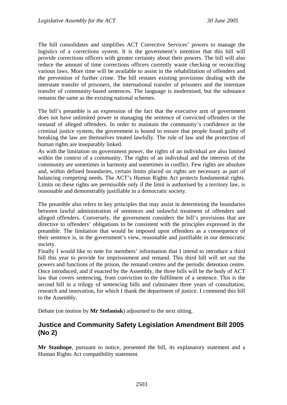<span id="page-4-0"></span>The bill consolidates and simplifies ACT Corrective Services' powers to manage the logistics of a corrections system. It is the government's intention that this bill will provide corrections officers with greater certainty about their powers. The bill will also reduce the amount of time corrections officers currently waste checking or reconciling various laws. More time will be available to assist in the rehabilitation of offenders and the prevention of further crime. The bill restates existing provisions dealing with the interstate transfer of prisoners, the international transfer of prisoners and the interstate transfer of community-based sentences. The language is modernised, but the substance remains the same as the existing national schemes.

The bill's preamble is an expression of the fact that the executive arm of government does not have unlimited power in managing the sentence of convicted offenders or the remand of alleged offenders. In order to maintain the community's confidence in the criminal justice system, the government is bound to ensure that people found guilty of breaking the law are themselves treated lawfully. The rule of law and the protection of human rights are inseparably linked.

As with the limitation on government power, the rights of an individual are also limited within the context of a community. The rights of an individual and the interests of the community are sometimes in harmony and sometimes in conflict. Few rights are absolute and, within defined boundaries, certain limits placed on rights are necessary as part of balancing competing needs. The ACT's Human Rights Act protects fundamental rights. Limits on these rights are permissible only if the limit is authorised by a territory law, is reasonable and demonstrably justifiable in a democratic society.

The preamble also refers to key principles that may assist in determining the boundaries between lawful administration of sentences and unlawful treatment of offenders and alleged offenders. Conversely, the government considers the bill's provisions that are directive to offenders' obligations to be consistent with the principles expressed in the preamble. The limitation that would be imposed upon offenders as a consequence of their sentence is, in the government's view, reasonable and justifiable in our democratic society.

Finally I would like to note for members' information that I intend to introduce a third bill this year to provide for imprisonment and remand. This third bill will set out the powers and functions of the prison, the remand centres and the periodic detention centre. Once introduced, and if enacted by the Assembly, the three bills will be the body of ACT law that covers sentencing, from conviction to the fulfilment of a sentence. This is the second bill in a trilogy of sentencing bills and culminates three years of consultation, research and innovation, for which I thank the department of justice. I commend this bill to the Assembly.

Debate (on motion by **Mr Stefaniak**) adjourned to the next sitting.

#### **Justice and Community Safety Legislation Amendment Bill 2005 (No 2)**

**Mr Stanhope**, pursuant to notice, presented the bill, its explanatory statement and a Human Rights Act compatibility statement.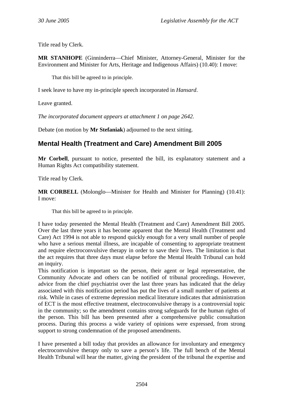<span id="page-5-0"></span>Title read by Clerk.

**MR STANHOPE** (Ginninderra—Chief Minister, Attorney-General, Minister for the Environment and Minister for Arts, Heritage and Indigenous Affairs) (10.40): I move:

That this bill be agreed to in principle.

I seek leave to have my in-principle speech incorporated in *Hansard*.

Leave granted.

*The incorporated document appears at attachment 1 on page 2642.* 

Debate (on motion by **Mr Stefaniak**) adjourned to the next sitting.

### **Mental Health (Treatment and Care) Amendment Bill 2005**

**Mr Corbell**, pursuant to notice, presented the bill, its explanatory statement and a Human Rights Act compatibility statement.

Title read by Clerk.

**MR CORBELL** (Molonglo—Minister for Health and Minister for Planning) (10.41): I move:

That this bill be agreed to in principle.

I have today presented the Mental Health (Treatment and Care) Amendment Bill 2005. Over the last three years it has become apparent that the Mental Health (Treatment and Care) Act 1994 is not able to respond quickly enough for a very small number of people who have a serious mental illness, are incapable of consenting to appropriate treatment and require electroconvulsive therapy in order to save their lives. The limitation is that the act requires that three days must elapse before the Mental Health Tribunal can hold an inquiry.

This notification is important so the person, their agent or legal representative, the Community Advocate and others can be notified of tribunal proceedings. However, advice from the chief psychiatrist over the last three years has indicated that the delay associated with this notification period has put the lives of a small number of patients at risk. While in cases of extreme depression medical literature indicates that administration of ECT is the most effective treatment, electroconvulsive therapy is a controversial topic in the community; so the amendment contains strong safeguards for the human rights of the person. This bill has been presented after a comprehensive public consultation process. During this process a wide variety of opinions were expressed, from strong support to strong condemnation of the proposed amendments.

I have presented a bill today that provides an allowance for involuntary and emergency electroconvulsive therapy only to save a person's life. The full bench of the Mental Health Tribunal will hear the matter, giving the president of the tribunal the expertise and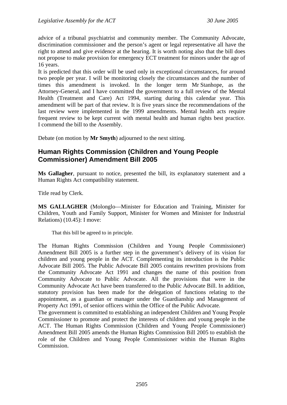<span id="page-6-0"></span>advice of a tribunal psychiatrist and community member. The Community Advocate, discrimination commissioner and the person's agent or legal representative all have the right to attend and give evidence at the hearing. It is worth noting also that the bill does not propose to make provision for emergency ECT treatment for minors under the age of 16 years.

It is predicted that this order will be used only in exceptional circumstances, for around two people per year. I will be monitoring closely the circumstances and the number of times this amendment is invoked. In the longer term Mr Stanhope, as the Attorney-General, and I have committed the government to a full review of the Mental Health (Treatment and Care) Act 1994, starting during this calendar year. This amendment will be part of that review. It is five years since the recommendations of the last review were implemented in the 1999 amendments. Mental health acts require frequent review to be kept current with mental health and human rights best practice. I commend the bill to the Assembly.

Debate (on motion by **Mr Smyth**) adjourned to the next sitting.

### **Human Rights Commission (Children and Young People Commissioner) Amendment Bill 2005**

**Ms Gallagher**, pursuant to notice, presented the bill, its explanatory statement and a Human Rights Act compatibility statement.

Title read by Clerk.

**MS GALLAGHER** (Molonglo—Minister for Education and Training, Minister for Children, Youth and Family Support, Minister for Women and Minister for Industrial Relations) (10.45): I move:

That this bill be agreed to in principle.

The Human Rights Commission (Children and Young People Commissioner) Amendment Bill 2005 is a further step in the government's delivery of its vision for children and young people in the ACT. Complementing its introduction is the Public Advocate Bill 2005. The Public Advocate Bill 2005 contains rewritten provisions from the Community Advocate Act 1991 and changes the name of this position from Community Advocate to Public Advocate. All the provisions that were in the Community Advocate Act have been transferred to the Public Advocate Bill. In addition, statutory provision has been made for the delegation of functions relating to the appointment, as a guardian or manager under the Guardianship and Management of Property Act 1991, of senior officers within the Office of the Public Advocate.

The government is committed to establishing an independent Children and Young People Commissioner to promote and protect the interests of children and young people in the ACT. The Human Rights Commission (Children and Young People Commissioner) Amendment Bill 2005 amends the Human Rights Commission Bill 2005 to establish the role of the Children and Young People Commissioner within the Human Rights Commission.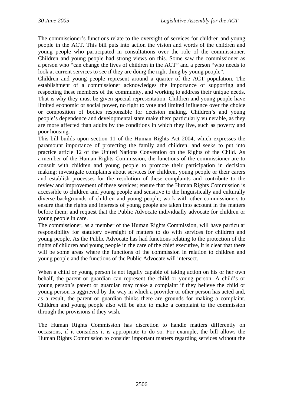The commissioner's functions relate to the oversight of services for children and young people in the ACT. This bill puts into action the vision and words of the children and young people who participated in consultations over the role of the commissioner. Children and young people had strong views on this. Some saw the commissioner as a person who "can change the lives of children in the ACT" and a person "who needs to look at current services to see if they are doing the right thing by young people".

Children and young people represent around a quarter of the ACT population. The establishment of a commissioner acknowledges the importance of supporting and respecting these members of the community, and working to address their unique needs. That is why they must be given special representation. Children and young people have limited economic or social power, no right to vote and limited influence over the choice or composition of bodies responsible for decision making. Children's and young people's dependence and developmental state make them particularly vulnerable, as they are more affected than adults by the conditions in which they live, such as poverty and poor housing.

This bill builds upon section 11 of the Human Rights Act 2004, which expresses the paramount importance of protecting the family and children, and seeks to put into practice article 12 of the United Nations Convention on the Rights of the Child. As a member of the Human Rights Commission, the functions of the commissioner are to consult with children and young people to promote their participation in decision making; investigate complaints about services for children, young people or their carers and establish processes for the resolution of these complaints and contribute to the review and improvement of these services; ensure that the Human Rights Commission is accessible to children and young people and sensitive to the linguistically and culturally diverse backgrounds of children and young people; work with other commissioners to ensure that the rights and interests of young people are taken into account in the matters before them; and request that the Public Advocate individually advocate for children or young people in care.

The commissioner, as a member of the Human Rights Commission, will have particular responsibility for statutory oversight of matters to do with services for children and young people. As the Public Advocate has had functions relating to the protection of the rights of children and young people in the care of the chief executive, it is clear that there will be some areas where the functions of the commission in relation to children and young people and the functions of the Public Advocate will intersect.

When a child or young person is not legally capable of taking action on his or her own behalf, the parent or guardian can represent the child or young person. A child's or young person's parent or guardian may make a complaint if they believe the child or young person is aggrieved by the way in which a provider or other person has acted and, as a result, the parent or guardian thinks there are grounds for making a complaint. Children and young people also will be able to make a complaint to the commission through the provisions if they wish.

The Human Rights Commission has discretion to handle matters differently on occasions, if it considers it is appropriate to do so. For example, the bill allows the Human Rights Commission to consider important matters regarding services without the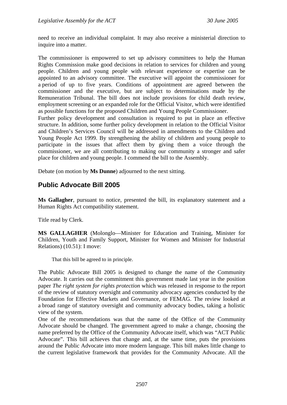<span id="page-8-0"></span>need to receive an individual complaint. It may also receive a ministerial direction to inquire into a matter.

The commissioner is empowered to set up advisory committees to help the Human Rights Commission make good decisions in relation to services for children and young people. Children and young people with relevant experience or expertise can be appointed to an advisory committee. The executive will appoint the commissioner for a period of up to five years. Conditions of appointment are agreed between the commissioner and the executive, but are subject to determinations made by the Remuneration Tribunal. The bill does not include provisions for child death review, employment screening or an expanded role for the Official Visitor, which were identified as possible functions for the proposed Children and Young People Commissioner.

Further policy development and consultation is required to put in place an effective structure. In addition, some further policy development in relation to the Official Visitor and Children's Services Council will be addressed in amendments to the Children and Young People Act 1999. By strengthening the ability of children and young people to participate in the issues that affect them by giving them a voice through the commissioner, we are all contributing to making our community a stronger and safer place for children and young people. I commend the bill to the Assembly.

Debate (on motion by **Ms Dunne**) adjourned to the next sitting.

#### **Public Advocate Bill 2005**

**Ms Gallagher**, pursuant to notice, presented the bill, its explanatory statement and a Human Rights Act compatibility statement.

Title read by Clerk.

**MS GALLAGHER** (Molonglo—Minister for Education and Training, Minister for Children, Youth and Family Support, Minister for Women and Minister for Industrial Relations) (10.51): I move:

That this bill be agreed to in principle.

The Public Advocate Bill 2005 is designed to change the name of the Community Advocate. It carries out the commitment this government made last year in the position paper *The right system for rights protection* which was released in response to the report of the review of statutory oversight and community advocacy agencies conducted by the Foundation for Effective Markets and Governance, or FEMAG. The review looked at a broad range of statutory oversight and community advocacy bodies, taking a holistic view of the system.

One of the recommendations was that the name of the Office of the Community Advocate should be changed. The government agreed to make a change, choosing the name preferred by the Office of the Community Advocate itself, which was "ACT Public Advocate". This bill achieves that change and, at the same time, puts the provisions around the Public Advocate into more modern language. This bill makes little change to the current legislative framework that provides for the Community Advocate. All the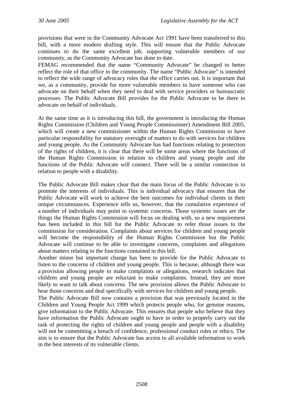provisions that were in the Community Advocate Act 1991 have been transferred to this bill, with a more modern drafting style. This will ensure that the Public Advocate continues to do the same excellent job, supporting vulnerable members of our community, as the Community Advocate has done to date.

FEMAG recommended that the name "Community Advocate" be changed to better reflect the role of that office in the community. The name "Public Advocate" is intended to reflect the wide range of advocacy roles that the office carries out. It is important that we, as a community, provide for more vulnerable members to have someone who can advocate on their behalf when they need to deal with service providers or bureaucratic processes. The Public Advocate Bill provides for the Public Advocate to be there to advocate on behalf of individuals.

At the same time as it is introducing this bill, the government is introducing the Human Rights Commission (Children and Young People Commissioner) Amendment Bill 2005, which will create a new commissioner within the Human Rights Commission to have particular responsibility for statutory oversight of matters to do with services for children and young people. As the Community Advocate has had functions relating to protection of the rights of children, it is clear that there will be some areas where the functions of the Human Rights Commission in relation to children and young people and the functions of the Public Advocate will connect. There will be a similar connection in relation to people with a disability.

The Public Advocate Bill makes clear that the main focus of the Public Advocate is to promote the interests of individuals. This is individual advocacy that ensures that the Public Advocate will work to achieve the best outcomes for individual clients in their unique circumstances. Experience tells us, however, that the cumulative experience of a number of individuals may point to systemic concerns. Those systemic issues are the things the Human Rights Commission will focus on dealing with, so a new requirement has been included in this bill for the Public Advocate to refer those issues to the commission for consideration. Complaints about services for children and young people will become the responsibility of the Human Rights Commission but the Public Advocate will continue to be able to investigate concerns, complaints and allegations about matters relating to the functions contained in this bill.

Another minor but important change has been to provide for the Public Advocate to listen to the concerns of children and young people. This is because, although there was a provision allowing people to make complaints or allegations, research indicates that children and young people are reluctant to make complaints. Instead, they are more likely to want to talk about concerns. The new provision allows the Public Advocate to hear those concerns and deal specifically with services for children and young people.

The Public Advocate Bill now contains a provision that was previously located in the Children and Young People Act 1999 which protects people who, for genuine reasons, give information to the Public Advocate. This ensures that people who believe that they have information the Public Advocate ought to have in order to properly carry out the task of protecting the rights of children and young people and people with a disability will not be committing a breach of confidence, professional conduct rules or ethics. The aim is to ensure that the Public Advocate has access to all available information to work in the best interests of its vulnerable clients.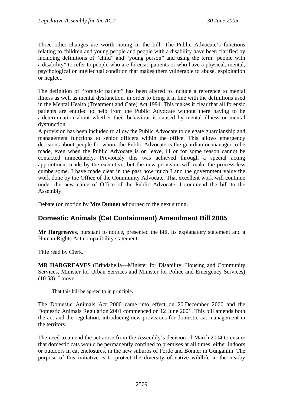<span id="page-10-0"></span>Three other changes are worth noting in the bill. The Public Advocate's functions relating to children and young people and people with a disability have been clarified by including definitions of "child" and "young person" and using the term "people with a disability" to refer to people who are forensic patients or who have a physical, mental, psychological or intellectual condition that makes them vulnerable to abuse, exploitation or neglect.

The definition of "forensic patient" has been altered to include a reference to mental illness as well as mental dysfunction, in order to bring it in line with the definitions used in the Mental Health (Treatment and Care) Act 1994. This makes it clear that all forensic patients are entitled to help from the Public Advocate without there having to be a determination about whether their behaviour is caused by mental illness or mental dysfunction.

A provision has been included to allow the Public Advocate to delegate guardianship and management functions to senior officers within the office. This allows emergency decisions about people for whom the Public Advocate is the guardian or manager to be made, even when the Public Advocate is on leave, ill or for some reason cannot be contacted immediately. Previously this was achieved through a special acting appointment made by the executive, but the new provision will make the process less cumbersome. I have made clear in the past how much I and the government value the work done by the Office of the Community Advocate. That excellent work will continue under the new name of Office of the Public Advocate. I commend the bill to the Assembly.

Debate (on motion by **Mrs Dunne**) adjourned to the next sitting.

### **Domestic Animals (Cat Containment) Amendment Bill 2005**

**Mr Hargreaves**, pursuant to notice, presented the bill, its explanatory statement and a Human Rights Act compatibility statement.

Title read by Clerk.

**MR HARGREAVES** (Brindabella—Minister for Disability, Housing and Community Services, Minister for Urban Services and Minister for Police and Emergency Services) (10.58): I move:

That this bill be agreed to in principle.

The Domestic Animals Act 2000 came into effect on 20 December 2000 and the Domestic Animals Regulation 2001 commenced on 12 June 2001. This bill amends both the act and the regulation, introducing new provisions for domestic cat management in the territory.

The need to amend the act arose from the Assembly's decision of March 2004 to ensure that domestic cats would be permanently confined to premises at all times, either indoors or outdoors in cat enclosures, in the new suburbs of Forde and Bonner in Gungahlin. The purpose of this initiative is to protect the diversity of native wildlife in the nearby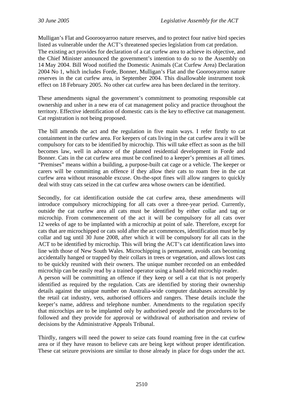Mulligan's Flat and Goorooyarroo nature reserves, and to protect four native bird species listed as vulnerable under the ACT's threatened species legislation from cat predation. The existing act provides for declaration of a cat curfew area to achieve its objective, and the Chief Minister announced the government's intention to do so to the Assembly on 14 May 2004. Bill Wood notified the Domestic Animals (Cat Curfew Area) Declaration 2004 No 1, which includes Forde, Bonner, Mulligan's Flat and the Goorooyarroo nature reserves in the cat curfew area, in September 2004. This disallowable instrument took effect on 18 February 2005. No other cat curfew area has been declared in the territory.

These amendments signal the government's commitment to promoting responsible cat ownership and usher in a new era of cat management policy and practice throughout the territory. Effective identification of domestic cats is the key to effective cat management. Cat registration is not being proposed.

The bill amends the act and the regulation in five main ways. I refer firstly to cat containment in the curfew area. For keepers of cats living in the cat curfew area it will be compulsory for cats to be identified by microchip. This will take effect as soon as the bill becomes law, well in advance of the planned residential development in Forde and Bonner. Cats in the cat curfew area must be confined to a keeper's premises at all times. "Premises" means within a building, a purpose-built cat cage or a vehicle. The keeper or carers will be committing an offence if they allow their cats to roam free in the cat curfew area without reasonable excuse. On-the-spot fines will allow rangers to quickly deal with stray cats seized in the cat curfew area whose owners can be identified.

Secondly, for cat identification outside the cat curfew area, these amendments will introduce compulsory microchipping for all cats over a three-year period. Currently, outside the cat curfew area all cats must be identified by either collar and tag or microchip. From commencement of the act it will be compulsory for all cats over 12 weeks of age to be implanted with a microchip at point of sale. Therefore, except for cats that are microchipped or cats sold after the act commences, identification must be by collar and tag until 30 June 2008, after which it will be compulsory for all cats in the ACT to be identified by microchip. This will bring the ACT's cat identification laws into line with those of New South Wales. Microchipping is permanent, avoids cats becoming accidentally hanged or trapped by their collars in trees or vegetation, and allows lost cats to be quickly reunited with their owners. The unique number recorded on an embedded microchip can be easily read by a trained operator using a hand-held microchip reader.

A person will be committing an offence if they keep or sell a cat that is not properly identified as required by the regulation. Cats are identified by storing their ownership details against the unique number on Australia-wide computer databases accessible by the retail cat industry, vets, authorised officers and rangers. These details include the keeper's name, address and telephone number. Amendments to the regulation specify that microchips are to be implanted only by authorised people and the procedures to be followed and they provide for approval or withdrawal of authorisation and review of decisions by the Administrative Appeals Tribunal.

Thirdly, rangers will need the power to seize cats found roaming free in the cat curfew area or if they have reason to believe cats are being kept without proper identification. These cat seizure provisions are similar to those already in place for dogs under the act.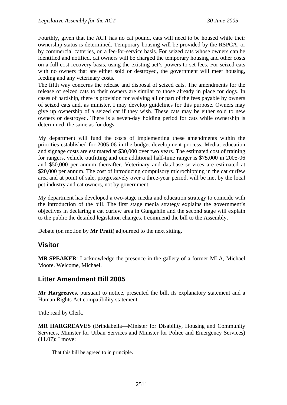<span id="page-12-0"></span>Fourthly, given that the ACT has no cat pound, cats will need to be housed while their ownership status is determined. Temporary housing will be provided by the RSPCA, or by commercial catteries, on a fee-for-service basis. For seized cats whose owners can be identified and notified, cat owners will be charged the temporary housing and other costs on a full cost-recovery basis, using the existing act's powers to set fees. For seized cats with no owners that are either sold or destroyed, the government will meet housing, feeding and any veterinary costs.

The fifth way concerns the release and disposal of seized cats. The amendments for the release of seized cats to their owners are similar to those already in place for dogs. In cases of hardship, there is provision for waiving all or part of the fees payable by owners of seized cats and, as minister, I may develop guidelines for this purpose. Owners may give up ownership of a seized cat if they wish. These cats may be either sold to new owners or destroyed. There is a seven-day holding period for cats while ownership is determined, the same as for dogs.

My department will fund the costs of implementing these amendments within the priorities established for 2005-06 in the budget development process. Media, education and signage costs are estimated at \$30,000 over two years. The estimated cost of training for rangers, vehicle outfitting and one additional half-time ranger is \$75,000 in 2005-06 and \$50,000 per annum thereafter. Veterinary and database services are estimated at \$20,000 per annum. The cost of introducing compulsory microchipping in the cat curfew area and at point of sale, progressively over a three-year period, will be met by the local pet industry and cat owners, not by government.

My department has developed a two-stage media and education strategy to coincide with the introduction of the bill. The first stage media strategy explains the government's objectives in declaring a cat curfew area in Gungahlin and the second stage will explain to the public the detailed legislation changes. I commend the bill to the Assembly.

Debate (on motion by **Mr Pratt**) adjourned to the next sitting.

### **Visitor**

**MR SPEAKER**: I acknowledge the presence in the gallery of a former MLA, Michael Moore. Welcome, Michael.

### **Litter Amendment Bill 2005**

**Mr Hargreaves**, pursuant to notice, presented the bill, its explanatory statement and a Human Rights Act compatibility statement.

Title read by Clerk.

**MR HARGREAVES** (Brindabella—Minister for Disability, Housing and Community Services, Minister for Urban Services and Minister for Police and Emergency Services) (11.07): I move:

That this bill be agreed to in principle.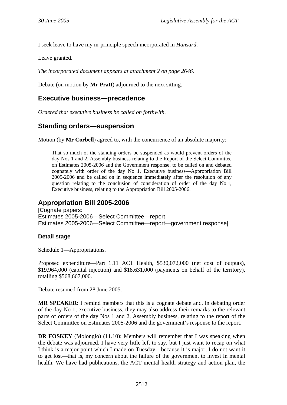<span id="page-13-0"></span>I seek leave to have my in-principle speech incorporated in *Hansard*.

Leave granted.

*The incorporated document appears at attachment 2 on page 2646.* 

Debate (on motion by **Mr Pratt**) adjourned to the next sitting.

#### **Executive business—precedence**

*Ordered that executive business be called on forthwith.*

### **Standing orders—suspension**

Motion (by **Mr Corbell**) agreed to, with the concurrence of an absolute majority:

That so much of the standing orders be suspended as would prevent orders of the day Nos 1 and 2, Assembly business relating to the Report of the Select Committee on Estimates 2005-2006 and the Government response, to be called on and debated cognately with order of the day No 1, Executive business—Appropriation Bill 2005-2006 and be called on in sequence immediately after the resolution of any question relating to the conclusion of consideration of order of the day No 1, Executive business, relating to the Appropriation Bill 2005-2006.

### **Appropriation Bill 2005-2006**

[Cognate papers: Estimates 2005-2006—Select Committee—report Estimates 2005-2006—Select Committee—report—government response]

#### **Detail stage**

Schedule 1—Appropriations.

Proposed expenditure—Part 1.11 ACT Health, \$530,072,000 (net cost of outputs), \$19,964,000 (capital injection) and \$18,631,000 (payments on behalf of the territory), totalling \$568,667,000.

Debate resumed from 28 June 2005.

**MR SPEAKER**: I remind members that this is a cognate debate and, in debating order of the day No 1, executive business, they may also address their remarks to the relevant parts of orders of the day Nos 1 and 2, Assembly business, relating to the report of the Select Committee on Estimates 2005-2006 and the government's response to the report.

**DR FOSKEY** (Molonglo) (11.10): Members will remember that I was speaking when the debate was adjourned. I have very little left to say, but I just want to recap on what I think is a major point which I made on Tuesday—because it is major, I do not want it to get lost—that is, my concern about the failure of the government to invest in mental health. We have had publications, the ACT mental health strategy and action plan, the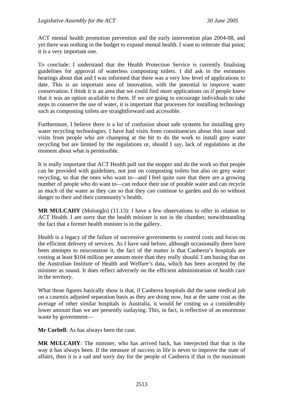ACT mental health promotion prevention and the early intervention plan 2004-08, and yet there was nothing in the budget to expand mental health. I want to reiterate that point; it is a very important one.

To conclude: I understand that the Health Protection Service is currently finalising guidelines for approval of waterless composting toilets. I did ask in the estimates hearings about that and I was informed that there was a very low level of applications to date. This is an important area of innovation, with the potential to improve water conservation. I think it is an area that we could find more applications on if people knew that it was an option available to them. If we are going to encourage individuals to take steps to conserve the use of water, it is important that processes for installing technology such as composting toilets are straightforward and accessible.

Furthermore, I believe there is a lot of confusion about safe systems for installing grey water recycling technologies. I have had visits from constituencies about this issue and visits from people who are champing at the bit to do the work to install grey water recycling but are limited by the regulations or, should I say, lack of regulations at the moment about what is permissible.

It is really important that ACT Health pull out the stopper and do the work so that people can be provided with guidelines, not just on composting toilets but also on grey water recycling, so that the ones who want to—and I feel quite sure that there are a growing number of people who do want to—can reduce their use of potable water and can recycle as much of the water as they can so that they can continue to garden and do so without danger to their and their community's health.

**MR MULCAHY** (Molonglo) (11.13): I have a few observations to offer in relation to ACT Health. I am sorry that the health minister is not in the chamber, notwithstanding the fact that a former health minister is in the gallery.

Health is a legacy of the failure of successive governments to control costs and focus on the efficient delivery of services. As I have said before, although occasionally there have been attempts to misconstrue it, the fact of the matter is that Canberra's hospitals are costing at least \$104 million per annum more than they really should. I am basing that on the Australian Institute of Health and Welfare's data, which has been accepted by the minister as sound. It does reflect adversely on the efficient administration of health care in the territory.

What those figures basically show is that, if Canberra hospitals did the same medical job on a casemix adjusted separation basis as they are doing now, but at the same cost as the average of other similar hospitals in Australia, it would be costing us a considerably lower amount than we are presently outlaying. This, in fact, is reflective of an enormous waste by government—

**Mr Corbell**: As has always been the case.

**MR MULCAHY**: The minister, who has arrived back, has interjected that that is the way it has always been. If the measure of success in life is never to improve the state of affairs, then it is a sad and sorry day for the people of Canberra if that is the maximum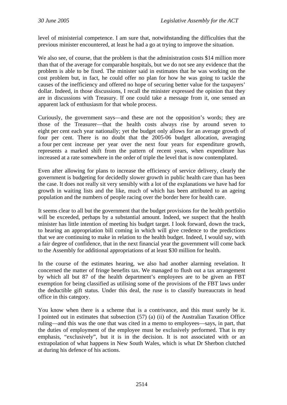level of ministerial competence. I am sure that, notwithstanding the difficulties that the previous minister encountered, at least he had a go at trying to improve the situation.

We also see, of course, that the problem is that the administration costs \$14 million more than that of the average for comparable hospitals, but we do not see any evidence that the problem is able to be fixed. The minister said in estimates that he was working on the cost problem but, in fact, he could offer no plan for how he was going to tackle the causes of the inefficiency and offered no hope of securing better value for the taxpayers' dollar. Indeed, in those discussions, I recall the minister expressed the opinion that they are in discussions with Treasury. If one could take a message from it, one sensed an apparent lack of enthusiasm for that whole process.

Curiously, the government says—and these are not the opposition's words; they are those of the Treasurer—that the health costs always rise by around seven to eight per cent each year nationally; yet the budget only allows for an average growth of four per cent. There is no doubt that the 2005-06 budget allocation, averaging a four per cent increase per year over the next four years for expenditure growth, represents a marked shift from the pattern of recent years, when expenditure has increased at a rate somewhere in the order of triple the level that is now contemplated.

Even after allowing for plans to increase the efficiency of service delivery, clearly the government is budgeting for decidedly slower growth in public health care than has been the case. It does not really sit very sensibly with a lot of the explanations we have had for growth in waiting lists and the like, much of which has been attributed to an ageing population and the numbers of people racing over the border here for health care.

It seems clear to all but the government that the budget provisions for the health portfolio will be exceeded, perhaps by a substantial amount. Indeed, we suspect that the health minister has little intention of meeting his budget target. I look forward, down the track, to hearing an appropriation bill coming in which will give credence to the predictions that we are continuing to make in relation to the health budget. Indeed, I would say, with a fair degree of confidence, that in the next financial year the government will come back to the Assembly for additional appropriations of at least \$30 million for health.

In the course of the estimates hearing, we also had another alarming revelation. It concerned the matter of fringe benefits tax. We managed to flush out a tax arrangement by which all but 87 of the health department's employees are to be given an FBT exemption for being classified as utilising some of the provisions of the FBT laws under the deductible gift status. Under this deal, the ruse is to classify bureaucrats in head office in this category.

You know when there is a scheme that is a contrivance, and this must surely be it. I pointed out in estimates that subsection (57) (a) (ii) of the Australian Taxation Office ruling—and this was the one that was cited in a memo to employees—says, in part, that the duties of employment of the employee must be exclusively performed. That is my emphasis, "exclusively", but it is in the decision. It is not associated with or an extrapolation of what happens in New South Wales, which is what Dr Sherbon clutched at during his defence of his actions.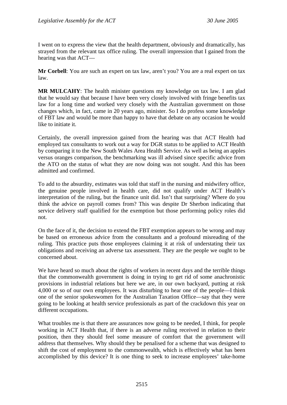I went on to express the view that the health department, obviously and dramatically, has strayed from the relevant tax office ruling. The overall impression that I gained from the hearing was that ACT—

**Mr Corbell**: You are such an expert on tax law, aren't you? You are a real expert on tax law.

**MR MULCAHY**: The health minister questions my knowledge on tax law. I am glad that he would say that because I have been very closely involved with fringe benefits tax law for a long time and worked very closely with the Australian government on those changes which, in fact, came in 20 years ago, minister. So I do profess some knowledge of FBT law and would be more than happy to have that debate on any occasion he would like to initiate it.

Certainly, the overall impression gained from the hearing was that ACT Health had employed tax consultants to work out a way for DGR status to be applied to ACT Health by comparing it to the New South Wales Area Health Service. As well as being an apples versus oranges comparison, the benchmarking was ill advised since specific advice from the ATO on the status of what they are now doing was not sought. And this has been admitted and confirmed.

To add to the absurdity, estimates was told that staff in the nursing and midwifery office, the genuine people involved in health care, did not qualify under ACT Health's interpretation of the ruling, but the finance unit did. Isn't that surprising? Where do you think the advice on payroll comes from? This was despite Dr Sherbon indicating that service delivery staff qualified for the exemption but those performing policy roles did not.

On the face of it, the decision to extend the FBT exemption appears to be wrong and may be based on erroneous advice from the consultants and a profound misreading of the ruling. This practice puts those employees claiming it at risk of understating their tax obligations and receiving an adverse tax assessment. They are the people we ought to be concerned about.

We have heard so much about the rights of workers in recent days and the terrible things that the commonwealth government is doing in trying to get rid of some anachronistic provisions in industrial relations but here we are, in our own backyard, putting at risk 4,000 or so of our own employees. It was disturbing to hear one of the people—I think one of the senior spokeswomen for the Australian Taxation Office—say that they were going to be looking at health service professionals as part of the crackdown this year on different occupations.

What troubles me is that there are assurances now going to be needed, I think, for people working in ACT Health that, if there is an adverse ruling received in relation to their position, then they should feel some measure of comfort that the government will address that themselves. Why should they be penalised for a scheme that was designed to shift the cost of employment to the commonwealth, which is effectively what has been accomplished by this device? It is one thing to seek to increase employees' take-home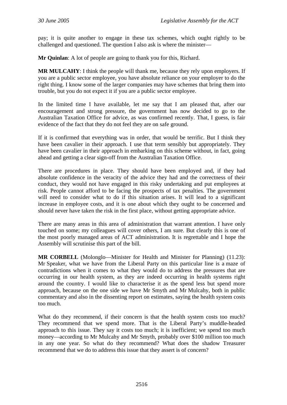pay; it is quite another to engage in these tax schemes, which ought rightly to be challenged and questioned. The question I also ask is where the minister—

**Mr Quinlan**: A lot of people are going to thank you for this, Richard.

**MR MULCAHY**: I think the people will thank me, because they rely upon employers. If you are a public sector employee, you have absolute reliance on your employer to do the right thing. I know some of the larger companies may have schemes that bring them into trouble, but you do not expect it if you are a public sector employee.

In the limited time I have available, let me say that I am pleased that, after our encouragement and strong pressure, the government has now decided to go to the Australian Taxation Office for advice, as was confirmed recently. That, I guess, is fair evidence of the fact that they do not feel they are on safe ground.

If it is confirmed that everything was in order, that would be terrific. But I think they have been cavalier in their approach. I use that term sensibly but appropriately. They have been cavalier in their approach in embarking on this scheme without, in fact, going ahead and getting a clear sign-off from the Australian Taxation Office.

There are procedures in place. They should have been employed and, if they had absolute confidence in the veracity of the advice they had and the correctness of their conduct, they would not have engaged in this risky undertaking and put employees at risk. People cannot afford to be facing the prospects of tax penalties. The government will need to consider what to do if this situation arises. It will lead to a significant increase in employee costs, and it is one about which they ought to be concerned and should never have taken the risk in the first place, without getting appropriate advice.

There are many areas in this area of administration that warrant attention. I have only touched on some; my colleagues will cover others, I am sure. But clearly this is one of the most poorly managed areas of ACT administration. It is regrettable and I hope the Assembly will scrutinise this part of the bill.

**MR CORBELL** (Molonglo—Minister for Health and Minister for Planning) (11.23): Mr Speaker, what we have from the Liberal Party on this particular line is a maze of contradictions when it comes to what they would do to address the pressures that are occurring in our health system, as they are indeed occurring in health systems right around the country. I would like to characterise it as the spend less but spend more approach, because on the one side we have Mr Smyth and Mr Mulcahy, both in public commentary and also in the dissenting report on estimates, saying the health system costs too much.

What do they recommend, if their concern is that the health system costs too much? They recommend that we spend more. That is the Liberal Party's muddle-headed approach to this issue. They say it costs too much; it is inefficient; we spend too much money—according to Mr Mulcahy and Mr Smyth, probably over \$100 million too much in any one year. So what do they recommend? What does the shadow Treasurer recommend that we do to address this issue that they assert is of concern?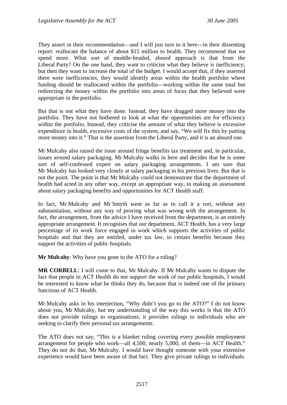They assert in their recommendation—and I will just turn to it here—in their dissenting report: reallocate the balance of about \$15 million to health. They recommend that we spend more. What sort of muddle-headed, absurd approach is that from the Liberal Party? On the one hand, they want to criticise what they believe is inefficiency; but then they want to increase the total of the budget. I would accept that, if they asserted there were inefficiencies, they would identify areas within the health portfolio where funding should be reallocated within the portfolio—working within the same total but redirecting the money within the portfolio into areas of focus that they believed were appropriate in the portfolio.

But that is not what they have done. Instead, they have dragged more money into the portfolio. They have not bothered to look at what the opportunities are for efficiency within the portfolio. Instead, they criticise the amount of what they believe is excessive expenditure in health, excessive costs of the system, and say, "We will fix this by putting more money into it." That is the assertion from the Liberal Party, and it is an absurd one.

Mr Mulcahy also raised the issue around fringe benefits tax treatment and, in particular, issues around salary packaging. Mr Mulcahy walks in here and decides that he is some sort of self-confessed expert on salary packaging arrangements. I am sure that Mr Mulcahy has looked very closely at salary packaging in his previous lives. But that is not the point. The point is that Mr Mulcahy could not demonstrate that the department of health had acted in any other way, except an appropriate way, in making an assessment about salary packaging benefits and opportunities for ACT Health staff.

In fact, Mr Mulcahy and Mr Smyth went as far as to call it a rort, without any substantiation, without any way of proving what was wrong with the arrangement. In fact, the arrangement, from the advice I have received from the department, is an entirely appropriate arrangement. It recognises that our department, ACT Health, has a very large percentage of its work force engaged in work which supports the activities of public hospitals and that they are entitled, under tax law, to certain benefits because they support the activities of public hospitals.

**Mr Mulcahy**: Why have you gone to the ATO for a ruling?

**MR CORBELL**: I will come to that, Mr Mulcahy. If Mr Mulcahy wants to dispute the fact that people in ACT Health do not support the work of our public hospitals, I would be interested to know what he thinks they do, because that is indeed one of the primary functions of ACT Health.

Mr Mulcahy asks in his interjection, "Why didn't you go to the ATO?" I do not know about you, Mr Mulcahy, but my understanding of the way this works is that the ATO does not provide rulings to organisations; it provides rulings to individuals who are seeking to clarify their personal tax arrangements.

The ATO does not say, "This is a blanket ruling covering every possible employment arrangement for people who work—all 4,500, nearly 5,000, of them—in ACT Health." They do not do that, Mr Mulcahy. I would have thought someone with your extensive experience would have been aware of that fact. They give private rulings to individuals.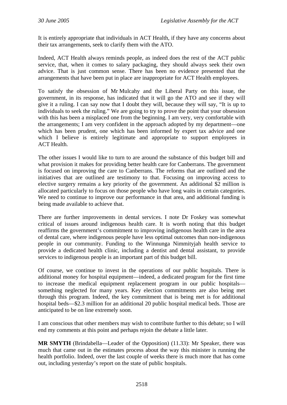It is entirely appropriate that individuals in ACT Health, if they have any concerns about their tax arrangements, seek to clarify them with the ATO.

Indeed, ACT Health always reminds people, as indeed does the rest of the ACT public service, that, when it comes to salary packaging, they should always seek their own advice. That is just common sense. There has been no evidence presented that the arrangements that have been put in place are inappropriate for ACT Health employees.

To satisfy the obsession of Mr Mulcahy and the Liberal Party on this issue, the government, in its response, has indicated that it will go the ATO and see if they will give it a ruling. I can say now that I doubt they will, because they will say, "It is up to individuals to seek the ruling." We are going to try to prove the point that your obsession with this has been a misplaced one from the beginning. I am very, very comfortable with the arrangements; I am very confident in the approach adopted by my department—one which has been prudent, one which has been informed by expert tax advice and one which I believe is entirely legitimate and appropriate to support employees in ACT Health.

The other issues I would like to turn to are around the substance of this budget bill and what provision it makes for providing better health care for Canberrans. The government is focused on improving the care to Canberrans. The reforms that are outlined and the initiatives that are outlined are testimony to that. Focusing on improving access to elective surgery remains a key priority of the government. An additional \$2 million is allocated particularly to focus on those people who have long waits in certain categories. We need to continue to improve our performance in that area, and additional funding is being made available to achieve that.

There are further improvements in dental services. I note Dr Foskey was somewhat critical of issues around indigenous health care. It is worth noting that this budget reaffirms the government's commitment to improving indigenous health care in the area of dental care, where indigenous people have less optimal outcomes than non-indigenous people in our community. Funding to the Winnunga Nimmityjah health service to provide a dedicated health clinic, including a dentist and dental assistant, to provide services to indigenous people is an important part of this budget bill.

Of course, we continue to invest in the operations of our public hospitals. There is additional money for hospital equipment—indeed, a dedicated program for the first time to increase the medical equipment replacement program in our public hospitals something neglected for many years. Key election commitments are also being met through this program. Indeed, the key commitment that is being met is for additional hospital beds—\$2.3 million for an additional 20 public hospital medical beds. Those are anticipated to be on line extremely soon.

I am conscious that other members may wish to contribute further to this debate; so I will end my comments at this point and perhaps rejoin the debate a little later.

**MR SMYTH** (Brindabella—Leader of the Opposition) (11.33): Mr Speaker, there was much that came out in the estimates process about the way this minister is running the health portfolio. Indeed, over the last couple of weeks there is much more that has come out, including yesterday's report on the state of public hospitals.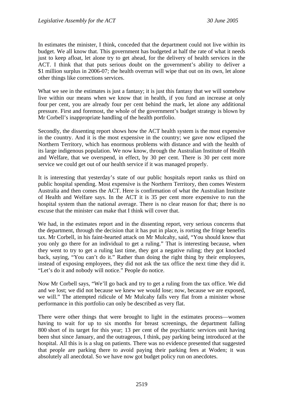In estimates the minister, I think, conceded that the department could not live within its budget. We all know that. This government has budgeted at half the rate of what it needs just to keep afloat, let alone try to get ahead, for the delivery of health services in the ACT. I think that that puts serious doubt on the government's ability to deliver a \$1 million surplus in 2006-07; the health overrun will wipe that out on its own, let alone other things like corrections services.

What we see in the estimates is just a fantasy; it is just this fantasy that we will somehow live within our means when we know that in health, if you fund an increase at only four per cent, you are already four per cent behind the mark, let alone any additional pressure. First and foremost, the whole of the government's budget strategy is blown by Mr Corbell's inappropriate handling of the health portfolio.

Secondly, the dissenting report shows how the ACT health system is the most expensive in the country. And it is the most expensive in the country; we gave now eclipsed the Northern Territory, which has enormous problems with distance and with the health of its large indigenous population. We now know, through the Australian Institute of Health and Welfare, that we overspend, in effect, by 30 per cent. There is 30 per cent more service we could get out of our health service if it was managed properly.

It is interesting that yesterday's state of our public hospitals report ranks us third on public hospital spending. Most expensive is the Northern Territory, then comes Western Australia and then comes the ACT. Here is confirmation of what the Australian Institute of Health and Welfare says. In the ACT it is 35 per cent more expensive to run the hospital system than the national average. There is no clear reason for that; there is no excuse that the minister can make that I think will cover that.

We had, in the estimates report and in the dissenting report, very serious concerns that the department, through the decision that it has put in place, is rorting the fringe benefits tax. Mr Corbell, in his faint-hearted attack on Mr Mulcahy, said, "You should know that you only go there for an individual to get a ruling." That is interesting because, when they went to try to get a ruling last time, they got a negative ruling; they got knocked back, saying, "You can't do it." Rather than doing the right thing by their employees, instead of exposing employees, they did not ask the tax office the next time they did it. "Let's do it and nobody will notice." People do notice.

Now Mr Corbell says, "We'll go back and try to get a ruling from the tax office. We did and we lost; we did not because we knew we would lose; now, because we are exposed, we will." The attempted ridicule of Mr Mulcahy falls very flat from a minister whose performance in this portfolio can only be described as very flat.

There were other things that were brought to light in the estimates process—women having to wait for up to six months for breast screenings, the department falling 800 short of its target for this year; 13 per cent of the psychiatric services unit having been shut since January, and the outrageous, I think, pay parking being introduced at the hospital. All this is is a slug on patients. There was no evidence presented that suggested that people are parking there to avoid paying their parking fees at Woden; it was absolutely all anecdotal. So we have now got budget policy run on anecdotes.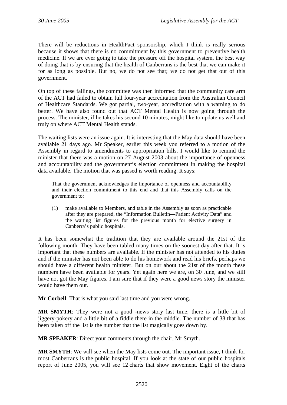There will be reductions in HealthPact sponsorship, which I think is really serious because it shows that there is no commitment by this government to preventive health medicine. If we are ever going to take the pressure off the hospital system, the best way of doing that is by ensuring that the health of Canberrans is the best that we can make it for as long as possible. But no, we do not see that; we do not get that out of this government.

On top of these failings, the committee was then informed that the community care arm of the ACT had failed to obtain full four-year accreditation from the Australian Council of Healthcare Standards. We got partial, two-year, accreditation with a warning to do better. We have also found out that ACT Mental Health is now going through the process. The minister, if he takes his second 10 minutes, might like to update us well and truly on where ACT Mental Health stands.

The waiting lists were an issue again. It is interesting that the May data should have been available 21 days ago. Mr Speaker, earlier this week you referred to a motion of the Assembly in regard to amendments to appropriation bills. I would like to remind the minister that there was a motion on 27 August 2003 about the importance of openness and accountability and the government's election commitment in making the hospital data available. The motion that was passed is worth reading. It says:

That the government acknowledges the importance of openness and accountability and their election commitment to this end and that this Assembly calls on the government to:

(1) make available to Members, and table in the Assembly as soon as practicable after they are prepared, the "Information Bulletin—Patient Activity Data" and the waiting list figures for the previous month for elective surgery in Canberra's public hospitals.

It has been somewhat the tradition that they are available around the 21st of the following month. They have been tabled many times on the soonest day after that. It is important that these numbers are available. If the minister has not attended to his duties and if the minister has not been able to do his homework and read his briefs, perhaps we should have a different health minister. But on our about the 21st of the month these numbers have been available for years. Yet again here we are, on 30 June, and we still have not got the May figures. I am sure that if they were a good news story the minister would have them out.

**Mr Corbell**: That is what you said last time and you were wrong.

**MR SMYTH**: They were not a good -news story last time; there is a little bit of jiggery-pokery and a little bit of a fiddle there in the middle. The number of 38 that has been taken off the list is the number that the list magically goes down by.

**MR SPEAKER**: Direct your comments through the chair, Mr Smyth.

**MR SMYTH**: We will see when the May lists come out. The important issue, I think for most Canberrans is the public hospital. If you look at the state of our public hospitals report of June 2005, you will see 12 charts that show movement. Eight of the charts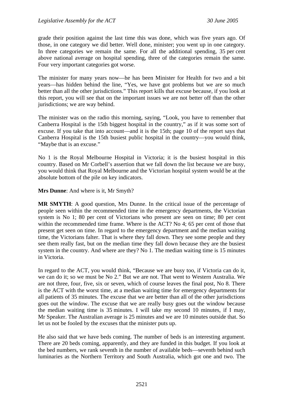grade their position against the last time this was done, which was five years ago. Of those, in one category we did better. Well done, minister; you went up in one category. In three categories we remain the same. For all the additional spending, 35 per cent above national average on hospital spending, three of the categories remain the same. Four very important categories got worse.

The minister for many years now—he has been Minister for Health for two and a bit years—has hidden behind the line, "Yes, we have got problems but we are so much better than all the other jurisdictions." This report kills that excuse because, if you look at this report, you will see that on the important issues we are not better off than the other jurisdictions; we are way behind.

The minister was on the radio this morning, saying, "Look, you have to remember that Canberra Hospital is the 15th biggest hospital in the country," as if it was some sort of excuse. If you take that into account—and it is the 15th; page 10 of the report says that Canberra Hospital is the 15th busiest public hospital in the country—you would think, "Maybe that is an excuse."

No 1 is the Royal Melbourne Hospital in Victoria; it is the busiest hospital in this country. Based on Mr Corbell's assertion that we fall down the list because we are busy, you would think that Royal Melbourne and the Victorian hospital system would be at the absolute bottom of the pile on key indicators.

**Mrs Dunne**: And where is it, Mr Smyth?

**MR SMYTH**: A good question, Mrs Dunne. In the critical issue of the percentage of people seen within the recommended time in the emergency departments, the Victorian system is No 1; 80 per cent of Victorians who present are seen on time; 80 per cent within the recommended time frame. Where is the ACT? No 4; 65 per cent of those that present get seen on time. In regard to the emergency department and the median waiting time, the Victorians falter. That is where they fall down. They see some people and they see them really fast, but on the median time they fall down because they are the busiest system in the country. And where are they? No 1. The median waiting time is 15 minutes in Victoria.

In regard to the ACT, you would think, "Because we are busy too, if Victoria can do it, we can do it; so we must be No 2." But we are not. That went to Western Australia. We are not three, four, five, six or seven, which of course leaves the final post, No 8. There is the ACT with the worst time, at a median waiting time for emergency departments for all patients of 35 minutes. The excuse that we are better than all of the other jurisdictions goes out the window. The excuse that we are really busy goes out the window because the median waiting time is 35 minutes. I will take my second 10 minutes, if I may, Mr Speaker. The Australian average is 25 minutes and we are 10 minutes outside that. So let us not be fooled by the excuses that the minister puts up.

He also said that we have beds coming. The number of beds is an interesting argument. There are 20 beds coming, apparently, and they are funded in this budget. If you look at the bed numbers, we rank seventh in the number of available beds—seventh behind such luminaries as the Northern Territory and South Australia, which got one and two. The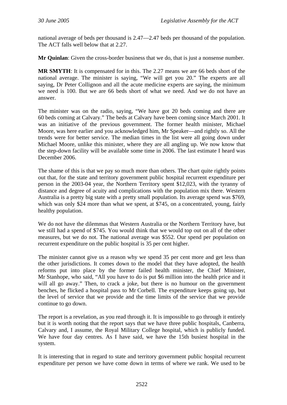national average of beds per thousand is 2.47—2.47 beds per thousand of the population. The ACT falls well below that at 2.27.

**Mr Quinlan**: Given the cross-border business that we do, that is just a nonsense number.

**MR SMYTH**: It is compensated for in this. The 2.27 means we are 66 beds short of the national average. The minister is saying, "We will get you 20." The experts are all saying, Dr Peter Collignon and all the acute medicine experts are saying, the minimum we need is 100. But we are 66 beds short of what we need. And we do not have an answer.

The minister was on the radio, saying, "We have got 20 beds coming and there are 60 beds coming at Calvary." The beds at Calvary have been coming since March 2001. It was an initiative of the previous government. The former health minister, Michael Moore, was here earlier and you acknowledged him, Mr Speaker—and rightly so. All the trends were for better service. The median times in the list were all going down under Michael Moore, unlike this minister, where they are all angling up. We now know that the step-down facility will be available some time in 2006. The last estimate I heard was December 2006.

The shame of this is that we pay so much more than others. The chart quite rightly points out that, for the state and territory government public hospital recurrent expenditure per person in the 2003-04 year, the Northern Territory spent \$12,023, with the tyranny of distance and degree of acuity and complications with the population mix there. Western Australia is a pretty big state with a pretty small population. Its average spend was \$769, which was only \$24 more than what we spent, at \$745, on a concentrated, young, fairly healthy population.

We do not have the dilemmas that Western Australia or the Northern Territory have, but we still had a spend of \$745. You would think that we would top out on all of the other measures, but we do not. The national average was \$552. Our spend per population on recurrent expenditure on the public hospital is 35 per cent higher.

The minister cannot give us a reason why we spend 35 per cent more and get less than the other jurisdictions. It comes down to the model that they have adopted, the health reforms put into place by the former failed health minister, the Chief Minister, Mr Stanhope, who said, "All you have to do is put \$6 million into the health price and it will all go away." Then, to crack a joke, but there is no humour on the government benches, he flicked a hospital pass to Mr Corbell. The expenditure keeps going up, but the level of service that we provide and the time limits of the service that we provide continue to go down.

The report is a revelation, as you read through it. It is impossible to go through it entirely but it is worth noting that the report says that we have three public hospitals, Canberra, Calvary and, I assume, the Royal Military College hospital, which is publicly funded. We have four day centres. As I have said, we have the 15th busiest hospital in the system.

It is interesting that in regard to state and territory government public hospital recurrent expenditure per person we have come down in terms of where we rank. We used to be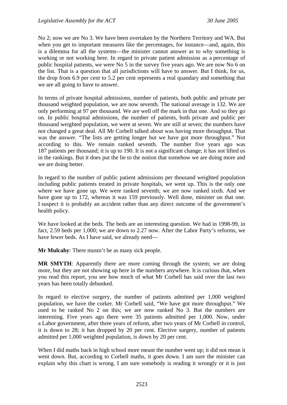No 2; now we are No 3. We have been overtaken by the Northern Territory and WA. But when you get to important measures like the percentages, for instance—and, again, this is a dilemma for all the systems—the minister cannot answer as to why something is working or not working here. In regard to private patient admission as a percentage of public hospital patients, we were No 5 in the survey five years ago. We are now No 6 on the list. That is a question that all jurisdictions will have to answer. But I think, for us, the drop from 6.9 per cent to 5.2 per cent represents a real quandary and something that we are all going to have to answer.

In terms of private hospital admissions, number of patients, both public and private per thousand weighted population, we are now seventh. The national average is 132. We are only performing at 97 per thousand. We are well off the mark in that one. And so they go on. In public hospital admissions, the number of patients, both private and public per thousand weighted population, we were at seven. We are still at seven; the numbers have not changed a great deal. All Mr Corbell talked about was having more throughput. That was the answer. "The lists are getting longer but we have got more throughput." Not according to this. We remain ranked seventh. The number five years ago was 187 patients per thousand; it is up to 190. It is not a significant change; it has not lifted us in the rankings. But it does put the lie to the notion that somehow we are doing more and we are doing better.

In regard to the number of public patient admissions per thousand weighted population including public patients treated in private hospitals, we went up. This is the only one where we have gone up. We were ranked seventh; we are now ranked sixth. And we have gone up to 172, whereas it was 159 previously. Well done, minister on that one. I suspect it is probably an accident rather than any direct outcome of the government's health policy.

We have looked at the beds. The beds are an interesting question. We had in 1998-99, in fact, 2.59 beds per 1,000; we are down to 2.27 now. After the Labor Party's reforms, we have fewer beds. As I have said, we already need—

**Mr Mulcahy**: There mustn't be as many sick people.

**MR SMYTH**: Apparently there are more coming through the system; we are doing more, but they are not showing up here in the numbers anywhere. It is curious that, when you read this report, you see how much of what Mr Corbell has said over the last two years has been totally debunked.

In regard to elective surgery, the number of patients admitted per 1,000 weighted population, we have the corker. Mr Corbell said, "We have got more throughput." We used to be ranked No 2 on this; we are now ranked No 3. But the numbers are interesting. Five years ago there were 35 patients admitted per 1,000. Now, under a Labor government, after three years of reform, after two years of Mr Corbell in control, it is down to 28; it has dropped by 20 per cent. Elective surgery, number of patients admitted per 1,000 weighted population, is down by 20 per cent.

When I did maths back in high school more meant the number went up; it did not mean it went down. But, according to Corbell maths, it goes down. I am sure the minister can explain why this chart is wrong. I am sure somebody is reading it wrongly or it is just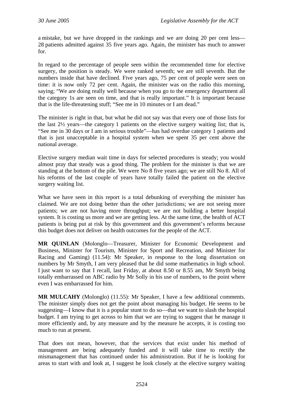a mistake, but we have dropped in the rankings and we are doing 20 per cent less— 28 patients admitted against 35 five years ago. Again, the minister has much to answer for.

In regard to the percentage of people seen within the recommended time for elective surgery, the position is steady. We were ranked seventh; we are still seventh. But the numbers inside that have declined. Five years ago, 75 per cent of people were seen on time: it is now only 72 per cent. Again, the minister was on the radio this morning, saying; "We are doing really well because when you go to the emergency department all the category 1s are seen on time, and that is really important." It is important because that is the life-threatening stuff; "See me in 10 minutes or I am dead."

The minister is right in that, but what he did not say was that every one of those lists for the last 2½ years—the category 1 patients on the elective surgery waiting list; that is, "See me in 30 days or I am in serious trouble"—has had overdue category 1 patients and that is just unacceptable in a hospital system when we spent 35 per cent above the national average.

Elective surgery median wait time in days for selected procedures is steady; you would almost pray that steady was a good thing. The problem for the minister is that we are standing at the bottom of the pile. We were No 8 five years ago; we are still No 8. All of his reforms of the last couple of years have totally failed the patient on the elective surgery waiting list.

What we have seen in this report is a total debunking of everything the minister has claimed. We are not doing better than the other jurisdictions; we are not seeing more patients; we are not having more throughput; we are not building a better hospital system. It is costing us more and we are getting less. At the same time, the health of ACT patients is being put at risk by this government and this government's reforms because this budget does not deliver on health outcomes for the people of the ACT.

**MR QUINLAN** (Molonglo—Treasurer, Minister for Economic Development and Business, Minister for Tourism, Minister for Sport and Recreation, and Minister for Racing and Gaming) (11.54): Mr Speaker, in response to the long dissertation on numbers by Mr Smyth, I am very pleased that he did some mathematics in high school. I just want to say that I recall, last Friday, at about 8.50 or 8.55 am, Mr Smyth being totally embarrassed on ABC radio by Mr Solly in his use of numbers, to the point where even I was embarrassed for him.

**MR MULCAHY** (Molonglo) (11.55): Mr Speaker, I have a few additional comments. The minister simply does not get the point about managing his budget. He seems to be suggesting—I know that it is a popular stunt to do so—that we want to slash the hospital budget. I am trying to get across to him that we are trying to suggest that he manage it more efficiently and, by any measure and by the measure he accepts, it is costing too much to run at present.

That does not mean, however, that the services that exist under his method of management are being adequately funded and it will take time to rectify the mismanagement that has continued under his administration. But if he is looking for areas to start with and look at, I suggest he look closely at the elective surgery waiting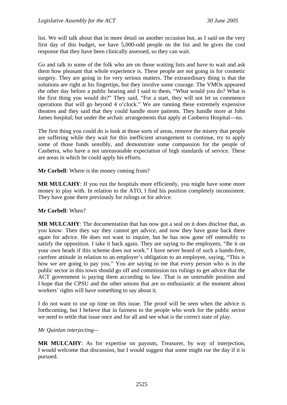list. We will talk about that in more detail on another occasion but, as I said on the very first day of this budget, we have 5,000-odd people on the list and he gives the cool response that they have been clinically assessed, so they can wait.

Go and talk to some of the folk who are on those waiting lists and have to wait and ask them how pleasant that whole experience is. These people are not going in for cosmetic surgery. They are going in for very serious matters. The extraordinary thing is that the solutions are right at his fingertips, but they involve some courage. The VMOs appeared the other day before a public hearing and I said to them, "What would you do? What is the first thing you would do?" They said, "For a start, they will not let us commence operations that will go beyond 4 o'clock." We are running these extremely expensive theatres and they said that they could handle more patients. They handle more at John James hospital; but under the archaic arrangements that apply at Canberra Hospital—no.

The first thing you could do is look at those sorts of areas, remove the misery that people are suffering while they wait for this inefficient arrangement to continue, try to apply some of those funds sensibly, and demonstrate some compassion for the people of Canberra, who have a not unreasonable expectation of high standards of service. These are areas in which he could apply his efforts.

**Mr Corbell**: Where is the money coming from?

**MR MULCAHY**: If you run the hospitals more efficiently, you might have some more money to play with. In relation to the ATO, I find his position completely inconsistent. They have gone there previously for rulings or for advice.

#### **Mr Corbell**: When?

**MR MULCAHY**: The documentation that has now got a seal on it does disclose that, as you know. Then they say they cannot get advice, and now they have gone back there again for advice. He does not want to inquire, but he has now gone off ostensibly to satisfy the opposition. I take it back again. They are saying to the employees, "Be it on your own heads if this scheme does not work." I have never heard of such a hands-free, carefree attitude in relation to an employer's obligation to an employee, saying, "This is how we are going to pay you." You are saying to me that every person who is in the public sector in this town should go off and commission tax rulings to get advice that the ACT government is paying them according to law. That is an untenable position and I hope that the CPSU and the other unions that are so enthusiastic at the moment about workers' rights will have something to say about it.

I do not want to use up time on this issue. The proof will be seen when the advice is forthcoming, but I believe that in fairness to the people who work for the public sector we need to settle that issue once and for all and see what is the correct state of play.

#### *Mr Quinlan interjecting—*

**MR MULCAHY**: As for expertise on payouts, Treasurer, by way of interjection, I would welcome that discussion, but I would suggest that some might rue the day if it is pursued.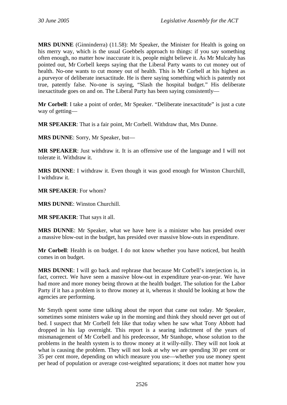**MRS DUNNE** (Ginninderra) (11.58): Mr Speaker, the Minister for Health is going on his merry way, which is the usual Goebbels approach to things: if you say something often enough, no matter how inaccurate it is, people might believe it. As Mr Mulcahy has pointed out, Mr Corbell keeps saying that the Liberal Party wants to cut money out of health. No-one wants to cut money out of health. This is Mr Corbell at his highest as a purveyor of deliberate inexactitude. He is there saying something which is patently not true, patently false. No-one is saying, "Slash the hospital budget." His deliberate inexactitude goes on and on. The Liberal Party has been saying consistently—

**Mr Corbell**: I take a point of order, Mr Speaker. "Deliberate inexactitude" is just a cute way of getting—

**MR SPEAKER**: That is a fair point, Mr Corbell. Withdraw that, Mrs Dunne.

**MRS DUNNE**: Sorry, Mr Speaker, but—

**MR SPEAKER**: Just withdraw it. It is an offensive use of the language and I will not tolerate it. Withdraw it.

**MRS DUNNE**: I withdraw it. Even though it was good enough for Winston Churchill, I withdraw it.

**MR SPEAKER**: For whom?

**MRS DUNNE**: Winston Churchill.

**MR SPEAKER**: That says it all.

**MRS DUNNE**: Mr Speaker, what we have here is a minister who has presided over a massive blow-out in the budget, has presided over massive blow-outs in expenditure.

**Mr Corbell**: Health is on budget. I do not know whether you have noticed, but health comes in on budget.

**MRS DUNNE**: I will go back and rephrase that because Mr Corbell's interjection is, in fact, correct. We have seen a massive blow-out in expenditure year-on-year. We have had more and more money being thrown at the health budget. The solution for the Labor Party if it has a problem is to throw money at it, whereas it should be looking at how the agencies are performing.

Mr Smyth spent some time talking about the report that came out today. Mr Speaker, sometimes some ministers wake up in the morning and think they should never get out of bed. I suspect that Mr Corbell felt like that today when he saw what Tony Abbott had dropped in his lap overnight. This report is a searing indictment of the years of mismanagement of Mr Corbell and his predecessor, Mr Stanhope, whose solution to the problems in the health system is to throw money at it willy-nilly. They will not look at what is causing the problem. They will not look at why we are spending 30 per cent or 35 per cent more, depending on which measure you use—whether you use money spent per head of population or average cost-weighted separations; it does not matter how you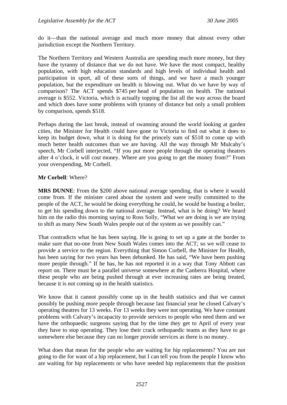do it—than the national average and much more money that almost every other jurisdiction except the Northern Territory.

The Northern Territory and Western Australia are spending much more money, but they have the tyranny of distance that we do not have. We have the most compact, healthy population, with high education standards and high levels of individual health and participation in sport, all of these sorts of things, and we have a much younger population, but the expenditure on health is blowing out. What do we have by way of comparison? The ACT spends \$745 per head of population on health. The national average is \$552. Victoria, which is actually topping the list all the way across the board and which does have some problems with tyranny of distance but only a small problem by comparison, spends \$518.

Perhaps during the last break, instead of swanning around the world looking at garden cities, the Minister for Health could have gone to Victoria to find out what it does to keep its budget down, what it is doing for the princely sum of \$518 to come up with much better health outcomes than we are having. All the way through Mr Mulcahy's speech, Mr Corbell interjected, "If you put more people through the operating theatres after 4 o'clock, it will cost money. Where are you going to get the money from?" From your overspending, Mr Corbell.

#### **Mr Corbell**: Where?

**MRS DUNNE**: From the \$200 above national average spending, that is where it would come from. If the minister cared about the system and were really committed to the people of the ACT, he would be doing everything he could, he would be busting a boiler, to get his spending down to the national average. Instead, what is he doing? We heard him on the radio this morning saying to Ross Solly, "What we are doing is we are trying to shift as many New South Wales people out of the system as we possibly can."

That contradicts what he has been saying. He is going to set up a gate at the border to make sure that no-one from New South Wales comes into the ACT; so we will cease to provide a service to the region. Everything that Simon Corbell, the Minister for Health, has been saying for two years has been debunked. He has said, "We have been pushing more people through." If he has, he has not reported it in a way that Tony Abbott can report on. There must be a parallel universe somewhere at the Canberra Hospital, where these people who are being pushed through at ever increasing rates are being treated, because it is not coming up in the health statistics.

We know that it cannot possibly come up in the health statistics and that we cannot possibly be pushing more people through because last financial year he closed Calvary's operating theatres for 13 weeks. For 13 weeks they were not operating. We have constant problems with Calvary's incapacity to provide services to people who need them and we have the orthopaedic surgeons saying that by the time they get to April of every year they have to stop operating. They lose their crack orthopaedic teams as they have to go somewhere else because they can no longer provide services as there is no money.

What does that mean for the people who are waiting for hip replacements? You are not going to die for want of a hip replacement, but I can tell you from the people I know who are waiting for hip replacements or who have needed hip replacements that the position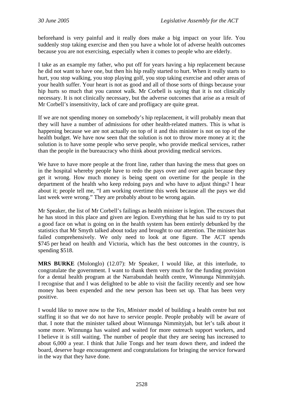beforehand is very painful and it really does make a big impact on your life. You suddenly stop taking exercise and then you have a whole lot of adverse health outcomes because you are not exercising, especially when it comes to people who are elderly.

I take as an example my father, who put off for years having a hip replacement because he did not want to have one, but then his hip really started to hurt. When it really starts to hurt, you stop walking, you stop playing golf, you stop taking exercise and other areas of your health suffer. Your heart is not as good and all of those sorts of things because your hip hurts so much that you cannot walk. Mr Corbell is saying that it is not clinically necessary. It is not clinically necessary, but the adverse outcomes that arise as a result of Mr Corbell's insensitivity, lack of care and profligacy are quite great.

If we are not spending money on somebody's hip replacement, it will probably mean that they will have a number of admissions for other health-related matters. This is what is happening because we are not actually on top of it and this minister is not on top of the health budget. We have now seen that the solution is not to throw more money at it; the solution is to have some people who serve people, who provide medical services, rather than the people in the bureaucracy who think about providing medical services.

We have to have more people at the front line, rather than having the mess that goes on in the hospital whereby people have to redo the pays over and over again because they get it wrong. How much money is being spent on overtime for the people in the department of the health who keep redoing pays and who have to adjust things? I hear about it; people tell me, "I am working overtime this week because all the pays we did last week were wrong." They are probably about to be wrong again.

Mr Speaker, the list of Mr Corbell's failings as health minister is legion. The excuses that he has stood in this place and given are legion. Everything that he has said to try to put a good face on what is going on in the health system has been entirely debunked by the statistics that Mr Smyth talked about today and brought to our attention. The minister has failed comprehensively. We only need to look at one figure. The ACT spends \$745 per head on health and Victoria, which has the best outcomes in the country, is spending \$518.

**MRS BURKE** (Molonglo) (12.07): Mr Speaker, I would like, at this interlude, to congratulate the government. I want to thank them very much for the funding provision for a dental health program at the Narrabundah health centre, Winnunga Nimmityjah. I recognise that and I was delighted to be able to visit the facility recently and see how money has been expended and the new person has been set up. That has been very positive.

I would like to move now to the *Yes, Minister* model of building a health centre but not staffing it so that we do not have to service people. People probably will be aware of that. I note that the minister talked about Winnunga Nimmityjah, but let's talk about it some more. Winnunga has waited and waited for more outreach support workers, and I believe it is still waiting. The number of people that they are seeing has increased to about 6,000 a year. I think that Julie Tongs and her team down there, and indeed the board, deserve huge encouragement and congratulations for bringing the service forward in the way that they have done.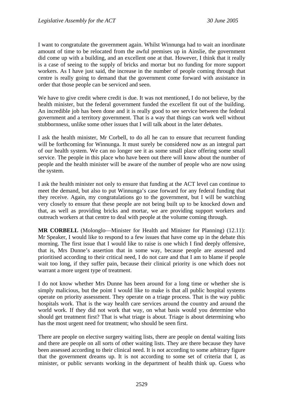I want to congratulate the government again. Whilst Winnunga had to wait an inordinate amount of time to be relocated from the awful premises up in Ainslie, the government did come up with a building, and an excellent one at that. However, I think that it really is a case of seeing to the supply of bricks and mortar but no funding for more support workers. As I have just said, the increase in the number of people coming through that centre is really going to demand that the government come forward with assistance in order that those people can be serviced and seen.

We have to give credit where credit is due. It was not mentioned, I do not believe, by the health minister, but the federal government funded the excellent fit out of the building. An incredible job has been done and it is really good to see service between the federal government and a territory government. That is a way that things can work well without stubbornness, unlike some other issues that I will talk about in the later debates.

I ask the health minister, Mr Corbell, to do all he can to ensure that recurrent funding will be forthcoming for Winnunga. It must surely be considered now as an integral part of our health system. We can no longer see it as some small place offering some small service. The people in this place who have been out there will know about the number of people and the health minister will be aware of the number of people who are now using the system.

I ask the health minister not only to ensure that funding at the ACT level can continue to meet the demand, but also to put Winnunga's case forward for any federal funding that they receive. Again, my congratulations go to the government, but I will be watching very closely to ensure that these people are not being built up to be knocked down and that, as well as providing bricks and mortar, we are providing support workers and outreach workers at that centre to deal with people at the volume coming through.

**MR CORBELL** (Molonglo—Minister for Health and Minister for Planning) (12.11): Mr Speaker, I would like to respond to a few issues that have come up in the debate this morning. The first issue that I would like to raise is one which I find deeply offensive, that is, Mrs Dunne's assertion that in some way, because people are assessed and prioritised according to their critical need, I do not care and that I am to blame if people wait too long, if they suffer pain, because their clinical priority is one which does not warrant a more urgent type of treatment.

I do not know whether Mrs Dunne has been around for a long time or whether she is simply malicious, but the point I would like to make is that all public hospital systems operate on priority assessment. They operate on a triage process. That is the way public hospitals work. That is the way health care services around the country and around the world work. If they did not work that way, on what basis would you determine who should get treatment first? That is what triage is about. Triage is about determining who has the most urgent need for treatment; who should be seen first.

There are people on elective surgery waiting lists, there are people on dental waiting lists and there are people on all sorts of other waiting lists. They are there because they have been assessed according to their clinical need. It is not according to some arbitrary figure that the government dreams up. It is not according to some set of criteria that I, as minister, or public servants working in the department of health think up. Guess who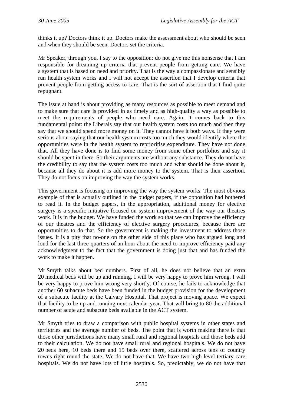thinks it up? Doctors think it up. Doctors make the assessment about who should be seen and when they should be seen. Doctors set the criteria.

Mr Speaker, through you, I say to the opposition: do not give me this nonsense that I am responsible for dreaming up criteria that prevent people from getting care. We have a system that is based on need and priority. That is the way a compassionate and sensibly run health system works and I will not accept the assertion that I develop criteria that prevent people from getting access to care. That is the sort of assertion that I find quite repugnant.

The issue at hand is about providing as many resources as possible to meet demand and to make sure that care is provided in as timely and as high-quality a way as possible to meet the requirements of people who need care. Again, it comes back to this fundamental point: the Liberals say that our health system costs too much and then they say that we should spend more money on it. They cannot have it both ways. If they were serious about saying that our health system costs too much they would identify where the opportunities were in the health system to reprioritise expenditure. They have not done that. All they have done is to find some money from some other portfolios and say it should be spent in there. So their arguments are without any substance. They do not have the credibility to say that the system costs too much and what should be done about it, because all they do about it is add more money to the system. That is their assertion. They do not focus on improving the way the system works.

This government is focusing on improving the way the system works. The most obvious example of that is actually outlined in the budget papers, if the opposition had bothered to read it. In the budget papers, in the appropriation, additional money for elective surgery is a specific initiative focused on system improvement of the way our theatres work. It is in the budget. We have funded the work so that we can improve the efficiency of our theatres and the efficiency of elective surgery procedures, because there are opportunities to do that. So the government is making the investment to address those issues. It is a pity that no-one on the other side of this place who has argued long and loud for the last three-quarters of an hour about the need to improve efficiency paid any acknowledgment to the fact that the government is doing just that and has funded the work to make it happen.

Mr Smyth talks about bed numbers. First of all, he does not believe that an extra 20 medical beds will be up and running. I will be very happy to prove him wrong. I will be very happy to prove him wrong very shortly. Of course, he fails to acknowledge that another 60 subacute beds have been funded in the budget provision for the development of a subacute facility at the Calvary Hospital. That project is moving apace. We expect that facility to be up and running next calendar year. That will bring to 80 the additional number of acute and subacute beds available in the ACT system.

Mr Smyth tries to draw a comparison with public hospital systems in other states and territories and the average number of beds. The point that is worth making there is that those other jurisdictions have many small rural and regional hospitals and those beds add to their calculation. We do not have small rural and regional hospitals. We do not have 20 beds here, 10 beds there and 15 beds over there, scattered across tens of country towns right round the state. We do not have that. We have two high-level tertiary care hospitals. We do not have lots of little hospitals. So, predictably, we do not have that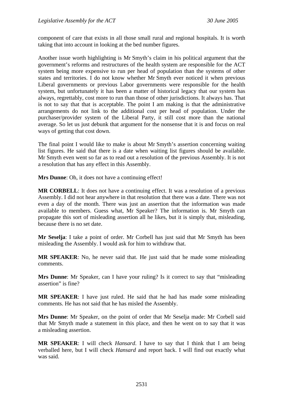component of care that exists in all those small rural and regional hospitals. It is worth taking that into account in looking at the bed number figures.

Another issue worth highlighting is Mr Smyth's claim in his political argument that the government's reforms and restructures of the health system are responsible for the ACT system being more expensive to run per head of population than the systems of other states and territories. I do not know whether Mr Smyth ever noticed it when previous Liberal governments or previous Labor governments were responsible for the health system, but unfortunately it has been a matter of historical legacy that our system has always, regrettably, cost more to run than those of other jurisdictions. It always has. That is not to say that that is acceptable. The point I am making is that the administrative arrangements do not link to the additional cost per head of population. Under the purchaser/provider system of the Liberal Party, it still cost more than the national average. So let us just debunk that argument for the nonsense that it is and focus on real ways of getting that cost down.

The final point I would like to make is about Mr Smyth's assertion concerning waiting list figures. He said that there is a date when waiting list figures should be available. Mr Smyth even went so far as to read out a resolution of the previous Assembly. It is not a resolution that has any effect in this Assembly.

**Mrs Dunne**: Oh, it does not have a continuing effect!

**MR CORBELL:** It does not have a continuing effect. It was a resolution of a previous Assembly. I did not hear anywhere in that resolution that there was a date. There was not even a day of the month. There was just an assertion that the information was made available to members. Guess what, Mr Speaker? The information is. Mr Smyth can propagate this sort of misleading assertion all he likes, but it is simply that, misleading, because there is no set date.

**Mr Seselja**: I take a point of order. Mr Corbell has just said that Mr Smyth has been misleading the Assembly. I would ask for him to withdraw that.

**MR SPEAKER**: No, he never said that. He just said that he made some misleading comments.

**Mrs Dunne**: Mr Speaker, can I have your ruling? Is it correct to say that "misleading assertion" is fine?

**MR SPEAKER**: I have just ruled. He said that he had has made some misleading comments. He has not said that he has misled the Assembly.

**Mrs Dunne**: Mr Speaker, on the point of order that Mr Seselja made: Mr Corbell said that Mr Smyth made a statement in this place, and then he went on to say that it was a misleading assertion.

**MR SPEAKER**: I will check *Hansard*. I have to say that I think that I am being verballed here, but I will check *Hansard* and report back. I will find out exactly what was said.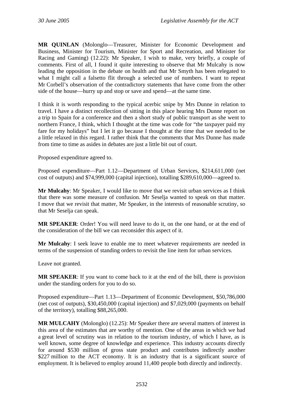**MR QUINLAN** (Molonglo—Treasurer, Minister for Economic Development and Business, Minister for Tourism, Minister for Sport and Recreation, and Minister for Racing and Gaming) (12.22): Mr Speaker, I wish to make, very briefly, a couple of comments. First of all, I found it quite interesting to observe that Mr Mulcahy is now leading the opposition in the debate on health and that Mr Smyth has been relegated to what I might call a falsetto flit through a selected use of numbers. I want to repeat Mr Corbell's observation of the contradictory statements that have come from the other side of the house—hurry up and stop or save and spend—at the same time.

I think it is worth responding to the typical acerbic snipe by Mrs Dunne in relation to travel. I have a distinct recollection of sitting in this place hearing Mrs Dunne report on a trip to Spain for a conference and then a short study of public transport as she went to northern France, I think, which I thought at the time was code for "the taxpayer paid my fare for my holidays" but I let it go because I thought at the time that we needed to be a little relaxed in this regard. I rather think that the comments that Mrs Dunne has made from time to time as asides in debates are just a little bit out of court.

Proposed expenditure agreed to.

Proposed expenditure—Part 1.12—Department of Urban Services, \$214,611,000 (net cost of outputs) and \$74,999,000 (capital injection), totalling \$289,610,000—agreed to.

**Mr Mulcahy**: Mr Speaker, I would like to move that we revisit urban services as I think that there was some measure of confusion. Mr Seselja wanted to speak on that matter. I move that we revisit that matter, Mr Speaker, in the interests of reasonable scrutiny, so that Mr Seselja can speak.

**MR SPEAKER**: Order! You will need leave to do it, on the one hand, or at the end of the consideration of the bill we can reconsider this aspect of it.

**Mr Mulcahy**: I seek leave to enable me to meet whatever requirements are needed in terms of the suspension of standing orders to revisit the line item for urban services.

Leave not granted.

**MR SPEAKER**: If you want to come back to it at the end of the bill, there is provision under the standing orders for you to do so.

Proposed expenditure—Part 1.13—Department of Economic Development, \$50,786,000 (net cost of outputs), \$30,450,000 (capital injection) and \$7,029,000 (payments on behalf of the territory), totalling \$88,265,000.

**MR MULCAHY** (Molonglo) (12.25): Mr Speaker there are several matters of interest in this area of the estimates that are worthy of mention. One of the areas in which we had a great level of scrutiny was in relation to the tourism industry, of which I have, as is well known, some degree of knowledge and experience. This industry accounts directly for around \$530 million of gross state product and contributes indirectly another \$227 million to the ACT economy. It is an industry that is a significant source of employment. It is believed to employ around 11,400 people both directly and indirectly.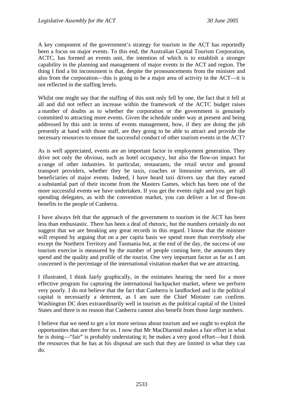A key component of the government's strategy for tourism in the ACT has reportedly been a focus on major events. To this end, the Australian Capital Tourism Corporation, ACTC, has formed an events unit, the intention of which is to establish a stronger capability in the planning and management of major events in the ACT and region. The thing I find a bit inconsistent is that, despite the pronouncements from the minister and also from the corporation—this is going to be a major area of activity in the ACT—it is not reflected in the staffing levels.

Whilst one might say that the staffing of this unit only fell by one, the fact that it fell at all and did not reflect an increase within the framework of the ACTC budget raises a number of doubts as to whether the corporation or the government is genuinely committed to attracting more events. Given the schedule under way at present and being addressed by this unit in terms of events management, how, if they are doing the job presently at hand with those staff, are they going to be able to attract and provide the necessary resources to ensure the successful conduct of other tourism events in the ACT?

As is well appreciated, events are an important factor in employment generation. They drive not only the obvious, such as hotel occupancy, but also the flow-on impact for a range of other industries. In particular, restaurants, the retail sector and ground transport providers, whether they be taxis, coaches or limousine services, are all beneficiaries of major events. Indeed, I have heard taxi drivers say that they earned a substantial part of their income from the Masters Games, which has been one of the more successful events we have undertaken. If you get the events right and you get high spending delegates, as with the convention market, you can deliver a lot of flow-on benefits to the people of Canberra.

I have always felt that the approach of the government to tourism in the ACT has been less than enthusiastic. There has been a deal of rhetoric, but the numbers certainly do not suggest that we are breaking any great records in this regard. I know that the minister will respond by arguing that on a per capita basis we spend more than everybody else except the Northern Territory and Tasmania but, at the end of the day, the success of our tourism exercise is measured by the number of people coming here, the amounts they spend and the quality and profile of the tourist. One very important factor as far as I am concerned is the percentage of the international visitation market that we are attracting.

I illustrated, I think fairly graphically, in the estimates hearing the need for a more effective program for capturing the international backpacker market, where we perform very poorly. I do not believe that the fact that Canberra is landlocked and is the political capital is necessarily a deterrent, as I am sure the Chief Minister can confirm. Washington DC does extraordinarily well in tourism as the political capital of the United States and there is no reason that Canberra cannot also benefit from those large numbers.

I believe that we need to get a lot more serious about tourism and we ought to exploit the opportunities that are there for us. I now that Mr MacDiarmid makes a fair effort in what he is doing—"fair" is probably understating it; he makes a very good effort—but I think the resources that he has at his disposal are such that they are limited in what they can do.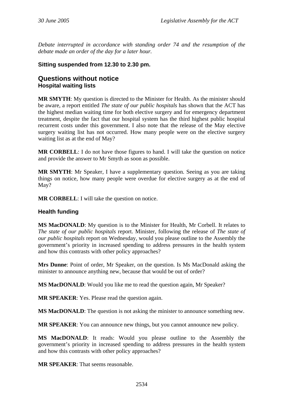<span id="page-35-0"></span>*Debate interrupted in accordance with standing order 74 and the resumption of the debate made an order of the day for a later hour.* 

#### **Sitting suspended from 12.30 to 2.30 pm.**

#### **Questions without notice Hospital waiting lists**

**MR SMYTH**: My question is directed to the Minister for Health. As the minister should be aware, a report entitled *The state of our public hospitals* has shown that the ACT has the highest median waiting time for both elective surgery and for emergency department treatment, despite the fact that our hospital system has the third highest public hospital recurrent costs under this government. I also note that the release of the May elective surgery waiting list has not occurred. How many people were on the elective surgery waiting list as at the end of May?

**MR CORBELL**: I do not have those figures to hand. I will take the question on notice and provide the answer to Mr Smyth as soon as possible.

**MR SMYTH**: Mr Speaker, I have a supplementary question. Seeing as you are taking things on notice, how many people were overdue for elective surgery as at the end of May?

**MR CORBELL**: I will take the question on notice.

#### **Health funding**

**MS MacDONALD**: My question is to the Minister for Health, Mr Corbell. It relates to *The state of our public hospitals* report. Minister, following the release of *The state of our public hospitals* report on Wednesday, would you please outline to the Assembly the government's priority in increased spending to address pressures in the health system and how this contrasts with other policy approaches?

**Mrs Dunne**: Point of order, Mr Speaker, on the question. Is Ms MacDonald asking the minister to announce anything new, because that would be out of order?

**MS MacDONALD**: Would you like me to read the question again, Mr Speaker?

**MR SPEAKER**: Yes. Please read the question again.

**MS MacDONALD:** The question is not asking the minister to announce something new.

**MR SPEAKER**: You can announce new things, but you cannot announce new policy.

**MS MacDONALD**: It reads: Would you please outline to the Assembly the government's priority in increased spending to address pressures in the health system and how this contrasts with other policy approaches?

**MR SPEAKER**: That seems reasonable.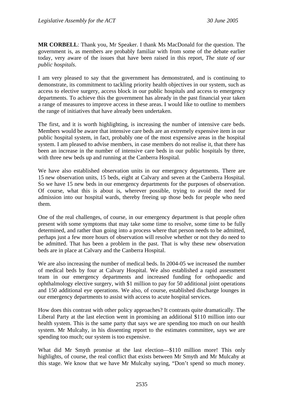**MR CORBELL**: Thank you, Mr Speaker. I thank Ms MacDonald for the question. The government is, as members are probably familiar with from some of the debate earlier today, very aware of the issues that have been raised in this report, *The state of our public hospitals*.

I am very pleased to say that the government has demonstrated, and is continuing to demonstrate, its commitment to tackling priority health objectives in our system, such as access to elective surgery, access block in our public hospitals and access to emergency departments. To achieve this the government has already in the past financial year taken a range of measures to improve access in these areas. I would like to outline to members the range of initiatives that have already been undertaken.

The first, and it is worth highlighting, is increasing the number of intensive care beds. Members would be aware that intensive care beds are an extremely expensive item in our public hospital system, in fact, probably one of the most expensive areas in the hospital system. I am pleased to advise members, in case members do not realise it, that there has been an increase in the number of intensive care beds in our public hospitals by three, with three new beds up and running at the Canberra Hospital.

We have also established observation units in our emergency departments. There are 15 new observation units, 15 beds, eight at Calvary and seven at the Canberra Hospital. So we have 15 new beds in our emergency departments for the purposes of observation. Of course, what this is about is, wherever possible, trying to avoid the need for admission into our hospital wards, thereby freeing up those beds for people who need them.

One of the real challenges, of course, in our emergency department is that people often present with some symptoms that may take some time to resolve, some time to be fully determined, and rather than going into a process where that person needs to be admitted, perhaps just a few more hours of observation will resolve whether or not they do need to be admitted. That has been a problem in the past. That is why these new observation beds are in place at Calvary and the Canberra Hospital.

We are also increasing the number of medical beds. In 2004-05 we increased the number of medical beds by four at Calvary Hospital. We also established a rapid assessment team in our emergency departments and increased funding for orthopaedic and ophthalmology elective surgery, with \$1 million to pay for 50 additional joint operations and 150 additional eye operations. We also, of course, established discharge lounges in our emergency departments to assist with access to acute hospital services.

How does this contrast with other policy approaches? It contrasts quite dramatically. The Liberal Party at the last election went in promising an additional \$110 million into our health system. This is the same party that says we are spending too much on our health system. Mr Mulcahy, in his dissenting report to the estimates committee, says we are spending too much; our system is too expensive.

What did Mr Smyth promise at the last election—\$110 million more! This only highlights, of course, the real conflict that exists between Mr Smyth and Mr Mulcahy at this stage. We know that we have Mr Mulcahy saying, "Don't spend so much money.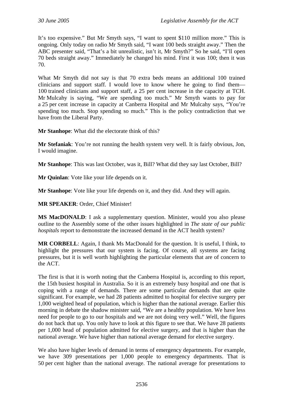It's too expensive." But Mr Smyth says, "I want to spent \$110 million more." This is ongoing. Only today on radio Mr Smyth said, "I want 100 beds straight away." Then the ABC presenter said, "That's a bit unrealistic, isn't it, Mr Smyth?" So he said, "I'll open 70 beds straight away." Immediately he changed his mind. First it was 100; then it was 70.

What Mr Smyth did not say is that 70 extra beds means an additional 100 trained clinicians and support staff. I would love to know where he going to find them— 100 trained clinicians and support staff, a 25 per cent increase in the capacity at TCH. Mr Mulcahy is saying, "We are spending too much." Mr Smyth wants to pay for a 25 per cent increase in capacity at Canberra Hospital and Mr Mulcahy says, "You're spending too much. Stop spending so much." This is the policy contradiction that we have from the Liberal Party.

**Mr Stanhope**: What did the electorate think of this?

**Mr Stefaniak**: You're not running the health system very well. It is fairly obvious, Jon, I would imagine.

**Mr Stanhope**: This was last October, was it, Bill? What did they say last October, Bill?

**Mr Quinlan**: Vote like your life depends on it.

**Mr Stanhope**: Vote like your life depends on it, and they did. And they will again.

**MR SPEAKER**: Order, Chief Minister!

**MS MacDONALD**: I ask a supplementary question. Minister, would you also please outline to the Assembly some of the other issues highlighted in *The state of our public hospitals* report to demonstrate the increased demand in the ACT health system?

**MR CORBELL**: Again, I thank Ms MacDonald for the question. It is useful, I think, to highlight the pressures that our system is facing. Of course, all systems are facing pressures, but it is well worth highlighting the particular elements that are of concern to the ACT.

The first is that it is worth noting that the Canberra Hospital is, according to this report, the 15th busiest hospital in Australia. So it is an extremely busy hospital and one that is coping with a range of demands. There are some particular demands that are quite significant. For example, we had 28 patients admitted to hospital for elective surgery per 1,000 weighted head of population, which is higher than the national average. Earlier this morning in debate the shadow minister said, "We are a healthy population. We have less need for people to go to our hospitals and we are not doing very well." Well, the figures do not back that up. You only have to look at this figure to see that. We have 28 patients per 1,000 head of population admitted for elective surgery, and that is higher than the national average. We have higher than national average demand for elective surgery.

We also have higher levels of demand in terms of emergency departments. For example, we have 309 presentations per 1,000 people to emergency departments. That is 50 per cent higher than the national average. The national average for presentations to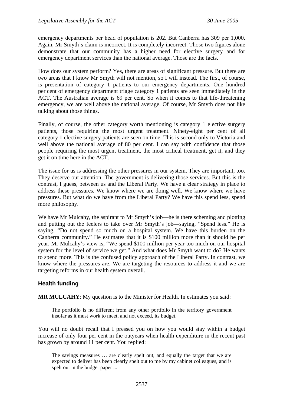emergency departments per head of population is 202. But Canberra has 309 per 1,000. Again, Mr Smyth's claim is incorrect. It is completely incorrect. Those two figures alone demonstrate that our community has a higher need for elective surgery and for emergency department services than the national average. Those are the facts.

How does our system perform? Yes, there are areas of significant pressure. But there are two areas that I know Mr Smyth will not mention, so I will instead. The first, of course, is presentation of category 1 patients to our emergency departments. One hundred per cent of emergency department triage category 1 patients are seen immediately in the ACT. The Australian average is 69 per cent. So when it comes to that life-threatening emergency, we are well above the national average. Of course, Mr Smyth does not like talking about those things.

Finally, of course, the other category worth mentioning is category 1 elective surgery patients, those requiring the most urgent treatment. Ninety-eight per cent of all category 1 elective surgery patients are seen on time. This is second only to Victoria and well above the national average of 80 per cent. I can say with confidence that those people requiring the most urgent treatment, the most critical treatment, get it, and they get it on time here in the ACT.

The issue for us is addressing the other pressures in our system. They are important, too. They deserve our attention. The government is delivering those services. But this is the contrast, I guess, between us and the Liberal Party. We have a clear strategy in place to address these pressures. We know where we are doing well. We know where we have pressures. But what do we have from the Liberal Party? We have this spend less, spend more philosophy.

We have Mr Mulcahy, the aspirant to Mr Smyth's job—he is there scheming and plotting and putting out the feelers to take over Mr Smyth's job—saying, "Spend less." He is saying, "Do not spend so much on a hospital system. We have this burden on the Canberra community." He estimates that it is \$100 million more than it should be per year. Mr Mulcahy's view is, "We spend \$100 million per year too much on our hospital system for the level of service we get." And what does Mr Smyth want to do? He wants to spend more. This is the confused policy approach of the Liberal Party. In contrast, we know where the pressures are. We are targeting the resources to address it and we are targeting reforms in our health system overall.

## **Health funding**

**MR MULCAHY**: My question is to the Minister for Health. In estimates you said:

The portfolio is no different from any other portfolio in the territory government insofar as it must work to meet, and not exceed, its budget.

You will no doubt recall that I pressed you on how you would stay within a budget increase of only four per cent in the outyears when health expenditure in the recent past has grown by around 11 per cent. You replied:

The savings measures … are clearly spelt out, and equally the target that we are expected to deliver has been clearly spelt out to me by my cabinet colleagues, and is spelt out in the budget paper ...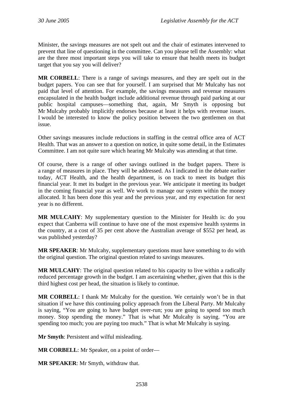Minister, the savings measures are not spelt out and the chair of estimates intervened to prevent that line of questioning in the committee. Can you please tell the Assembly: what are the three most important steps you will take to ensure that health meets its budget target that you say you will deliver?

**MR CORBELL**: There is a range of savings measures, and they are spelt out in the budget papers. You can see that for yourself. I am surprised that Mr Mulcahy has not paid that level of attention. For example, the savings measures and revenue measures encapsulated in the health budget include additional revenue through paid parking at our public hospital campuses—something that, again, Mr Smyth is opposing but Mr Mulcahy probably implicitly endorses because at least it helps with revenue issues. I would be interested to know the policy position between the two gentlemen on that issue.

Other savings measures include reductions in staffing in the central office area of ACT Health. That was an answer to a question on notice, in quite some detail, in the Estimates Committee. I am not quite sure which hearing Mr Mulcahy was attending at that time.

Of course, there is a range of other savings outlined in the budget papers. There is a range of measures in place. They will be addressed. As I indicated in the debate earlier today, ACT Health, and the health department, is on track to meet its budget this financial year. It met its budget in the previous year. We anticipate it meeting its budget in the coming financial year as well. We work to manage our system within the money allocated. It has been done this year and the previous year, and my expectation for next year is no different.

**MR MULCAHY**: My supplementary question to the Minister for Health is: do you expect that Canberra will continue to have one of the most expensive health systems in the country, at a cost of 35 per cent above the Australian average of \$552 per head, as was published yesterday?

**MR SPEAKER**: Mr Mulcahy, supplementary questions must have something to do with the original question. The original question related to savings measures.

**MR MULCAHY**: The original question related to his capacity to live within a radically reduced percentage growth in the budget. I am ascertaining whether, given that this is the third highest cost per head, the situation is likely to continue.

**MR CORBELL**: I thank Mr Mulcahy for the question. We certainly won't be in that situation if we have this continuing policy approach from the Liberal Party. Mr Mulcahy is saying, "You are going to have budget over-run; you are going to spend too much money. Stop spending the money." That is what Mr Mulcahy is saying. "You are spending too much; you are paying too much." That is what Mr Mulcahy is saying.

**Mr Smyth**: Persistent and wilful misleading.

**MR CORBELL**: Mr Speaker, on a point of order—

**MR SPEAKER**: Mr Smyth, withdraw that.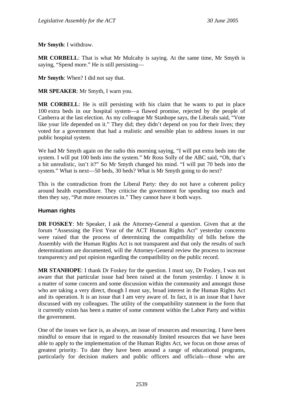**Mr Smyth**: I withdraw.

**MR CORBELL**: That is what Mr Mulcahy is saying. At the same time, Mr Smyth is saying, "Spend more." He is still persisting—

**Mr Smyth**: When? I did not say that.

**MR SPEAKER**: Mr Smyth, I warn you.

**MR CORBELL**: He is still persisting with his claim that he wants to put in place 100 extra beds in our hospital system—a flawed promise, rejected by the people of Canberra at the last election. As my colleague Mr Stanhope says, the Liberals said, "Vote like your life depended on it." They did; they didn't depend on you for their lives; they voted for a government that had a realistic and sensible plan to address issues in our public hospital system.

We had Mr Smyth again on the radio this morning saying, "I will put extra beds into the system. I will put 100 beds into the system." Mr Ross Solly of the ABC said, "Oh, that's a bit unrealistic, isn't it?" So Mr Smyth changed his mind. "I will put 70 beds into the system." What is next—50 beds, 30 beds? What is Mr Smyth going to do next?

This is the contradiction from the Liberal Party: they do not have a coherent policy around health expenditure. They criticise the government for spending too much and then they say, "Put more resources in." They cannot have it both ways.

#### **Human rights**

**DR FOSKEY**: Mr Speaker, I ask the Attorney-General a question. Given that at the forum "Assessing the First Year of the ACT Human Rights Act" yesterday concerns were raised that the process of determining the compatibility of bills before the Assembly with the Human Rights Act is not transparent and that only the results of such determinations are documented, will the Attorney-General review the process to increase transparency and put opinion regarding the compatibility on the public record.

**MR STANHOPE**: I thank Dr Foskey for the question. I must say, Dr Foskey, I was not aware that that particular issue had been raised at the forum yesterday. I know it is a matter of some concern and some discussion within the community and amongst those who are taking a very direct, though I must say, broad interest in the Human Rights Act and its operation. It is an issue that I am very aware of. In fact, it is an issue that I have discussed with my colleagues. The utility of the compatibility statement in the form that it currently exists has been a matter of some comment within the Labor Party and within the government.

One of the issues we face is, as always, an issue of resources and resourcing. I have been mindful to ensure that in regard to the reasonably limited resources that we have been able to apply to the implementation of the Human Rights Act, we focus on those areas of greatest priority. To date they have been around a range of educational programs, particularly for decision makers and public officers and officials—those who are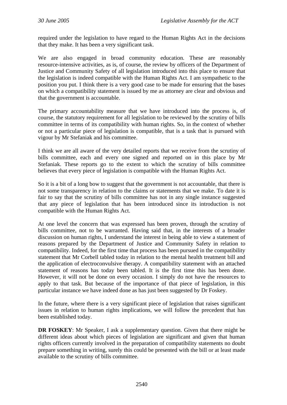required under the legislation to have regard to the Human Rights Act in the decisions that they make. It has been a very significant task.

We are also engaged in broad community education. These are reasonably resource-intensive activities, as is, of course, the review by officers of the Department of Justice and Community Safety of all legislation introduced into this place to ensure that the legislation is indeed compatible with the Human Rights Act. I am sympathetic to the position you put. I think there is a very good case to be made for ensuring that the bases on which a compatibility statement is issued by me as attorney are clear and obvious and that the government is accountable.

The primary accountability measure that we have introduced into the process is, of course, the statutory requirement for all legislation to be reviewed by the scrutiny of bills committee in terms of its compatibility with human rights. So, in the context of whether or not a particular piece of legislation is compatible, that is a task that is pursued with vigour by Mr Stefaniak and his committee.

I think we are all aware of the very detailed reports that we receive from the scrutiny of bills committee, each and every one signed and reported on in this place by Mr Stefaniak. These reports go to the extent to which the scrutiny of bills committee believes that every piece of legislation is compatible with the Human Rights Act.

So it is a bit of a long bow to suggest that the government is not accountable, that there is not some transparency in relation to the claims or statements that we make. To date it is fair to say that the scrutiny of bills committee has not in any single instance suggested that any piece of legislation that has been introduced since its introduction is not compatible with the Human Rights Act.

At one level the concern that was expressed has been proven, through the scrutiny of bills committee, not to be warranted. Having said that, in the interests of a broader discussion on human rights, I understand the interest in being able to view a statement of reasons prepared by the Department of Justice and Community Safety in relation to compatibility. Indeed, for the first time that process has been pursued in the compatibility statement that Mr Corbell tabled today in relation to the mental health treatment bill and the application of electroconvulsive therapy. A compatibility statement with an attached statement of reasons has today been tabled. It is the first time this has been done. However, it will not be done on every occasion. I simply do not have the resources to apply to that task. But because of the importance of that piece of legislation, in this particular instance we have indeed done as has just been suggested by Dr Foskey.

In the future, where there is a very significant piece of legislation that raises significant issues in relation to human rights implications, we will follow the precedent that has been established today.

**DR FOSKEY**: Mr Speaker, I ask a supplementary question. Given that there might be different ideas about which pieces of legislation are significant and given that human rights officers currently involved in the preparation of compatibility statements no doubt prepare something in writing, surely this could be presented with the bill or at least made available to the scrutiny of bills committee.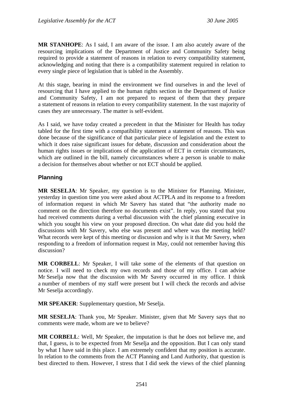**MR STANHOPE**: As I said, I am aware of the issue. I am also acutely aware of the resourcing implications of the Department of Justice and Community Safety being required to provide a statement of reasons in relation to every compatibility statement, acknowledging and noting that there is a compatibility statement required in relation to every single piece of legislation that is tabled in the Assembly.

At this stage, bearing in mind the environment we find ourselves in and the level of resourcing that I have applied to the human rights section in the Department of Justice and Community Safety, I am not prepared to request of them that they prepare a statement of reasons in relation to every compatibility statement. In the vast majority of cases they are unnecessary. The matter is self-evident.

As I said, we have today created a precedent in that the Minister for Health has today tabled for the first time with a compatibility statement a statement of reasons. This was done because of the significance of that particular piece of legislation and the extent to which it does raise significant issues for debate, discussion and consideration about the human rights issues or implications of the application of ECT in certain circumstances, which are outlined in the bill, namely circumstances where a person is unable to make a decision for themselves about whether or not ECT should be applied.

## **Planning**

**MR SESELJA**: Mr Speaker, my question is to the Minister for Planning. Minister, yesterday in question time you were asked about ACTPLA and its response to a freedom of information request in which Mr Savery has stated that "the authority made no comment on the direction therefore no documents exist". In reply, you stated that you had received comments during a verbal discussion with the chief planning executive in which you sought his view on your proposed direction. On what date did you hold the discussions with Mr Savery, who else was present and where was the meeting held? What records were kept of this meeting or discussion and why is it that Mr Savery, when responding to a freedom of information request in May, could not remember having this discussion?

**MR CORBELL**: Mr Speaker, I will take some of the elements of that question on notice. I will need to check my own records and those of my office. I can advise Mr Seselja now that the discussion with Mr Savery occurred in my office. I think a number of members of my staff were present but I will check the records and advise Mr Seselja accordingly.

**MR SPEAKER**: Supplementary question, Mr Seselja.

**MR SESELJA**: Thank you, Mr Speaker. Minister, given that Mr Savery says that no comments were made, whom are we to believe?

**MR CORBELL**: Well, Mr Speaker, the imputation is that he does not believe me, and that, I guess, is to be expected from Mr Seselja and the opposition. But I can only stand by what I have said in this place. I am extremely confident that my position is accurate. In relation to the comments from the ACT Planning and Land Authority, that question is best directed to them. However, I stress that I did seek the views of the chief planning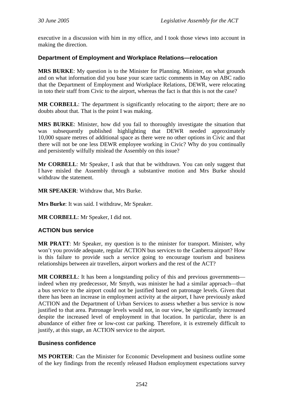executive in a discussion with him in my office, and I took those views into account in making the direction.

### **Department of Employment and Workplace Relations—relocation**

**MRS BURKE**: My question is to the Minister for Planning. Minister, on what grounds and on what information did you base your scare tactic comments in May on ABC radio that the Department of Employment and Workplace Relations, DEWR, were relocating in toto their staff from Civic to the airport, whereas the fact is that this is not the case?

**MR CORBELL**: The department is significantly relocating to the airport; there are no doubts about that. That is the point I was making.

**MRS BURKE**: Minister, how did you fail to thoroughly investigate the situation that was subsequently published highlighting that DEWR needed approximately 10,000 square metres of additional space as there were no other options in Civic and that there will not be one less DEWR employee working in Civic? Why do you continually and persistently wilfully mislead the Assembly on this issue?

**Mr CORBELL**: Mr Speaker, I ask that that be withdrawn. You can only suggest that I have misled the Assembly through a substantive motion and Mrs Burke should withdraw the statement.

**MR SPEAKER**: Withdraw that, Mrs Burke.

**Mrs Burke**: It was said. I withdraw, Mr Speaker.

**MR CORBELL**: Mr Speaker, I did not.

#### **ACTION bus service**

**MR PRATT**: Mr Speaker, my question is to the minister for transport. Minister, why won't you provide adequate, regular ACTION bus services to the Canberra airport? How is this failure to provide such a service going to encourage tourism and business relationships between air travellers, airport workers and the rest of the ACT?

**MR CORBELL:** It has been a longstanding policy of this and previous governments indeed when my predecessor, Mr Smyth, was minister he had a similar approach—that a bus service to the airport could not be justified based on patronage levels. Given that there has been an increase in employment activity at the airport, I have previously asked ACTION and the Department of Urban Services to assess whether a bus service is now justified to that area. Patronage levels would not, in our view, be significantly increased despite the increased level of employment in that location. In particular, there is an abundance of either free or low-cost car parking. Therefore, it is extremely difficult to justify, at this stage, an ACTION service to the airport.

#### **Business confidence**

**MS PORTER**: Can the Minister for Economic Development and business outline some of the key findings from the recently released Hudson employment expectations survey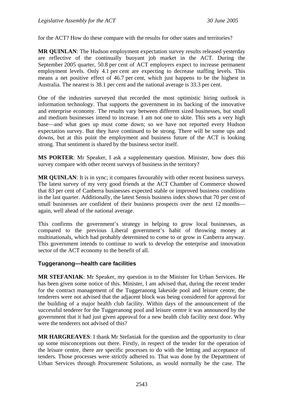for the ACT? How do these compare with the results for other states and territories?

**MR QUINLAN:** The Hudson employment expectation survey results released yesterday are reflective of the continually buoyant job market in the ACT. During the September 2005 quarter, 50.8 per cent of ACT employers expect to increase permanent employment levels. Only 4.1 per cent are expecting to decrease staffing levels. This means a net positive effect of 46.7 per cent, which just happens to be the highest in Australia. The nearest is 38.1 per cent and the national average is 33.3 per cent.

One of the industries surveyed that recorded the most optimistic hiring outlook is information technology. That supports the government in its backing of the innovative and enterprise economy. The results vary between different sized businesses, but small and medium businesses intend to increase. I am not one to skite. This sets a very high base—and what goes up must come down; so we have not reported every Hudson expectation survey. But they have continued to be strong. There will be some ups and downs, but at this point the employment and business future of the ACT is looking strong. That sentiment is shared by the business sector itself.

**MS PORTER**: Mr Speaker, I ask a supplementary question. Minister, how does this survey compare with other recent surveys of business in the territory?

**MR QUINLAN:** It is in sync; it compares favourably with other recent business surveys. The latest survey of my very good friends at the ACT Chamber of Commerce showed that 83 per cent of Canberra businesses expected stable or improved business conditions in the last quarter. Additionally, the latest Sensis business index shows that 70 per cent of small businesses are confident of their business prospects over the next 12 months again, well ahead of the national average.

This confirms the government's strategy in helping to grow local businesses, as compared to the previous Liberal government's habit of throwing money at multinationals, which had probably determined to come to or grow in Canberra anyway. This government intends to continue to work to develop the enterprise and innovation sector of the ACT economy to the benefit of all.

## **Tuggeranong—health care facilities**

**MR STEFANIAK**: Mr Speaker, my question is to the Minister for Urban Services. He has been given some notice of this. Minister, I am advised that, during the recent tender for the contract management of the Tuggeranong lakeside pool and leisure centre, the tenderers were not advised that the adjacent block was being considered for approval for the building of a major health club facility. Within days of the announcement of the successful tenderer for the Tuggeranong pool and leisure centre it was announced by the government that it had just given approval for a new health club facility next door. Why were the tenderers not advised of this?

**MR HARGREAVES**: I thank Mr Stefaniak for the question and the opportunity to clear up some misconceptions out there. Firstly, in respect of the tender for the operation of the leisure centre, there are specific processes to do with the letting and acceptance of tenders. Those processes were strictly adhered to. That was done by the Department of Urban Services through Procurement Solutions, as would normally be the case. The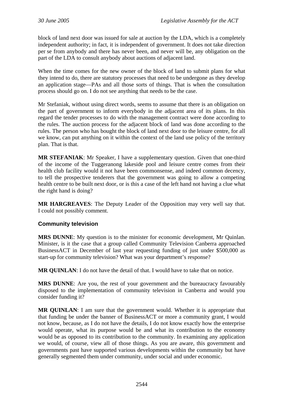block of land next door was issued for sale at auction by the LDA, which is a completely independent authority; in fact, it is independent of government. It does not take direction per se from anybody and there has never been, and never will be, any obligation on the part of the LDA to consult anybody about auctions of adjacent land.

When the time comes for the new owner of the block of land to submit plans for what they intend to do, there are statutory processes that need to be undergone as they develop an application stage—PAs and all those sorts of things. That is when the consultation process should go on. I do not see anything that needs to be the case.

Mr Stefaniak, without using direct words, seems to assume that there is an obligation on the part of government to inform everybody in the adjacent area of its plans. In this regard the tender processes to do with the management contract were done according to the rules. The auction process for the adjacent block of land was done according to the rules. The person who has bought the block of land next door to the leisure centre, for all we know, can put anything on it within the context of the land use policy of the territory plan. That is that.

**MR STEFANIAK**: Mr Speaker, I have a supplementary question. Given that one-third of the income of the Tuggeranong lakeside pool and leisure centre comes from their health club facility would it not have been commonsense, and indeed common decency, to tell the prospective tenderers that the government was going to allow a competing health centre to be built next door, or is this a case of the left hand not having a clue what the right hand is doing?

**MR HARGREAVES**: The Deputy Leader of the Opposition may very well say that. I could not possibly comment.

## **Community television**

**MRS DUNNE**: My question is to the minister for economic development, Mr Quinlan. Minister, is it the case that a group called Community Television Canberra approached BusinessACT in December of last year requesting funding of just under \$500,000 as start-up for community television? What was your department's response?

**MR QUINLAN**: I do not have the detail of that. I would have to take that on notice.

**MRS DUNNE**: Are you, the rest of your government and the bureaucracy favourably disposed to the implementation of community television in Canberra and would you consider funding it?

**MR QUINLAN**: I am sure that the government would. Whether it is appropriate that that funding be under the banner of BusinessACT or more a community grant, I would not know, because, as I do not have the details, I do not know exactly how the enterprise would operate, what its purpose would be and what its contribution to the economy would be as opposed to its contribution to the community. In examining any application we would, of course, view all of those things. As you are aware, this government and governments past have supported various developments within the community but have generally segmented them under community, under social and under economic.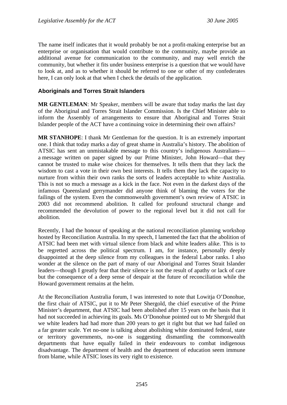The name itself indicates that it would probably be not a profit-making enterprise but an enterprise or organisation that would contribute to the community, maybe provide an additional avenue for communication to the community, and may well enrich the community, but whether it fits under business enterprise is a question that we would have to look at, and as to whether it should be referred to one or other of my confederates here, I can only look at that when I check the details of the application.

#### **Aboriginals and Torres Strait Islanders**

**MR GENTLEMAN**: Mr Speaker, members will be aware that today marks the last day of the Aboriginal and Torres Strait Islander Commission. Is the Chief Minister able to inform the Assembly of arrangements to ensure that Aboriginal and Torres Strait Islander people of the ACT have a continuing voice in determining their own affairs?

**MR STANHOPE**: I thank Mr Gentleman for the question. It is an extremely important one. I think that today marks a day of great shame in Australia's history. The abolition of ATSIC has sent an unmistakable message to this country's indigenous Australians a message written on paper signed by our Prime Minister, John Howard—that they cannot be trusted to make wise choices for themselves. It tells them that they lack the wisdom to cast a vote in their own best interests. It tells them they lack the capacity to nurture from within their own ranks the sorts of leaders acceptable to white Australia. This is not so much a message as a kick in the face. Not even in the darkest days of the infamous Queensland gerrymander did anyone think of blaming the voters for the failings of the system. Even the commonwealth government's own review of ATSIC in 2003 did not recommend abolition. It called for profound structural change and recommended the devolution of power to the regional level but it did not call for abolition.

Recently, I had the honour of speaking at the national reconciliation planning workshop hosted by Reconciliation Australia. In my speech, I lamented the fact that the abolition of ATSIC had been met with virtual silence from black and white leaders alike. This is to be regretted across the political spectrum. I am, for instance, personally deeply disappointed at the deep silence from my colleagues in the federal Labor ranks. I also wonder at the silence on the part of many of our Aboriginal and Torres Strait Islander leaders—though I greatly fear that their silence is not the result of apathy or lack of care but the consequence of a deep sense of despair at the future of reconciliation while the Howard government remains at the helm.

At the Reconciliation Australia forum, I was interested to note that Lowitja O'Donohue, the first chair of ATSIC, put it to Mr Peter Shergold, the chief executive of the Prime Minister's department, that ATSIC had been abolished after 15 years on the basis that it had not succeeded in achieving its goals. Ms O'Donohue pointed out to Mr Shergold that we white leaders had had more than 200 years to get it right but that we had failed on a far greater scale. Yet no-one is talking about abolishing white dominated federal, state or territory governments, no-one is suggesting dismantling the commonwealth departments that have equally failed in their endeavours to combat indigenous disadvantage. The department of health and the department of education seem immune from blame, while ATSIC loses its very right to existence.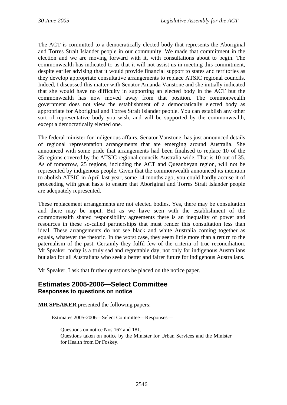The ACT is committed to a democratically elected body that represents the Aboriginal and Torres Strait Islander people in our community. We made that commitment in the election and we are moving forward with it, with consultations about to begin. The commonwealth has indicated to us that it will not assist us in meeting this commitment, despite earlier advising that it would provide financial support to states and territories as they develop appropriate consultative arrangements to replace ATSIC regional councils. Indeed, I discussed this matter with Senator Amanda Vanstone and she initially indicated that she would have no difficulty in supporting an elected body in the ACT but the commonwealth has now moved away from that position. The commonwealth government does not view the establishment of a democratically elected body as appropriate for Aboriginal and Torres Strait Islander people. You can establish any other sort of representative body you wish, and will be supported by the commonwealth, except a democratically elected one.

The federal minister for indigenous affairs, Senator Vanstone, has just announced details of regional representation arrangements that are emerging around Australia. She announced with some pride that arrangements had been finalised to replace 10 of the 35 regions covered by the ATSIC regional councils Australia wide. That is 10 out of 35. As of tomorrow, 25 regions, including the ACT and Queanbeyan region, will not be represented by indigenous people. Given that the commonwealth announced its intention to abolish ATSIC in April last year, some 14 months ago, you could hardly accuse it of proceeding with great haste to ensure that Aboriginal and Torres Strait Islander people are adequately represented.

These replacement arrangements are not elected bodies. Yes, there may be consultation and there may be input. But as we have seen with the establishment of the commonwealth shared responsibility agreements there is an inequality of power and resources in these so-called partnerships that must render this consultation less than ideal. These arrangements do not see black and white Australia coming together as equals, whatever the rhetoric. In the worst case, they seem little more than a return to the paternalism of the past. Certainly they fulfil few of the criteria of true reconciliation. Mr Speaker, today is a truly sad and regrettable day, not only for indigenous Australians but also for all Australians who seek a better and fairer future for indigenous Australians.

Mr Speaker, I ask that further questions be placed on the notice paper.

#### **Estimates 2005-2006—Select Committee Responses to questions on notice**

**MR SPEAKER** presented the following papers:

Estimates 2005-2006—Select Committee—Responses—

Questions on notice Nos 167 and 181. Questions taken on notice by the Minister for Urban Services and the Minister for Health from Dr Foskey.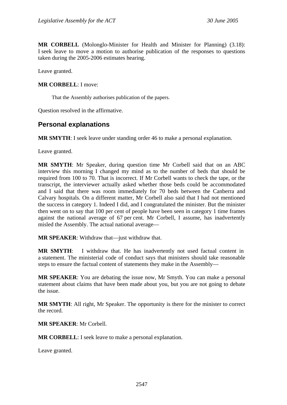**MR CORBELL** (Molonglo-Minister for Health and Minister for Planning) (3.18): I seek leave to move a motion to authorise publication of the responses to questions taken during the 2005-2006 estimates hearing.

Leave granted.

#### **MR CORBELL**: I move:

That the Assembly authorises publication of the papers.

Question resolved in the affirmative.

## **Personal explanations**

**MR SMYTH**: I seek leave under standing order 46 to make a personal explanation.

Leave granted.

**MR SMYTH**: Mr Speaker, during question time Mr Corbell said that on an ABC interview this morning I changed my mind as to the number of beds that should be required from 100 to 70. That is incorrect. If Mr Corbell wants to check the tape, or the transcript, the interviewer actually asked whether those beds could be accommodated and I said that there was room immediately for 70 beds between the Canberra and Calvary hospitals. On a different matter, Mr Corbell also said that I had not mentioned the success in category 1. Indeed I did, and I congratulated the minister. But the minister then went on to say that 100 per cent of people have been seen in category 1 time frames against the national average of 67 per cent. Mr Corbell, I assume, has inadvertently misled the Assembly. The actual national average—

**MR SPEAKER**: Withdraw that—just withdraw that.

**MR SMYTH**: I withdraw that. He has inadvertently not used factual content in a statement. The ministerial code of conduct says that ministers should take reasonable steps to ensure the factual content of statements they make in the Assembly—

**MR SPEAKER**: You are debating the issue now, Mr Smyth. You can make a personal statement about claims that have been made about you, but you are not going to debate the issue.

**MR SMYTH**: All right, Mr Speaker. The opportunity is there for the minister to correct the record.

**MR SPEAKER**: Mr Corbell.

**MR CORBELL**: I seek leave to make a personal explanation.

Leave granted.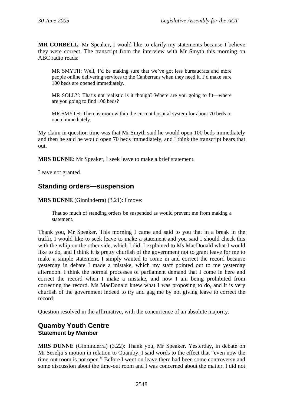**MR CORBELL**: Mr Speaker, I would like to clarify my statements because I believe they were correct. The transcript from the interview with Mr Smyth this morning on ABC radio reads:

MR SMYTH: Well, I'd be making sure that we've got less bureaucrats and more people online delivering services to the Canberrans when they need it. I'd make sure 100 beds are opened immediately.

MR SOLLY: That's not realistic is it though? Where are you going to fit—where are you going to find 100 beds?

MR SMYTH: There is room within the current hospital system for about 70 beds to open immediately.

My claim in question time was that Mr Smyth said he would open 100 beds immediately and then he said he would open 70 beds immediately, and I think the transcript bears that out.

**MRS DUNNE**: Mr Speaker, I seek leave to make a brief statement.

Leave not granted.

## **Standing orders—suspension**

**MRS DUNNE** (Ginninderra) (3.21): I move:

That so much of standing orders be suspended as would prevent me from making a statement.

Thank you, Mr Speaker. This morning I came and said to you that in a break in the traffic I would like to seek leave to make a statement and you said I should check this with the whip on the other side, which I did. I explained to Ms MacDonald what I would like to do, and I think it is pretty churlish of the government not to grant leave for me to make a simple statement. I simply wanted to come in and correct the record because yesterday in debate I made a mistake, which my staff pointed out to me yesterday afternoon. I think the normal processes of parliament demand that I come in here and correct the record when I make a mistake, and now I am being prohibited from correcting the record. Ms MacDonald knew what I was proposing to do, and it is very churlish of the government indeed to try and gag me by not giving leave to correct the record.

Question resolved in the affirmative, with the concurrence of an absolute majority.

## **Quamby Youth Centre Statement by Member**

**MRS DUNNE** (Ginninderra) (3.22): Thank you, Mr Speaker. Yesterday, in debate on Mr Seselja's motion in relation to Quamby, I said words to the effect that "even now the time-out room is not open." Before I went on leave there had been some controversy and some discussion about the time-out room and I was concerned about the matter. I did not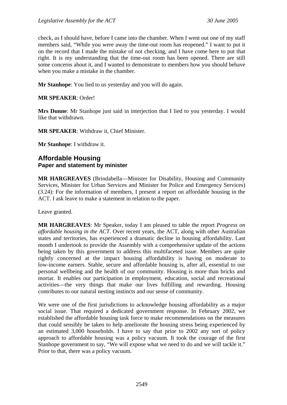check, as I should have, before I came into the chamber. When I went out one of my staff members said, "While you were away the time-out room has reopened." I want to put it on the record that I made the mistake of not checking, and I have come here to put that right. It is my understanding that the time-out room has been opened. There are still some concerns about it, and I wanted to demonstrate to members how you should behave when you make a mistake in the chamber.

**Mr Stanhope**: You lied to us yesterday and you will do again.

**MR SPEAKER**: Order!

**Mrs Dunne**: Mr Stanhope just said in interjection that I lied to you yesterday. I would like that withdrawn.

**MR SPEAKER**: Withdraw it, Chief Minister.

**Mr Stanhope**: I withdraw it.

## **Affordable Housing Paper and statement by minister**

**MR HARGREAVES** (Brindabella—Minister for Disability, Housing and Community Services, Minister for Urban Services and Minister for Police and Emergency Services) (3.24): For the information of members, I present a report on affordable housing in the ACT. I ask leave to make a statement in relation to the paper.

Leave granted.

**MR HARGREAVES**: Mr Speaker, today I am pleased to table the report *Progress on affordable housing in the ACT*. Over recent years, the ACT, along with other Australian states and territories, has experienced a dramatic decline in housing affordability. Last month I undertook to provide the Assembly with a comprehensive update of the actions being taken by this government to address this multifaceted issue. Members are quite rightly concerned at the impact housing affordability is having on moderate to low-income earners. Stable, secure and affordable housing is, after all, essential to our personal wellbeing and the health of our community. Housing is more than bricks and mortar. It enables our participation in employment, education, social and recreational activities—the very things that make our lives fulfilling and rewarding. Housing contributes to our natural nesting instincts and our sense of community.

We were one of the first jurisdictions to acknowledge housing affordability as a major social issue. That required a dedicated government response. In February 2002, we established the affordable housing task force to make recommendations on the measures that could sensibly be taken to help ameliorate the housing stress being experienced by an estimated 3,000 households. I have to say that prior to 2002 any sort of policy approach to affordable housing was a policy vacuum. It took the courage of the first Stanhope government to say, "We will expose what we need to do and we will tackle it." Prior to that, there was a policy vacuum.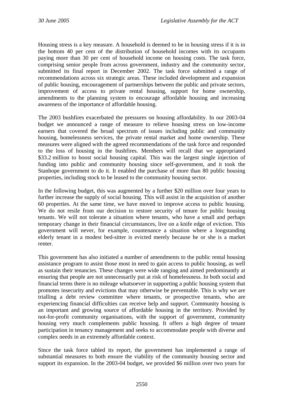Housing stress is a key measure. A household is deemed to be in housing stress if it is in the bottom 40 per cent of the distribution of household incomes with its occupants paying more than 30 per cent of household income on housing costs. The task force, comprising senior people from across government, industry and the community sector, submitted its final report in December 2002. The task force submitted a range of recommendations across six strategic areas. These included development and expansion of public housing, encouragement of partnerships between the public and private sectors, improvement of access to private rental housing, support for home ownership, amendments to the planning system to encourage affordable housing and increasing awareness of the importance of affordable housing.

The 2003 bushfires exacerbated the pressures on housing affordability. In our 2003-04 budget we announced a range of measure to relieve housing stress on low-income earners that covered the broad spectrum of issues including public and community housing, homelessness services, the private rental market and home ownership. These measures were aligned with the agreed recommendations of the task force and responded to the loss of housing in the bushfires. Members will recall that we appropriated \$33.2 million to boost social housing capital. This was the largest single injection of funding into public and community housing since self-government, and it took the Stanhope government to do it. It enabled the purchase of more than 80 public housing properties, including stock to be leased to the community housing sector.

In the following budget, this was augmented by a further \$20 million over four years to further increase the supply of social housing. This will assist in the acquisition of another 60 properties. At the same time, we have moved to improve access to public housing. We do not resile from our decision to restore security of tenure for public housing tenants. We will not tolerate a situation where tenants, who have a small and perhaps temporary change in their financial circumstances, live on a knife edge of eviction. This government will never, for example, countenance a situation where a longstanding elderly tenant in a modest bed-sitter is evicted merely because he or she is a market renter.

This government has also initiated a number of amendments to the public rental housing assistance program to assist those most in need to gain access to public housing, as well as sustain their tenancies. These changes were wide ranging and aimed predominantly at ensuring that people are not unnecessarily put at risk of homelessness. In both social and financial terms there is no mileage whatsoever in supporting a public housing system that promotes insecurity and evictions that may otherwise be preventable. This is why we are trialling a debt review committee where tenants, or prospective tenants, who are experiencing financial difficulties can receive help and support. Community housing is an important and growing source of affordable housing in the territory. Provided by not-for-profit community organisations, with the support of government, community housing very much complements public housing. It offers a high degree of tenant participation in tenancy management and seeks to accommodate people with diverse and complex needs in an extremely affordable context.

Since the task force tabled its report, the government has implemented a range of substantial measures to both ensure the viability of the community housing sector and support its expansion. In the 2003-04 budget, we provided \$6 million over two years for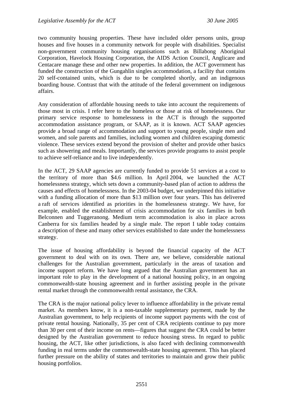two community housing properties. These have included older persons units, group houses and five houses in a community network for people with disabilities. Specialist non-government community housing organisations such as Billabong Aboriginal Corporation, Havelock Housing Corporation, the AIDS Action Council, Anglicare and Centacare manage these and other new properties. In addition, the ACT government has funded the construction of the Gungahlin singles accommodation, a facility that contains 20 self-contained units, which is due to be completed shortly, and an indigenous boarding house. Contrast that with the attitude of the federal government on indigenous affairs.

Any consideration of affordable housing needs to take into account the requirements of those most in crisis. I refer here to the homeless or those at risk of homelessness. Our primary service response to homelessness in the ACT is through the supported accommodation assistance program, or SAAP, as it is known. ACT SAAP agencies provide a broad range of accommodation and support to young people, single men and women, and sole parents and families, including women and children escaping domestic violence. These services extend beyond the provision of shelter and provide other basics such as showering and meals. Importantly, the services provide programs to assist people to achieve self-reliance and to live independently.

In the ACT, 29 SAAP agencies are currently funded to provide 51 services at a cost to the territory of more than \$4.6 million. In April 2004, we launched the ACT homelessness strategy, which sets down a community-based plan of action to address the causes and effects of homelessness. In the 2003-04 budget, we underpinned this initiative with a funding allocation of more than \$13 million over four years. This has delivered a raft of services identified as priorities in the homelessness strategy. We have, for example, enabled the establishment of crisis accommodation for six families in both Belconnen and Tuggeranong. Medium term accommodation is also in place across Canberra for six families headed by a single male. The report I table today contains a description of these and many other services established to date under the homelessness strategy.

The issue of housing affordability is beyond the financial capacity of the ACT government to deal with on its own. There are, we believe, considerable national challenges for the Australian government, particularly in the areas of taxation and income support reform. We have long argued that the Australian government has an important role to play in the development of a national housing policy, in an ongoing commonwealth-state housing agreement and in further assisting people in the private rental market through the commonwealth rental assistance, the CRA.

The CRA is the major national policy lever to influence affordability in the private rental market. As members know, it is a non-taxable supplementary payment, made by the Australian government, to help recipients of income support payments with the cost of private rental housing. Nationally, 35 per cent of CRA recipients continue to pay more than 30 per cent of their income on rents—figures that suggest the CRA could be better designed by the Australian government to reduce housing stress. In regard to public housing, the ACT, like other jurisdictions, is also faced with declining commonwealth funding in real terms under the commonwealth-state housing agreement. This has placed further pressure on the ability of states and territories to maintain and grow their public housing portfolios.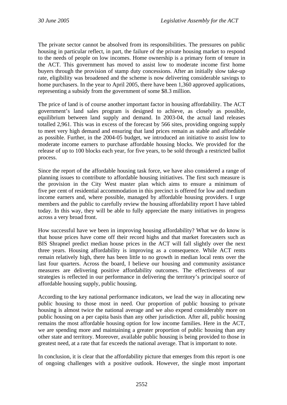The private sector cannot be absolved from its responsibilities. The pressures on public housing in particular reflect, in part, the failure of the private housing market to respond to the needs of people on low incomes. Home ownership is a primary form of tenure in the ACT. This government has moved to assist low to moderate income first home buyers through the provision of stamp duty concessions. After an initially slow take-up rate, eligibility was broadened and the scheme is now delivering considerable savings to home purchasers. In the year to April 2005, there have been 1,360 approved applications, representing a subsidy from the government of some \$8.3 million.

The price of land is of course another important factor in housing affordability. The ACT government's land sales program is designed to achieve, as closely as possible, equilibrium between land supply and demand. In 2003-04, the actual land releases totalled 2,961. This was in excess of the forecast by 566 sites, providing ongoing supply to meet very high demand and ensuring that land prices remain as stable and affordable as possible. Further, in the 2004-05 budget, we introduced an initiative to assist low to moderate income earners to purchase affordable housing blocks. We provided for the release of up to 100 blocks each year, for five years, to be sold through a restricted ballot process.

Since the report of the affordable housing task force, we have also considered a range of planning issues to contribute to affordable housing initiatives. The first such measure is the provision in the City West master plan which aims to ensure a minimum of five per cent of residential accommodation in this precinct is offered for low and medium income earners and, where possible, managed by affordable housing providers. I urge members and the public to carefully review the housing affordability report I have tabled today. In this way, they will be able to fully appreciate the many initiatives in progress across a very broad front.

How successful have we been in improving housing affordability? What we do know is that house prices have come off their record highs and that market forecasters such as BIS Shrapnel predict median house prices in the ACT will fall slightly over the next three years. Housing affordability is improving as a consequence. While ACT rents remain relatively high, there has been little to no growth in median local rents over the last four quarters. Across the board, I believe our housing and community assistance measures are delivering positive affordability outcomes. The effectiveness of our strategies is reflected in our performance in delivering the territory's principal source of affordable housing supply, public housing.

According to the key national performance indicators, we lead the way in allocating new public housing to those most in need. Our proportion of public housing to private housing is almost twice the national average and we also expend considerably more on public housing on a per capita basis than any other jurisdiction. After all, public housing remains the most affordable housing option for low income families. Here in the ACT, we are spending more and maintaining a greater proportion of public housing than any other state and territory. Moreover, available public housing is being provided to those in greatest need, at a rate that far exceeds the national average. That is important to note.

In conclusion, it is clear that the affordability picture that emerges from this report is one of ongoing challenges with a positive outlook. However, the single most important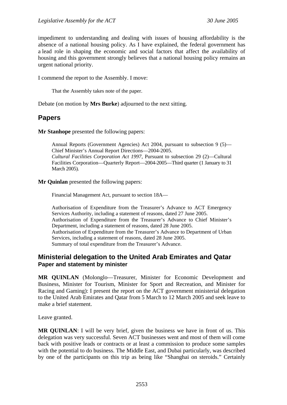impediment to understanding and dealing with issues of housing affordability is the absence of a national housing policy. As I have explained, the federal government has a lead role in shaping the economic and social factors that affect the availability of housing and this government strongly believes that a national housing policy remains an urgent national priority.

I commend the report to the Assembly. I move:

That the Assembly takes note of the paper.

Debate (on motion by **Mrs Burke**) adjourned to the next sitting.

## **Papers**

**Mr Stanhope** presented the following papers:

Annual Reports (Government Agencies) Act 2004, pursuant to subsection 9 (5)— Chief Minister's Annual Report Directions—2004-2005. *Cultural Facilities Corporation Act 1997*, Pursuant to subsection 29 (2)—Cultural Facilities Corporation—Quarterly Report—2004-2005—Third quarter (1 January to 31 March 2005).

**Mr Quinlan** presented the following papers:

Financial Management Act, pursuant to section 18A—

Authorisation of Expenditure from the Treasurer's Advance to ACT Emergency Services Authority, including a statement of reasons, dated 27 June 2005. Authorisation of Expenditure from the Treasurer's Advance to Chief Minister's Department, including a statement of reasons, dated 28 June 2005. Authorisation of Expenditure from the Treasurer's Advance to Department of Urban Services, including a statement of reasons, dated 28 June 2005. Summary of total expenditure from the Treasurer's Advance.

## **Ministerial delegation to the United Arab Emirates and Qatar Paper and statement by minister**

**MR QUINLAN** (Molonglo—Treasurer, Minister for Economic Development and Business, Minister for Tourism, Minister for Sport and Recreation, and Minister for Racing and Gaming): I present the report on the ACT government ministerial delegation to the United Arab Emirates and Qatar from 5 March to 12 March 2005 and seek leave to make a brief statement.

Leave granted.

**MR QUINLAN**: I will be very brief, given the business we have in front of us. This delegation was very successful. Seven ACT businesses went and most of them will come back with positive leads or contracts or at least a commission to produce some samples with the potential to do business. The Middle East, and Dubai particularly, was described by one of the participants on this trip as being like "Shanghai on steroids." Certainly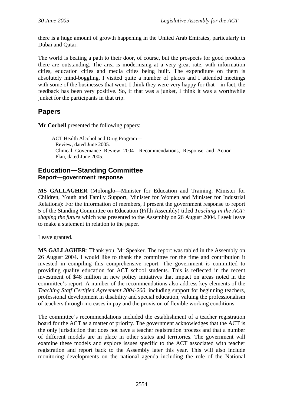there is a huge amount of growth happening in the United Arab Emirates, particularly in Dubai and Qatar.

The world is beating a path to their door, of course, but the prospects for good products there are outstanding. The area is modernising at a very great rate, with information cities, education cities and media cities being built. The expenditure on them is absolutely mind-boggling. I visited quite a number of places and I attended meetings with some of the businesses that went. I think they were very happy for that—in fact, the feedback has been very positive. So, if that was a junket, I think it was a worthwhile junket for the participants in that trip.

# **Papers**

**Mr Corbell** presented the following papers:

ACT Health Alcohol and Drug Program— Review, dated June 2005. Clinical Governance Review 2004—Recommendations, Response and Action Plan, dated June 2005.

## **Education—Standing Committee Report—government response**

**MS GALLAGHER** (Molonglo—Minister for Education and Training, Minister for Children, Youth and Family Support, Minister for Women and Minister for Industrial Relations): For the information of members, I present the government response to report 5 of the Standing Committee on Education (Fifth Assembly) titled *Teaching in the ACT: shaping the future* which was presented to the Assembly on 26 August 2004. I seek leave to make a statement in relation to the paper.

Leave granted.

**MS GALLAGHER**: Thank you, Mr Speaker. The report was tabled in the Assembly on 26 August 2004. I would like to thank the committee for the time and contribution it invested in compiling this comprehensive report. The government is committed to providing quality education for ACT school students. This is reflected in the recent investment of \$48 million in new policy initiatives that impact on areas noted in the committee's report. A number of the recommendations also address key elements of the *Teaching Staff Certified Agreement 2004-200*, including support for beginning teachers, professional development in disability and special education, valuing the professionalism of teachers through increases in pay and the provision of flexible working conditions.

The committee's recommendations included the establishment of a teacher registration board for the ACT as a matter of priority. The government acknowledges that the ACT is the only jurisdiction that does not have a teacher registration process and that a number of different models are in place in other states and territories. The government will examine these models and explore issues specific to the ACT associated with teacher registration and report back to the Assembly later this year. This will also include monitoring developments on the national agenda including the role of the National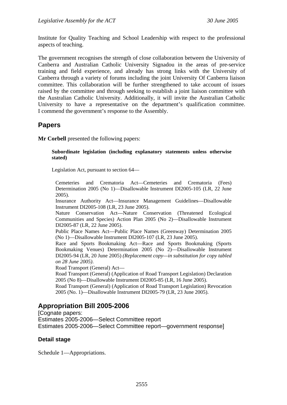Institute for Quality Teaching and School Leadership with respect to the professional aspects of teaching.

The government recognises the strength of close collaboration between the University of Canberra and Australian Catholic University Signadou in the areas of pre-service training and field experience, and already has strong links with the University of Canberra through a variety of forums including the joint University Of Canberra liaison committee. This collaboration will be further strengthened to take account of issues raised by the committee and through seeking to establish a joint liaison committee with the Australian Catholic University. Additionally, it will invite the Australian Catholic University to have a representative on the department's qualification committee. I commend the government's response to the Assembly.

## **Papers**

**Mr Corbell** presented the following papers:

#### **Subordinate legislation (including explanatory statements unless otherwise stated)**

Legislation Act, pursuant to section 64—

Cemeteries and Crematoria Act—Cemeteries and Crematoria (Fees) Determination 2005 (No 1)—Disallowable Instrument DI2005-105 (LR, 22 June 2005).

Insurance Authority Act—Insurance Management Guidelines—Disallowable Instrument DI2005-108 (LR, 23 June 2005).

Nature Conservation Act—Nature Conservation (Threatened Ecological Communities and Species) Action Plan 2005 (No 2)—Disallowable Instrument DI2005-87 (LR, 22 June 2005).

Public Place Names Act—Public Place Names (Greenway) Determination 2005 (No 1)—Disallowable Instrument DI2005-107 (LR, 23 June 2005).

Race and Sports Bookmaking Act—Race and Sports Bookmaking (Sports Bookmaking Venues) Determination 2005 (No 2)—Disallowable Instrument DI2005-94 (LR, 20 June 2005) *(Replacement copy—in substitution for copy tabled on 28 June 2005)*.

Road Transport (General) Act—

Road Transport (General) (Application of Road Transport Legislation) Declaration 2005 (No 8)—Disallowable Instrument DI2005-85 (LR, 16 June 2005).

Road Transport (General) (Application of Road Transport Legislation) Revocation 2005 (No. 1)—Disallowable Instrument DI2005-79 (LR, 23 June 2005).

# **Appropriation Bill 2005-2006**

[Cognate papers: Estimates 2005-2006—Select Committee report Estimates 2005-2006—Select Committee report—government response]

## **Detail stage**

Schedule 1—Appropriations.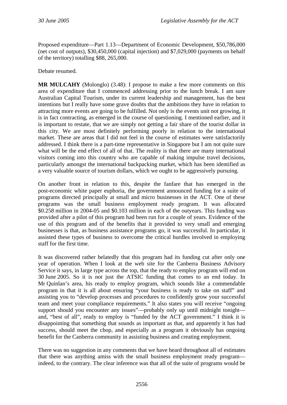Proposed expenditure—Part 1.13—Department of Economic Development, \$50,786,000 (net cost of outputs), \$30,450,000 (capital injection) and \$7,029,000 (payments on behalf of the territory) totalling \$88, 265,000.

Debate resumed.

**MR MULCAHY** (Molonglo) (3.48): I propose to make a few more comments on this area of expenditure that I commenced addressing prior to the lunch break. I am sure Australian Capital Tourism, under its current leadership and management, has the best intentions but I really have some grave doubts that the ambitions they have in relation to attracting more events are going to be fulfilled. Not only is the events unit not growing, it is in fact contracting, as emerged in the course of questioning. I mentioned earlier, and it is important to restate, that we are simply not getting a fair share of the tourist dollar in this city. We are most definitely performing poorly in relation to the international market. These are areas that I did not feel in the course of estimates were satisfactorily addressed. I think there is a part-time representative in Singapore but I am not quite sure what will be the end effect of all of that. The reality is that there are many international visitors coming into this country who are capable of making impulse travel decisions, particularly amongst the international backpacking market, which has been identified as a very valuable source of tourism dollars, which we ought to be aggressively pursuing.

On another front in relation to this, despite the fanfare that has emerged in the post-economic white paper euphoria, the government announced funding for a suite of programs directed principally at small and micro businesses in the ACT. One of these programs was the small business employment ready program. It was allocated \$0.258 million in 2004-05 and \$0.103 million in each of the outyears. This funding was provided after a pilot of this program had been run for a couple of years. Evidence of the use of this program and of the benefits that it provided to very small and emerging businesses is that, as business assistance programs go, it was successful. In particular, it assisted these types of business to overcome the critical hurdles involved in employing staff for the first time.

It was discovered rather belatedly that this program had its funding cut after only one year of operation. When I look at the web site for the Canberra Business Advisory Service it says, in large type across the top, that the ready to employ program will end on 30 June 2005. So it is not just the ATSIC funding that comes to an end today. In Mr Quinlan's area, his ready to employ program, which sounds like a commendable program in that it is all about ensuring "your business is ready to take on staff" and assisting you to "develop processes and procedures to confidently grow your successful team and meet your compliance requirements." It also states you will receive "ongoing support should you encounter any issues"—probably only up until midnight tonight and, "best of all", ready to employ is "funded by the ACT government." I think it is disappointing that something that sounds as important as that, and apparently it has had success, should meet the chop, and especially as a program it obviously has ongoing benefit for the Canberra community in assisting business and creating employment.

There was no suggestion in any comments that we have heard throughout all of estimates that there was anything amiss with the small business employment ready program indeed, to the contrary. The clear inference was that all of the suite of programs would be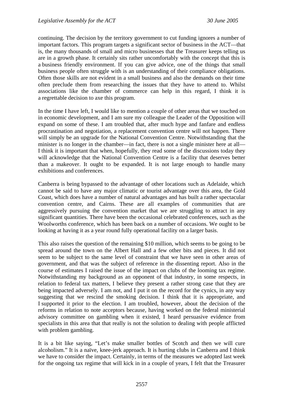continuing. The decision by the territory government to cut funding ignores a number of important factors. This program targets a significant sector of business in the ACT—that is, the many thousands of small and micro businesses that the Treasurer keeps telling us are in a growth phase. It certainly sits rather uncomfortably with the concept that this is a business friendly environment. If you can give advice, one of the things that small business people often struggle with is an understanding of their compliance obligations. Often those skills are not evident in a small business and also the demands on their time often preclude them from researching the issues that they have to attend to. Whilst associations like the chamber of commerce can help in this regard, I think it is a regrettable decision to axe this program.

In the time I have left, I would like to mention a couple of other areas that we touched on in economic development, and I am sure my colleague the Leader of the Opposition will expand on some of these. I am troubled that, after much hype and fanfare and endless procrastination and negotiation, a replacement convention centre will not happen. There will simply be an upgrade for the National Convention Centre. Notwithstanding that the minister is no longer in the chamber—in fact, there is not a single minister here at all— I think it is important that when, hopefully, they read some of the discussions today they will acknowledge that the National Convention Centre is a facility that deserves better than a makeover. It ought to be expanded. It is not large enough to handle many exhibitions and conferences.

Canberra is being bypassed to the advantage of other locations such as Adelaide, which cannot be said to have any major climatic or tourist advantage over this area, the Gold Coast, which does have a number of natural advantages and has built a rather spectacular convention centre, and Cairns. These are all examples of communities that are aggressively pursuing the convention market that we are struggling to attract in any significant quantities. There have been the occasional celebrated conferences, such as the Woolworths conference, which has been back on a number of occasions. We ought to be looking at having it as a year round fully operational facility on a larger basis.

This also raises the question of the remaining \$10 million, which seems to be going to be spread around the town on the Albert Hall and a few other bits and pieces. It did not seem to be subject to the same level of constraint that we have seen in other areas of government, and that was the subject of reference in the dissenting report. Also in the course of estimates I raised the issue of the impact on clubs of the looming tax regime. Notwithstanding my background as an opponent of that industry, in some respects, in relation to federal tax matters, I believe they present a rather strong case that they are being impacted adversely. I am not, and I put it on the record for the cynics, in any way suggesting that we rescind the smoking decision. I think that it is appropriate, and I supported it prior to the election. I am troubled, however, about the decision of the reforms in relation to note acceptors because, having worked on the federal ministerial advisory committee on gambling when it existed, I heard persuasive evidence from specialists in this area that that really is not the solution to dealing with people afflicted with problem gambling.

It is a bit like saying, "Let's make smaller bottles of Scotch and then we will cure alcoholism." It is a naïve, knee-jerk approach. It is hurting clubs in Canberra and I think we have to consider the impact. Certainly, in terms of the measures we adopted last week for the ongoing tax regime that will kick in in a couple of years, I felt that the Treasurer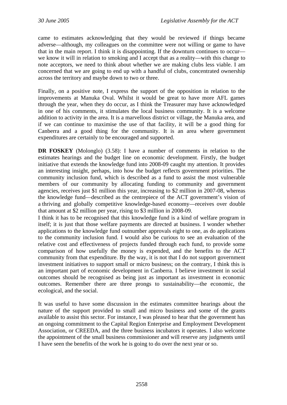came to estimates acknowledging that they would be reviewed if things became adverse—although, my colleagues on the committee were not willing or game to have that in the main report. I think it is disappointing. If the downturn continues to occur we know it will in relation to smoking and I accept that as a reality—with this change to note acceptors, we need to think about whether we are making clubs less viable. I am concerned that we are going to end up with a handful of clubs, concentrated ownership across the territory and maybe down to two or three.

Finally, on a positive note, I express the support of the opposition in relation to the improvements at Manuka Oval. Whilst it would be great to have more AFL games through the year, when they do occur, as I think the Treasurer may have acknowledged in one of his comments, it stimulates the local business community. It is a welcome addition to activity in the area. It is a marvellous district or village, the Manuka area, and if we can continue to maximise the use of that facility, it will be a good thing for Canberra and a good thing for the community. It is an area where government expenditures are certainly to be encouraged and supported.

**DR FOSKEY** (Molonglo) (3.58): I have a number of comments in relation to the estimates hearings and the budget line on economic development. Firstly, the budget initiative that extends the knowledge fund into 2008-09 caught my attention. It provides an interesting insight, perhaps, into how the budget reflects government priorities. The community inclusion fund, which is described as a fund to assist the most vulnerable members of our community by allocating funding to community and government agencies, receives just \$1 million this year, increasing to \$2 million in 2007-08, whereas the knowledge fund—described as the centrepiece of the ACT government's vision of a thriving and globally competitive knowledge-based economy—receives over double that amount at \$2 million per year, rising to \$3 million in 2008-09.

I think it has to be recognised that this knowledge fund is a kind of welfare program in itself; it is just that those welfare payments are directed at business. I wonder whether applications to the knowledge fund outnumber approvals eight to one, as do applications to the community inclusion fund. I would also be curious to see an evaluation of the relative cost and effectiveness of projects funded through each fund, to provide some comparison of how usefully the money is expended, and the benefits to the ACT community from that expenditure. By the way, it is not that I do not support government investment initiatives to support small or micro business; on the contrary, I think this is an important part of economic development in Canberra. I believe investment in social outcomes should be recognised as being just as important as investment in economic outcomes. Remember there are three prongs to sustainability—the economic, the ecological, and the social.

It was useful to have some discussion in the estimates committee hearings about the nature of the support provided to small and micro business and some of the grants available to assist this sector. For instance, I was pleased to hear that the government has an ongoing commitment to the Capital Region Enterprise and Employment Development Association, or CREEDA, and the three business incubators it operates. I also welcome the appointment of the small business commissioner and will reserve any judgments until I have seen the benefits of the work he is going to do over the next year or so.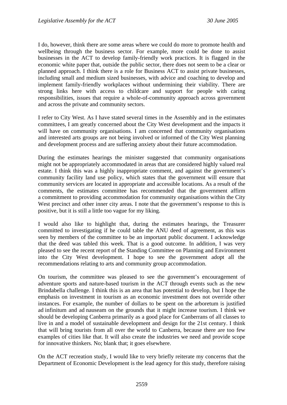I do, however, think there are some areas where we could do more to promote health and wellbeing through the business sector. For example, more could be done to assist businesses in the ACT to develop family-friendly work practices. It is flagged in the economic white paper that, outside the public sector, there does not seem to be a clear or planned approach. I think there is a role for Business ACT to assist private businesses, including small and medium sized businesses, with advice and coaching to develop and implement family-friendly workplaces without undermining their viability. There are strong links here with access to childcare and support for people with caring responsibilities, issues that require a whole-of-community approach across government and across the private and community sectors.

I refer to City West. As I have stated several times in the Assembly and in the estimates committees, I am greatly concerned about the City West development and the impacts it will have on community organisations. I am concerned that community organisations and interested arts groups are not being involved or informed of the City West planning and development process and are suffering anxiety about their future accommodation.

During the estimates hearings the minister suggested that community organisations might not be appropriately accommodated in areas that are considered highly valued real estate. I think this was a highly inappropriate comment, and against the government's community facility land use policy, which states that the government will ensure that community services are located in appropriate and accessible locations. As a result of the comments, the estimates committee has recommended that the government affirm a commitment to providing accommodation for community organisations within the City West precinct and other inner city areas. I note that the government's response to this is positive, but it is still a little too vague for my liking.

I would also like to highlight that, during the estimates hearings, the Treasurer committed to investigating if he could table the ANU deed of agreement, as this was seen by members of the committee to be an important public document. I acknowledge that the deed was tabled this week. That is a good outcome. In addition, I was very pleased to see the recent report of the Standing Committee on Planning and Environment into the City West development. I hope to see the government adopt all the recommendations relating to arts and community group accommodation.

On tourism, the committee was pleased to see the government's encouragement of adventure sports and nature-based tourism in the ACT through events such as the new Brindabella challenge. I think this is an area that has potential to develop, but I hope the emphasis on investment in tourism as an economic investment does not override other instances. For example, the number of dollars to be spent on the arboretum is justified ad infinitum and ad nauseam on the grounds that it might increase tourism. I think we should be developing Canberra primarily as a good place for Canberrans of all classes to live in and a model of sustainable development and design for the 21st century. I think that will bring tourists from all over the world to Canberra, because there are too few examples of cities like that. It will also create the industries we need and provide scope for innovative thinkers. No; blank that; it goes elsewhere.

On the ACT recreation study, I would like to very briefly reiterate my concerns that the Department of Economic Development is the lead agency for this study, therefore raising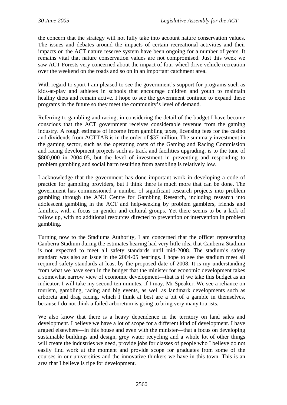the concern that the strategy will not fully take into account nature conservation values. The issues and debates around the impacts of certain recreational activities and their impacts on the ACT nature reserve system have been ongoing for a number of years. It remains vital that nature conservation values are not compromised. Just this week we saw ACT Forests very concerned about the impact of four-wheel drive vehicle recreation over the weekend on the roads and so on in an important catchment area.

With regard to sport I am pleased to see the government's support for programs such as kids-at-play and athletes in schools that encourage children and youth to maintain healthy diets and remain active. I hope to see the government continue to expand these programs in the future so they meet the community's level of demand.

Referring to gambling and racing, in considering the detail of the budget I have become conscious that the ACT government receives considerable revenue from the gaming industry. A rough estimate of income from gambling taxes, licensing fees for the casino and dividends from ACTTAB is in the order of \$37 million. The summary investment in the gaming sector, such as the operating costs of the Gaming and Racing Commission and racing development projects such as track and facilities upgrading, is to the tune of \$800,000 in 2004-05, but the level of investment in preventing and responding to problem gambling and social harm resulting from gambling is relatively low.

I acknowledge that the government has done important work in developing a code of practice for gambling providers, but I think there is much more that can be done. The government has commissioned a number of significant research projects into problem gambling through the ANU Centre for Gambling Research, including research into adolescent gambling in the ACT and help-seeking by problem gamblers, friends and families, with a focus on gender and cultural groups. Yet there seems to be a lack of follow up, with no additional resources directed to prevention or intervention in problem gambling.

Turning now to the Stadiums Authority, I am concerned that the officer representing Canberra Stadium during the estimates hearing had very little idea that Canberra Stadium is not expected to meet all safety standards until mid-2008. The stadium's safety standard was also an issue in the 2004-05 hearings. I hope to see the stadium meet all required safety standards at least by the proposed date of 2008. It is my understanding from what we have seen in the budget that the minister for economic development takes a somewhat narrow view of economic development—that is if we take this budget as an indicator. I will take my second ten minutes, if I may, Mr Speaker. We see a reliance on tourism, gambling, racing and big events, as well as landmark developments such as arboreta and drag racing, which I think at best are a bit of a gamble in themselves, because I do not think a failed arboretum is going to bring very many tourists.

We also know that there is a heavy dependence in the territory on land sales and development. I believe we have a lot of scope for a different kind of development. I have argued elsewhere—in this house and even with the minister—that a focus on developing sustainable buildings and design, grey water recycling and a whole lot of other things will create the industries we need, provide jobs for classes of people who I believe do not easily find work at the moment and provide scope for graduates from some of the courses in our universities and the innovative thinkers we have in this town. This is an area that I believe is ripe for development.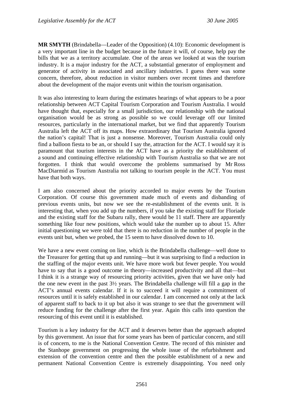**MR SMYTH** (Brindabella—Leader of the Opposition) (4.10): Economic development is a very important line in the budget because in the future it will, of course, help pay the bills that we as a territory accumulate. One of the areas we looked at was the tourism industry. It is a major industry for the ACT, a substantial generator of employment and generator of activity in associated and ancillary industries. I guess there was some concern, therefore, about reduction in visitor numbers over recent times and therefore about the development of the major events unit within the tourism organisation.

It was also interesting to learn during the estimates hearings of what appears to be a poor relationship between ACT Capital Tourism Corporation and Tourism Australia. I would have thought that, especially for a small jurisdiction, our relationship with the national organisation would be as strong as possible so we could leverage off our limited resources, particularly in the international market, but we find that apparently Tourism Australia left the ACT off its maps. How extraordinary that Tourism Australia ignored the nation's capital! That is just a nonsense. Moreover, Tourism Australia could only find a balloon fiesta to be an, or should I say the, attraction for the ACT. I would say it is paramount that tourism interests in the ACT have as a priority the establishment of a sound and continuing effective relationship with Tourism Australia so that we are not forgotten. I think that would overcome the problems summarised by Mr Ross MacDiarmid as Tourism Australia not talking to tourism people in the ACT. You must have that both ways.

I am also concerned about the priority accorded to major events by the Tourism Corporation. Of course this government made much of events and disbanding of previous events units, but now we see the re-establishment of the events unit. It is interesting that, when you add up the numbers, if you take the existing staff for Floriade and the existing staff for the Subaru rally, there would be 11 staff. There are apparently something like four new positions, which would take the number up to about 15. After initial questioning we were told that there is no reduction in the number of people in the events unit but, when we probed, the 15 seem to have dissolved down to 10.

We have a new event coming on line, which is the Brindabella challenge—well done to the Treasurer for getting that up and running—but it was surprising to find a reduction in the staffing of the major events unit. We have more work but fewer people. You would have to say that is a good outcome in theory—increased productivity and all that—but I think it is a strange way of resourcing priority activities, given that we have only had the one new event in the past 3½ years. The Brindabella challenge will fill a gap in the ACT's annual events calendar. If it is to succeed it will require a commitment of resources until it is safely established in our calendar. I am concerned not only at the lack of apparent staff to back to it up but also it was strange to see that the government will reduce funding for the challenge after the first year. Again this calls into question the resourcing of this event until it is established.

Tourism is a key industry for the ACT and it deserves better than the approach adopted by this government. An issue that for some years has been of particular concern, and still is of concern, to me is the National Convention Centre. The record of this minister and the Stanhope government on progressing the whole issue of the refurbishment and extension of the convention centre and then the possible establishment of a new and permanent National Convention Centre is extremely disappointing. You need only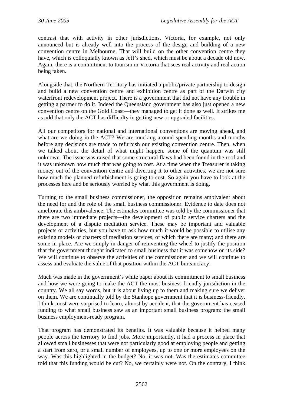contrast that with activity in other jurisdictions. Victoria, for example, not only announced but is already well into the process of the design and building of a new convention centre in Melbourne. That will build on the other convention centre they have, which is colloquially known as Jeff's shed, which must be about a decade old now. Again, there is a commitment to tourism in Victoria that sees real activity and real action being taken.

Alongside that, the Northern Territory has initiated a public/private partnership to design and build a new convention centre and exhibition centre as part of the Darwin city waterfront redevelopment project. There is a government that did not have any trouble in getting a partner to do it. Indeed the Queensland government has also just opened a new convention centre on the Gold Coast—they managed to get it done as well. It strikes me as odd that only the ACT has difficulty in getting new or upgraded facilities.

All our competitors for national and international conventions are moving ahead, and what are we doing in the ACT? We are mucking around spending months and months before any decisions are made to refurbish our existing convention centre. Then, when we talked about the detail of what might happen, some of the quantum was still unknown. The issue was raised that some structural flaws had been found in the roof and it was unknown how much that was going to cost. At a time when the Treasurer is taking money out of the convention centre and diverting it to other activities, we are not sure how much the planned refurbishment is going to cost. So again you have to look at the processes here and be seriously worried by what this government is doing.

Turning to the small business commissioner, the opposition remains ambivalent about the need for and the role of the small business commissioner. Evidence to date does not ameliorate this ambivalence. The estimates committee was told by the commissioner that there are two immediate projects—the development of public service charters and the development of a dispute mediation service. These may be important and valuable projects or activities, but you have to ask how much it would be possible to utilise any existing models or charters of mediation services, of which there are many; and there are some in place. Are we simply in danger of reinventing the wheel to justify the position that the government thought indicated to small business that it was somehow on its side? We will continue to observe the activities of the commissioner and we will continue to assess and evaluate the value of that position within the ACT bureaucracy.

Much was made in the government's white paper about its commitment to small business and how we were going to make the ACT the most business-friendly jurisdiction in the country. We all say words, but it is about living up to them and making sure we deliver on them. We are continually told by the Stanhope government that it is business-friendly. I think most were surprised to learn, almost by accident, that the government has ceased funding to what small business saw as an important small business program: the small business employment-ready program.

That program has demonstrated its benefits. It was valuable because it helped many people across the territory to find jobs. More importantly, it had a process in place that allowed small businesses that were not particularly good at employing people and getting a start from zero, or a small number of employees, up to one or more employees on the way. Was this highlighted in the budget? No, it was not. Was the estimates committee told that this funding would be cut? No, we certainly were not. On the contrary, I think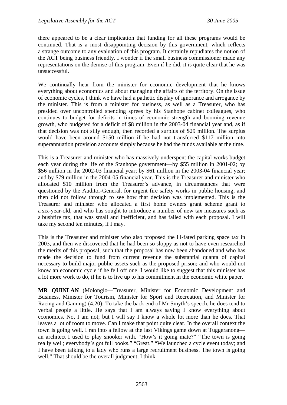there appeared to be a clear implication that funding for all these programs would be continued. That is a most disappointing decision by this government, which reflects a strange outcome to any evaluation of this program. It certainly repudiates the notion of the ACT being business friendly. I wonder if the small business commissioner made any representations on the demise of this program. Even if he did, it is quite clear that he was unsuccessful.

We continually hear from the minister for economic development that he knows everything about economics and about managing the affairs of the territory. On the issue of economic cycles, I think we have had a pathetic display of ignorance and arrogance by the minister. This is from a minister for business, as well as a Treasurer, who has presided over uncontrolled spending sprees by his Stanhope cabinet colleagues, who continues to budget for deficits in times of economic strength and booming revenue growth, who budgeted for a deficit of \$8 million in the 2003-04 financial year and, as if that decision was not silly enough, then recorded a surplus of \$29 million. The surplus would have been around \$150 million if he had not transferred \$117 million into superannuation provision accounts simply because he had the funds available at the time.

This is a Treasurer and minister who has massively underspent the capital works budget each year during the life of the Stanhope government—by \$55 million in 2001-02; by \$56 million in the 2002-03 financial year; by \$61 million in the 2003-04 financial year; and by \$79 million in the 2004-05 financial year. This is the Treasurer and minister who allocated \$10 million from the Treasurer's advance, in circumstances that were questioned by the Auditor-General, for urgent fire safety works in public housing, and then did not follow through to see how that decision was implemented. This is the Treasurer and minister who allocated a first home owners grant scheme grant to a six-year-old, and who has sought to introduce a number of new tax measures such as a bushfire tax, that was small and inefficient, and has failed with each proposal. I will take my second ten minutes, if I may.

This is the Treasurer and minister who also proposed the ill-fated parking space tax in 2003, and then we discovered that he had been so sloppy as not to have even researched the merits of this proposal, such that the proposal has now been abandoned and who has made the decision to fund from current revenue the substantial quanta of capital necessary to build major public assets such as the proposed prison; and who would not know an economic cycle if he fell off one. I would like to suggest that this minister has a lot more work to do, if he is to live up to his commitment in the economic white paper.

**MR QUINLAN** (Molonglo—Treasurer, Minister for Economic Development and Business, Minister for Tourism, Minister for Sport and Recreation, and Minister for Racing and Gaming) (4.20): To take the back end of Mr Smyth's speech, he does tend to verbal people a little. He says that I am always saying I know everything about economics. No, I am not; but I will say I know a whole lot more than he does. That leaves a lot of room to move. Can I make that point quite clear. In the overall context the town is going well. I ran into a fellow at the last Vikings game down at Tuggeranong an architect I used to play snooker with. "How's it going mate?" "The town is going really well; everybody's got full books." "Great." "We launched a cycle event today; and I have been talking to a lady who runs a large recruitment business. The town is going well." That should be the overall judgment, I think.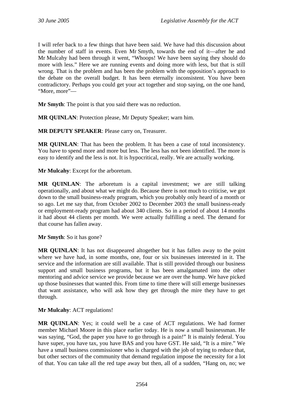I will refer back to a few things that have been said. We have had this discussion about the number of staff in events. Even Mr Smyth, towards the end of it—after he and Mr Mulcahy had been through it went, "Whoops! We have been saying they should do more with less." Here we are running events and doing more with less, but that is still wrong. That is the problem and has been the problem with the opposition's approach to the debate on the overall budget. It has been eternally inconsistent. You have been contradictory. Perhaps you could get your act together and stop saying, on the one hand, "More, more"—

**Mr Smyth**: The point is that you said there was no reduction.

**MR QUINLAN**: Protection please, Mr Deputy Speaker; warn him.

**MR DEPUTY SPEAKER**: Please carry on, Treasurer.

**MR QUINLAN**: That has been the problem. It has been a case of total inconsistency. You have to spend more and more but less. The less has not been identified. The more is easy to identify and the less is not. It is hypocritical, really. We are actually working.

**Mr Mulcahy**: Except for the arboretum.

**MR QUINLAN**: The arboretum is a capital investment; we are still talking operationally, and about what we might do. Because there is not much to criticise, we got down to the small business-ready program, which you probably only heard of a month or so ago. Let me say that, from October 2002 to December 2003 the small business-ready or employment-ready program had about 340 clients. So in a period of about 14 months it had about 44 clients per month. We were actually fulfilling a need. The demand for that course has fallen away.

**Mr Smyth**: So it has gone?

**MR QUINLAN**: It has not disappeared altogether but it has fallen away to the point where we have had, in some months, one, four or six businesses interested in it. The service and the information are still available. That is still provided through our business support and small business programs, but it has been amalgamated into the other mentoring and advice service we provide because we are over the hump. We have picked up those businesses that wanted this. From time to time there will still emerge businesses that want assistance, who will ask how they get through the mire they have to get through.

**Mr Mulcahy**: ACT regulations!

**MR QUINLAN**: Yes; it could well be a case of ACT regulations. We had former member Michael Moore in this place earlier today. He is now a small businessman. He was saying, "God, the paper you have to go through is a pain!" It is mainly federal. You have super, you have tax, you have BAS and you have GST. He said, "It is a mire." We have a small business commissioner who is charged with the job of trying to reduce that, but other sectors of the community that demand regulation impose the necessity for a lot of that. You can take all the red tape away but then, all of a sudden, "Hang on, no; we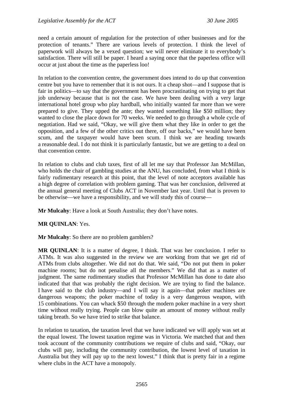need a certain amount of regulation for the protection of other businesses and for the protection of tenants." There are various levels of protection. I think the level of paperwork will always be a vexed question; we will never eliminate it to everybody's satisfaction. There will still be paper. I heard a saying once that the paperless office will occur at just about the time as the paperless loo!

In relation to the convention centre, the government does intend to do up that convention centre but you have to remember that it is not ours. It a cheap shot—and I suppose that is fair in politics—to say that the government has been procrastinating on trying to get that job underway because that is not the case. We have been dealing with a very large international hotel group who play hardball, who initially wanted far more than we were prepared to give. They upped the ante; they wanted something like \$50 million; they wanted to close the place down for 70 weeks. We needed to go through a whole cycle of negotiation. Had we said, "Okay, we will give them what they like in order to get the opposition, and a few of the other critics out there, off our backs," we would have been scum, and the taxpayer would have been scum. I think we are heading towards a reasonable deal. I do not think it is particularly fantastic, but we are getting to a deal on that convention centre.

In relation to clubs and club taxes, first of all let me say that Professor Jan McMillan, who holds the chair of gambling studies at the ANU, has concluded, from what I think is fairly rudimentary research at this point, that the level of note acceptors available has a high degree of correlation with problem gaming. That was her conclusion, delivered at the annual general meeting of Clubs ACT in November last year. Until that is proven to be otherwise—we have a responsibility, and we will study this of course—

**Mr Mulcahy**: Have a look at South Australia; they don't have notes.

**MR QUINLAN**: Yes.

**Mr Mulcahy**: So there are no problem gamblers?

**MR QUINLAN**: It is a matter of degree, I think. That was her conclusion. I refer to ATMs. It was also suggested in the review we are working from that we get rid of ATMs from clubs altogether. We did not do that. We said, "Do not put them in poker machine rooms; but do not penalise all the members." We did that as a matter of judgment. The same rudimentary studies that Professor McMillan has done to date also indicated that that was probably the right decision. We are trying to find the balance. I have said to the club industry—and I will say it again—that poker machines are dangerous weapons; the poker machine of today is a very dangerous weapon, with 15 combinations. You can whack \$50 through the modern poker machine in a very short time without really trying. People can blow quite an amount of money without really taking breath. So we have tried to strike that balance.

In relation to taxation, the taxation level that we have indicated we will apply was set at the equal lowest. The lowest taxation regime was in Victoria. We matched that and then took account of the community contributions we require of clubs and said, "Okay, our clubs will pay, including the community contribution, the lowest level of taxation in Australia but they will pay up to the next lowest." I think that is pretty fair in a regime where clubs in the ACT have a monopoly.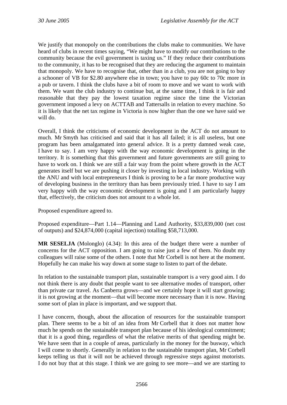We justify that monopoly on the contributions the clubs make to communities. We have heard of clubs in recent times saying, "We might have to modify our contributions to the community because the evil government is taxing us." If they reduce their contributions to the community, it has to be recognised that they are reducing the argument to maintain that monopoly. We have to recognise that, other than in a club, you are not going to buy a schooner of VB for \$2.80 anywhere else in town; you have to pay 60c to 70c more in a pub or tavern. I think the clubs have a bit of room to move and we want to work with them. We want the club industry to continue but, at the same time, I think it is fair and reasonable that they pay the lowest taxation regime since the time the Victorian government imposed a levy on ACTTAB and Tattersalls in relation to every machine. So it is likely that the net tax regime in Victoria is now higher than the one we have said we will do.

Overall, I think the criticisms of economic development in the ACT do not amount to much. Mr Smyth has criticised and said that it has all failed; it is all useless, but one program has been amalgamated into general advice. It is a pretty damned weak case, I have to say. I am very happy with the way economic development is going in the territory. It is something that this government and future governments are still going to have to work on. I think we are still a fair way from the point where growth in the ACT generates itself but we are pushing it closer by investing in local industry. Working with the ANU and with local entrepreneurs I think is proving to be a far more productive way of developing business in the territory than has been previously tried. I have to say I am very happy with the way economic development is going and I am particularly happy that, effectively, the criticism does not amount to a whole lot.

Proposed expenditure agreed to.

Proposed expenditure—Part 1.14—Planning and Land Authority, \$33,839,000 (net cost of outputs) and \$24,874,000 (capital injection) totalling \$58,713,000.

**MR SESELJA** (Molonglo) (4.34): In this area of the budget there were a number of concerns for the ACT opposition. I am going to raise just a few of them. No doubt my colleagues will raise some of the others. I note that Mr Corbell is not here at the moment. Hopefully he can make his way down at some stage to listen to part of the debate.

In relation to the sustainable transport plan, sustainable transport is a very good aim. I do not think there is any doubt that people want to see alternative modes of transport, other than private car travel. As Canberra grows—and we certainly hope it will start growing; it is not growing at the moment—that will become more necessary than it is now. Having some sort of plan in place is important, and we support that.

I have concern, though, about the allocation of resources for the sustainable transport plan. There seems to be a bit of an idea from Mr Corbell that it does not matter how much he spends on the sustainable transport plan because of his ideological commitment; that it is a good thing, regardless of what the relative merits of that spending might be. We have seen that in a couple of areas, particularly in the money for the busway, which I will come to shortly. Generally in relation to the sustainable transport plan, Mr Corbell keeps telling us that it will not be achieved through regressive steps against motorists. I do not buy that at this stage. I think we are going to see more—and we are starting to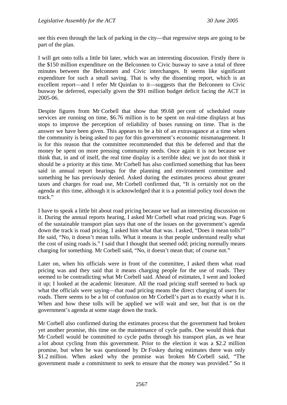see this even through the lack of parking in the city—that regressive steps are going to be part of the plan.

I will get onto tolls a little bit later, which was an interesting discussion. Firstly there is the \$150 million expenditure on the Belconnen to Civic busway to save a total of three minutes between the Belconnen and Civic interchanges. It seems like significant expenditure for such a small saving. That is why the dissenting report, which is an excellent report—and I refer Mr Quinlan to it—suggests that the Belconnen to Civic busway be deferred, especially given the \$91 million budget deficit facing the ACT in 2005-06.

Despite figures from Mr Corbell that show that 99.68 per cent of scheduled route services are running on time, \$6.76 million is to be spent on real-time displays at bus stops to improve the perception of reliability of buses running on time. That is the answer we have been given. This appears to be a bit of an extravagance at a time when the community is being asked to pay for this government's economic mismanagement. It is for this reason that the committee recommended that this be deferred and that the money be spent on more pressing community needs. Once again it is not because we think that, in and of itself, the real time display is a terrible idea; we just do not think it should be a priority at this time. Mr Corbell has also confirmed something that has been said in annual report hearings for the planning and environment committee and something he has previously denied. Asked during the estimates process about greater taxes and charges for road use, Mr Corbell confirmed that, "It is certainly not on the agenda at this time, although it is acknowledged that it is a potential policy tool down the track."

I have to speak a little bit about road pricing because we had an interesting discussion on it. During the annual reports hearing, I asked Mr Corbell what road pricing was. Page 6 of the sustainable transport plan says that one of the issues on the government's agenda down the track is road pricing. I asked him what that was. I asked, "Does it mean tolls?" He said, "No, it doesn't mean tolls. What it means is that people understand really what the cost of using roads is." I said that I thought that seemed odd; pricing normally means charging for something. Mr Corbell said, "No, it doesn't mean that; of course not."

Later on, when his officials were in front of the committee, I asked them what road pricing was and they said that it means charging people for the use of roads. They seemed to be contradicting what Mr Corbell said. Ahead of estimates, I went and looked it up; I looked at the academic literature. All the road pricing stuff seemed to back up what the officials were saying—that road pricing means the direct charging of users for roads. There seems to be a bit of confusion on Mr Corbell's part as to exactly what it is. When and how these tolls will be applied we will wait and see, but that is on the government's agenda at some stage down the track.

Mr Corbell also confirmed during the estimates process that the government had broken yet another promise, this time on the maintenance of cycle paths. One would think that Mr Corbell would be committed to cycle paths through his transport plan, as we hear a lot about cycling from this government. Prior to the election it was a \$2.2 million promise, but when he was questioned by Dr Foskey during estimates there was only \$1.2 million. When asked why the promise was broken Mr Corbell said, "The government made a commitment to seek to ensure that the money was provided." So it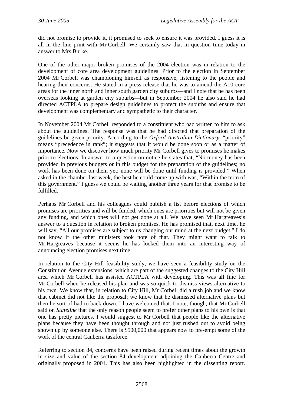did not promise to provide it, it promised to seek to ensure it was provided. I guess it is all in the fine print with Mr Corbell. We certainly saw that in question time today in answer to Mrs Burke.

One of the other major broken promises of the 2004 election was in relation to the development of core area development guidelines. Prior to the election in September 2004 Mr Corbell was championing himself as responsive, listening to the people and hearing their concerns. He stated in a press release that he was to amend the A10 core areas for the inner north and inner south garden city suburbs—and I note that he has been overseas looking at garden city suburbs—but in September 2004 he also said he had directed ACTPLA to prepare design guidelines to protect the suburbs and ensure that development was complementary and sympathetic to their character.

In November 2004 Mr Corbell responded to a constituent who had written to him to ask about the guidelines. The response was that he had directed that preparation of the guidelines be given priority. According to the *Oxford Australian Dictionary*, "priority" means "precedence in rank"; it suggests that it would be done soon or as a matter of importance. Now we discover how much priority Mr Corbell gives to promises he makes prior to elections. In answer to a question on notice he states that, "No money has been provided in previous budgets or in this budget for the preparation of the guidelines; no work has been done on them yet; none will be done until funding is provided." When asked in the chamber last week, the best he could come up with was, "Within the term of this government." I guess we could be waiting another three years for that promise to be fulfilled.

Perhaps Mr Corbell and his colleagues could publish a list before elections of which promises are priorities and will be funded, which ones are priorities but will not be given any funding, and which ones will not get done at all. We have seen Mr Hargreaves's answer to a question in relation to broken promises. He has promised that, next time, he will say, "All our promises are subject to us changing our mind at the next budget." I do not know if the other ministers took note of that. They might want to talk to Mr Hargreaves because it seems he has locked them into an interesting way of announcing election promises next time.

In relation to the City Hill feasibility study, we have seen a feasibility study on the Constitution Avenue extensions, which are part of the suggested changes to the City Hill area which Mr Corbell has assisted ACTPLA with developing. This was all fine for Mr Corbell when he released his plan and was so quick to dismiss views alternative to his own. We know that, in relation to City Hill, Mr Corbell did a rush job and we know that cabinet did not like the proposal; we know that he dismissed alternative plans but then he sort of had to back down. I have welcomed that. I note, though, that Mr Corbell said on *Stateline* that the only reason people seem to prefer other plans to his own is that one has pretty pictures. I would suggest to Mr Corbell that people like the alternative plans because they have been thought through and not just rushed out to avoid being shown up by someone else. There is \$500,000 that appears now to pre-empt some of the work of the central Canberra taskforce.

Referring to section 84, concerns have been raised during recent times about the growth in size and value of the section 84 development adjoining the Canberra Centre and originally proposed in 2001. This has also been highlighted in the dissenting report.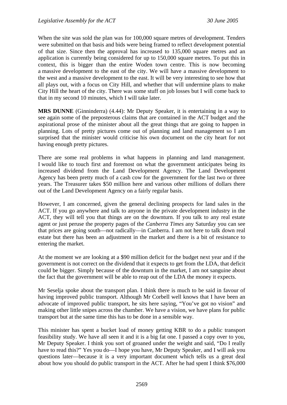When the site was sold the plan was for 100,000 square metres of development. Tenders were submitted on that basis and bids were being framed to reflect development potential of that size. Since then the approval has increased to 135,000 square metres and an application is currently being considered for up to 150,000 square metres. To put this in context, this is bigger than the entire Woden town centre. This is now becoming a massive development to the east of the city. We will have a massive development to the west and a massive development to the east. It will be very interesting to see how that all plays out, with a focus on City Hill, and whether that will undermine plans to make City Hill the heart of the city. There was some stuff on job losses but I will come back to that in my second 10 minutes, which I will take later.

**MRS DUNNE** (Ginninderra) (4.44): Mr Deputy Speaker, it is entertaining in a way to see again some of the preposterous claims that are contained in the ACT budget and the aspirational prose of the minister about all the great things that are going to happen in planning. Lots of pretty pictures come out of planning and land management so I am surprised that the minister would criticise his own document on the city heart for not having enough pretty pictures.

There are some real problems in what happens in planning and land management. I would like to touch first and foremost on what the government anticipates being its increased dividend from the Land Development Agency. The Land Development Agency has been pretty much of a cash cow for the government for the last two or three years. The Treasurer takes \$50 million here and various other millions of dollars there out of the Land Development Agency on a fairly regular basis.

However, I am concerned, given the general declining prospects for land sales in the ACT. If you go anywhere and talk to anyone in the private development industry in the ACT, they will tell you that things are on the downturn. If you talk to any real estate agent or just peruse the property pages of the *Canberra Times* any Saturday you can see that prices are going south—not radically—in Canberra. I am not here to talk down real estate but there has been an adjustment in the market and there is a bit of resistance to entering the market.

At the moment we are looking at a \$90 million deficit for the budget next year and if the government is not correct on the dividend that it expects to get from the LDA, that deficit could be bigger. Simply because of the downturn in the market, I am not sanguine about the fact that the government will be able to reap out of the LDA the money it expects.

Mr Seselja spoke about the transport plan. I think there is much to be said in favour of having improved public transport. Although Mr Corbell well knows that I have been an advocate of improved public transport, he sits here saying, "You've got no vision" and making other little snipes across the chamber. We have a vision, we have plans for public transport but at the same time this has to be done in a sensible way.

This minister has spent a bucket load of money getting KBR to do a public transport feasibility study. We have all seen it and it is a big fat one. I passed a copy over to you, Mr Deputy Speaker. I think you sort of groaned under the weight and said, "Do I really have to read this?" Yes you do—I hope you have, Mr Deputy Speaker, and I will ask you questions later—because it is a very important document which tells us a great deal about how you should do public transport in the ACT. After he had spent I think \$76,000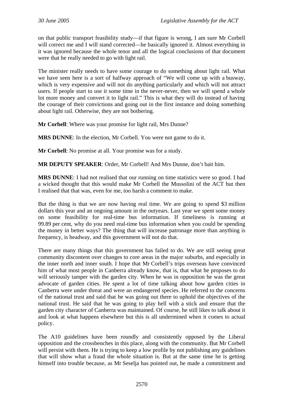on that public transport feasibility study—if that figure is wrong, I am sure Mr Corbell will correct me and I will stand corrected—he basically ignored it. Almost everything in it was ignored because the whole tenor and all the logical conclusions of that document were that he really needed to go with light rail.

The minister really needs to have some courage to do something about light rail. What we have seen here is a sort of halfway approach of "We will come up with a busway, which is very expensive and will not do anything particularly and which will not attract users. If people start to use it some time in the never-never, then we will spend a whole lot more money and convert it to light rail." This is what they will do instead of having the courage of their convictions and going out in the first instance and doing something about light rail. Otherwise, they are not bothering.

**Mr Corbell**: Where was your promise for light rail, Mrs Dunne?

**MRS DUNNE**: In the election, Mr Corbell. You were not game to do it.

**Mr Corbell**: No promise at all. Your promise was for a study.

**MR DEPUTY SPEAKER**: Order, Mr Corbell! And Mrs Dunne, don't bait him.

**MRS DUNNE**: I had not realised that our running on time statistics were so good. I had a wicked thought that this would make Mr Corbell the Mussolini of the ACT but then I realised that that was, even for me, too harsh a comment to make.

But the thing is that we are now having real time. We are going to spend \$3 million dollars this year and an ongoing amount in the outyears. Last year we spent some money on some feasibility for real-time bus information. If timeliness is running at 99.89 per cent, why do you need real-time bus information when you could be spending the money in better ways? The thing that will increase patronage more than anything is frequency, is headway, and this government will not do that.

There are many things that this government has failed to do. We are still seeing great community discontent over changes to core areas in the major suburbs, and especially in the inner north and inner south. I hope that Mr Corbell's trips overseas have convinced him of what most people in Canberra already know, that is, that what he proposes to do will seriously tamper with the garden city. When he was in opposition he was the great advocate of garden cities. He spent a lot of time talking about how garden cities in Canberra were under threat and were an endangered species. He referred to the concerns of the national trust and said that he was going out there to uphold the objectives of the national trust. He said that he was going to play hell with a stick and ensure that the garden city character of Canberra was maintained. Of course, he still likes to talk about it and look at what happens elsewhere but this is all undermined when it comes to actual policy.

The A10 guidelines have been roundly and consistently opposed by the Liberal opposition and the crossbenches in this place, along with the community. But Mr Corbell will persist with them. He is trying to keep a low profile by not publishing any guidelines that will show what a fraud the whole situation is. But at the same time he is getting himself into trouble because, as Mr Seselja has pointed out, he made a commitment and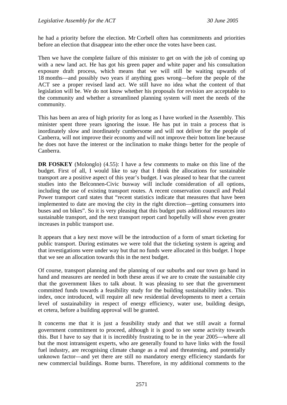he had a priority before the election. Mr Corbell often has commitments and priorities before an election that disappear into the ether once the votes have been cast.

Then we have the complete failure of this minister to get on with the job of coming up with a new land act. He has got his green paper and white paper and his consultation exposure draft process, which means that we will still be waiting upwards of 18 months—and possibly two years if anything goes wrong—before the people of the ACT see a proper revised land act. We still have no idea what the content of that legislation will be. We do not know whether his proposals for revision are acceptable to the community and whether a streamlined planning system will meet the needs of the community.

This has been an area of high priority for as long as I have worked in the Assembly. This minister spent three years ignoring the issue. He has put in train a process that is inordinately slow and inordinately cumbersome and will not deliver for the people of Canberra, will not improve their economy and will not improve their bottom line because he does not have the interest or the inclination to make things better for the people of Canberra.

**DR FOSKEY** (Molonglo) (4.55): I have a few comments to make on this line of the budget. First of all, I would like to say that I think the allocations for sustainable transport are a positive aspect of this year's budget. I was pleased to hear that the current studies into the Belconnen-Civic busway will include consideration of all options, including the use of existing transport routes. A recent conservation council and Pedal Power transport card states that "recent statistics indicate that measures that have been implemented to date are moving the city in the right direction—getting consumers into buses and on bikes". So it is very pleasing that this budget puts additional resources into sustainable transport, and the next transport report card hopefully will show even greater increases in public transport use.

It appears that a key next move will be the introduction of a form of smart ticketing for public transport. During estimates we were told that the ticketing system is ageing and that investigations were under way but that no funds were allocated in this budget. I hope that we see an allocation towards this in the next budget.

Of course, transport planning and the planning of our suburbs and our town go hand in hand and measures are needed in both these areas if we are to create the sustainable city that the government likes to talk about. It was pleasing to see that the government committed funds towards a feasibility study for the building sustainability index. This index, once introduced, will require all new residential developments to meet a certain level of sustainability in respect of energy efficiency, water use, building design, et cetera, before a building approval will be granted.

It concerns me that it is just a feasibility study and that we still await a formal government commitment to proceed, although it is good to see some activity towards this. But I have to say that it is incredibly frustrating to be in the year 2005—where all but the most intransigent experts, who are generally found to have links with the fossil fuel industry, are recognising climate change as a real and threatening, and potentially unknown factor—and yet there are still no mandatory energy efficiency standards for new commercial buildings. Rome burns. Therefore, in my additional comments to the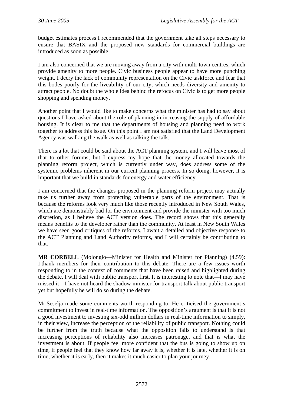budget estimates process I recommended that the government take all steps necessary to ensure that BASIX and the proposed new standards for commercial buildings are introduced as soon as possible.

I am also concerned that we are moving away from a city with multi-town centres, which provide amenity to more people. Civic business people appear to have more punching weight. I decry the lack of community representation on the Civic taskforce and fear that this bodes poorly for the liveability of our city, which needs diversity and amenity to attract people. No doubt the whole idea behind the refocus on Civic is to get more people shopping and spending money.

Another point that I would like to make concerns what the minister has had to say about questions I have asked about the role of planning in increasing the supply of affordable housing. It is clear to me that the departments of housing and planning need to work together to address this issue. On this point I am not satisfied that the Land Development Agency was walking the walk as well as talking the talk.

There is a lot that could be said about the ACT planning system, and I will leave most of that to other forums, but I express my hope that the money allocated towards the planning reform project, which is currently under way, does address some of the systemic problems inherent in our current planning process. In so doing, however, it is important that we build in standards for energy and water efficiency.

I am concerned that the changes proposed in the planning reform project may actually take us further away from protecting vulnerable parts of the environment. That is because the reforms look very much like those recently introduced in New South Wales, which are demonstrably bad for the environment and provide the minister with too much discretion, as I believe the ACT version does. The record shows that this generally means benefits to the developer rather than the community. At least in New South Wales we have seen good critiques of the reforms. I await a detailed and objective response to the ACT Planning and Land Authority reforms, and I will certainly be contributing to that.

**MR CORBELL** (Molonglo—Minister for Health and Minister for Planning) (4.59): I thank members for their contribution to this debate. There are a few issues worth responding to in the context of comments that have been raised and highlighted during the debate. I will deal with public transport first. It is interesting to note that—I may have missed it—I have not heard the shadow minister for transport talk about public transport yet but hopefully he will do so during the debate.

Mr Seselja made some comments worth responding to. He criticised the government's commitment to invest in real-time information. The opposition's argument is that it is not a good investment to investing six-odd million dollars in real-time information to simply, in their view, increase the perception of the reliability of public transport. Nothing could be further from the truth because what the opposition fails to understand is that increasing perceptions of reliability also increases patronage, and that is what the investment is about. If people feel more confident that the bus is going to show up on time, if people feel that they know how far away it is, whether it is late, whether it is on time, whether it is early, then it makes it much easier to plan your journey.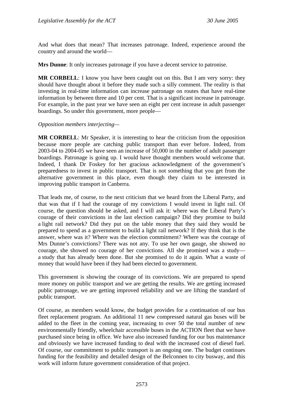And what does that mean? That increases patronage. Indeed, experience around the country and around the world—

**Mrs Dunne**: It only increases patronage if you have a decent service to patronise.

**MR CORBELL:** I know you have been caught out on this. But I am very sorry: they should have thought about it before they made such a silly comment. The reality is that investing in real-time information can increase patronage on routes that have real-time information by between three and 10 per cent. That is a significant increase in patronage. For example, in the past year we have seen an eight per cent increase in adult passenger boardings. So under this government, more people—

### *Opposition members interjecting—*

**MR CORBELL**: Mr Speaker, it is interesting to hear the criticism from the opposition because more people are catching public transport than ever before. Indeed, from 2003-04 to 2004-05 we have seen an increase of 50,000 in the number of adult passenger boardings. Patronage is going up. I would have thought members would welcome that. Indeed, I thank Dr Foskey for her gracious acknowledgment of the government's preparedness to invest in public transport. That is not something that you get from the alternative government in this place, even though they claim to be interested in improving public transport in Canberra.

That leads me, of course, to the next criticism that we heard from the Liberal Party, and that was that if I had the courage of my convictions I would invest in light rail. Of course, the question should be asked, and I will ask it: where was the Liberal Party's courage of their convictions in the last election campaign? Did they promise to build a light rail network? Did they put on the table money that they said they would be prepared to spend as a government to build a light rail network? If they think that is the answer, where was it? Where was the election commitment? Where was the courage of Mrs Dunne's convictions? There was not any. To use her own gauge, she showed no courage, she showed no courage of her convictions. All she promised was a study a study that has already been done. But she promised to do it again. What a waste of money that would have been if they had been elected to government.

This government is showing the courage of its convictions. We are prepared to spend more money on public transport and we are getting the results. We are getting increased public patronage, we are getting improved reliability and we are lifting the standard of public transport.

Of course, as members would know, the budget provides for a continuation of our bus fleet replacement program. An additional 11 new compressed natural gas buses will be added to the fleet in the coming year, increasing to over 50 the total number of new environmentally friendly, wheelchair accessible buses in the ACTION fleet that we have purchased since being in office. We have also increased funding for our bus maintenance and obviously we have increased funding to deal with the increased cost of diesel fuel. Of course, our commitment to public transport is an ongoing one. The budget continues funding for the feasibility and detailed design of the Belconnen to city busway, and this work will inform future government consideration of that project.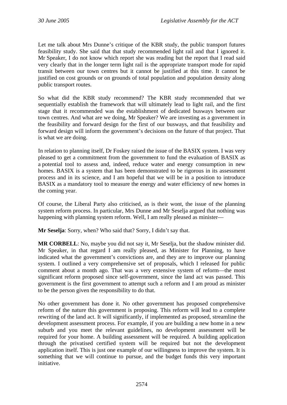Let me talk about Mrs Dunne's critique of the KBR study, the public transport futures feasibility study. She said that that study recommended light rail and that I ignored it. Mr Speaker, I do not know which report she was reading but the report that I read said very clearly that in the longer term light rail is the appropriate transport mode for rapid transit between our town centres but it cannot be justified at this time. It cannot be justified on cost grounds or on grounds of total population and population density along public transport routes.

So what did the KBR study recommend? The KBR study recommended that we sequentially establish the framework that will ultimately lead to light rail, and the first stage that it recommended was the establishment of dedicated busways between our town centres. And what are we doing, Mr Speaker? We are investing as a government in the feasibility and forward design for the first of our busways, and that feasibility and forward design will inform the government's decisions on the future of that project. That is what we are doing.

In relation to planning itself, Dr Foskey raised the issue of the BASIX system. I was very pleased to get a commitment from the government to fund the evaluation of BASIX as a potential tool to assess and, indeed, reduce water and energy consumption in new homes. BASIX is a system that has been demonstrated to be rigorous in its assessment process and in its science, and I am hopeful that we will be in a position to introduce BASIX as a mandatory tool to measure the energy and water efficiency of new homes in the coming year.

Of course, the Liberal Party also criticised, as is their wont, the issue of the planning system reform process. In particular, Mrs Dunne and Mr Seselja argued that nothing was happening with planning system reform. Well, I am really pleased as minister—

**Mr Seselja**: Sorry, when? Who said that? Sorry, I didn't say that.

**MR CORBELL**: No, maybe you did not say it, Mr Seselja, but the shadow minister did. Mr Speaker, in that regard I am really pleased, as Minister for Planning, to have indicated what the government's convictions are, and they are to improve our planning system. I outlined a very comprehensive set of proposals, which I released for public comment about a month ago. That was a very extensive system of reform—the most significant reform proposed since self-government, since the land act was passed. This government is the first government to attempt such a reform and I am proud as minister to be the person given the responsibility to do that.

No other government has done it. No other government has proposed comprehensive reform of the nature this government is proposing. This reform will lead to a complete rewriting of the land act. It will significantly, if implemented as proposed, streamline the development assessment process. For example, if you are building a new home in a new suburb and you meet the relevant guidelines, no development assessment will be required for your home. A building assessment will be required. A building application through the privatised certified system will be required but not the development application itself. This is just one example of our willingness to improve the system. It is something that we will continue to pursue, and the budget funds this very important initiative.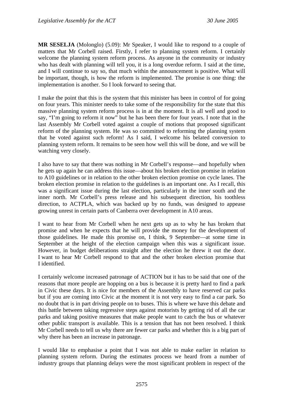**MR SESELJA** (Molonglo) (5.09): Mr Speaker, I would like to respond to a couple of matters that Mr Corbell raised. Firstly, I refer to planning system reform. I certainly welcome the planning system reform process. As anyone in the community or industry who has dealt with planning will tell you, it is a long overdue reform. I said at the time, and I will continue to say so, that much within the announcement is positive. What will be important, though, is how the reform is implemented. The promise is one thing: the implementation is another. So I look forward to seeing that.

I make the point that this is the system that this minister has been in control of for going on four years. This minister needs to take some of the responsibility for the state that this massive planning system reform process is in at the moment. It is all well and good to say, "I'm going to reform it now" but he has been there for four years. I note that in the last Assembly Mr Corbell voted against a couple of motions that proposed significant reform of the planning system. He was so committed to reforming the planning system that he voted against such reform! As I said, I welcome his belated conversion to planning system reform. It remains to be seen how well this will be done, and we will be watching very closely.

I also have to say that there was nothing in Mr Corbell's response—and hopefully when he gets up again he can address this issue—about his broken election promise in relation to A10 guidelines or in relation to the other broken election promise on cycle lanes. The broken election promise in relation to the guidelines is an important one. As I recall, this was a significant issue during the last election, particularly in the inner south and the inner north. Mr Corbell's press release and his subsequent direction, his toothless direction, to ACTPLA, which was backed up by no funds, was designed to appease growing unrest in certain parts of Canberra over development in A10 areas.

I want to hear from Mr Corbell when he next gets up as to why he has broken that promise and when he expects that he will provide the money for the development of those guidelines. He made this promise on, I think, 9 September—at some time in September at the height of the election campaign when this was a significant issue. However, in budget deliberations straight after the election he threw it out the door. I want to hear Mr Corbell respond to that and the other broken election promise that I identified.

I certainly welcome increased patronage of ACTION but it has to be said that one of the reasons that more people are hopping on a bus is because it is pretty hard to find a park in Civic these days. It is nice for members of the Assembly to have reserved car parks but if you are coming into Civic at the moment it is not very easy to find a car park. So no doubt that is in part driving people on to buses. This is where we have this debate and this battle between taking regressive steps against motorists by getting rid of all the car parks and taking positive measures that make people want to catch the bus or whatever other public transport is available. This is a tension that has not been resolved. I think Mr Corbell needs to tell us why there are fewer car parks and whether this is a big part of why there has been an increase in patronage.

I would like to emphasise a point that I was not able to make earlier in relation to planning system reform. During the estimates process we heard from a number of industry groups that planning delays were the most significant problem in respect of the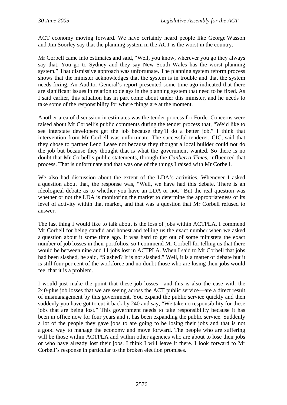ACT economy moving forward. We have certainly heard people like George Wasson and Jim Soorley say that the planning system in the ACT is the worst in the country.

Mr Corbell came into estimates and said, "Well, you know, wherever you go they always say that. You go to Sydney and they say New South Wales has the worst planning system." That dismissive approach was unfortunate. The planning system reform process shows that the minister acknowledges that the system is in trouble and that the system needs fixing. An Auditor-General's report presented some time ago indicated that there are significant issues in relation to delays in the planning system that need to be fixed. As I said earlier, this situation has in part come about under this minister, and he needs to take some of the responsibility for where things are at the moment.

Another area of discussion in estimates was the tender process for Forde. Concerns were raised about Mr Corbell's public comments during the tender process that, "We'd like to see interstate developers get the job because they'll do a better job." I think that intervention from Mr Corbell was unfortunate. The successful tenderer, CIC, said that they chose to partner Lend Lease not because they thought a local builder could not do the job but because they thought that is what the government wanted. So there is no doubt that Mr Corbell's public statements, through the *Canberra Times*, influenced that process. That is unfortunate and that was one of the things I raised with Mr Corbell.

We also had discussion about the extent of the LDA's activities. Whenever I asked a question about that, the response was, "Well, we have had this debate. There is an ideological debate as to whether you have an LDA or not." But the real question was whether or not the LDA is monitoring the market to determine the appropriateness of its level of activity within that market, and that was a question that Mr Corbell refused to answer.

The last thing I would like to talk about is the loss of jobs within ACTPLA. I commend Mr Corbell for being candid and honest and telling us the exact number when we asked a question about it some time ago. It was hard to get out of some ministers the exact number of job losses in their portfolios, so I commend Mr Corbell for telling us that there would be between nine and 11 jobs lost in ACTPLA. When I said to Mr Corbell that jobs had been slashed, he said, "Slashed? It is not slashed." Well, it is a matter of debate but it is still four per cent of the workforce and no doubt those who are losing their jobs would feel that it is a problem.

I would just make the point that these job losses—and this is also the case with the 240-plus job losses that we are seeing across the ACT public service—are a direct result of mismanagement by this government. You expand the public service quickly and then suddenly you have got to cut it back by 240 and say, "We take no responsibility for these jobs that are being lost." This government needs to take responsibility because it has been in office now for four years and it has been expanding the public service. Suddenly a lot of the people they gave jobs to are going to be losing their jobs and that is not a good way to manage the economy and move forward. The people who are suffering will be those within ACTPLA and within other agencies who are about to lose their jobs or who have already lost their jobs. I think I will leave it there. I look forward to Mr Corbell's response in particular to the broken election promises.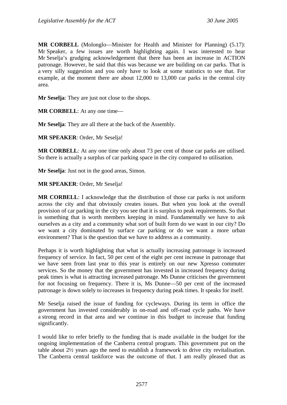**MR CORBELL** (Molonglo—Minister for Health and Minister for Planning) (5.17): Mr Speaker, a few issues are worth highlighting again. I was interested to hear Mr Seselja's grudging acknowledgement that there has been an increase in ACTION patronage. However, he said that this was because we are building on car parks. That is a very silly suggestion and you only have to look at some statistics to see that. For example, at the moment there are about 12,000 to 13,000 car parks in the central city area.

**Mr Seselja**: They are just not close to the shops.

**MR CORBELL**: At any one time—

**Mr Seselja**: They are all there at the back of the Assembly.

**MR SPEAKER**: Order, Mr Seselja!

**MR CORBELL:** At any one time only about 73 per cent of those car parks are utilised. So there is actually a surplus of car parking space in the city compared to utilisation.

**Mr Seselja**: Just not in the good areas, Simon.

**MR SPEAKER**: Order, Mr Seselja!

**MR CORBELL**: I acknowledge that the distribution of those car parks is not uniform across the city and that obviously creates issues. But when you look at the overall provision of car parking in the city you see that it is surplus to peak requirements. So that is something that is worth members keeping in mind. Fundamentally we have to ask ourselves as a city and a community what sort of built form do we want in our city? Do we want a city dominated by surface car parking or do we want a more urban environment? That is the question that we have to address as a community.

Perhaps it is worth highlighting that what is actually increasing patronage is increased frequency of service. In fact, 50 per cent of the eight per cent increase in patronage that we have seen from last year to this year is entirely on our new Xpresso commuter services. So the money that the government has invested in increased frequency during peak times is what is attracting increased patronage. Ms Dunne criticises the government for not focusing on frequency. There it is, Ms Dunne—50 per cent of the increased patronage is down solely to increases in frequency during peak times. It speaks for itself.

Mr Seselja raised the issue of funding for cycleways. During its term in office the government has invested considerably in on-road and off-road cycle paths. We have a strong record in that area and we continue in this budget to increase that funding significantly.

I would like to refer briefly to the funding that is made available in the budget for the ongoing implementation of the Canberra central program. This government put on the table about 2½ years ago the need to establish a framework to drive city revitalisation. The Canberra central taskforce was the outcome of that. I am really pleased that as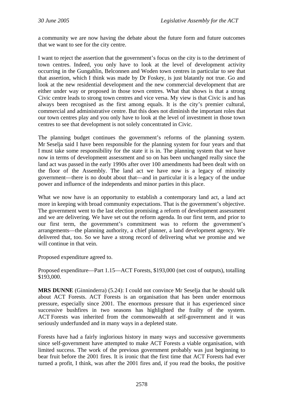a community we are now having the debate about the future form and future outcomes that we want to see for the city centre.

I want to reject the assertion that the government's focus on the city is to the detriment of town centres. Indeed, you only have to look at the level of development activity occurring in the Gungahlin, Belconnen and Woden town centres in particular to see that that assertion, which I think was made by Dr Foskey, is just blatantly not true. Go and look at the new residential development and the new commercial development that are either under way or proposed in those town centres. What that shows is that a strong Civic centre leads to strong town centres and vice versa. My view is that Civic is and has always been recognised as the first among equals. It is the city's premier cultural, commercial and administrative centre. But this does not diminish the important roles that our town centres play and you only have to look at the level of investment in those town centres to see that development is not solely concentrated in Civic.

The planning budget continues the government's reforms of the planning system. Mr Seselja said I have been responsible for the planning system for four years and that I must take some responsibility for the state it is in. The planning system that we have now in terms of development assessment and so on has been unchanged really since the land act was passed in the early 1990s after over 100 amendments had been dealt with on the floor of the Assembly. The land act we have now is a legacy of minority government—there is no doubt about that—and in particular it is a legacy of the undue power and influence of the independents and minor parties in this place.

What we now have is an opportunity to establish a contemporary land act, a land act more in keeping with broad community expectations. That is the government's objective. The government went to the last election promising a reform of development assessment and we are delivering. We have set out the reform agenda. In our first term, and prior to our first term, the government's commitment was to reform the government's arrangements—the planning authority, a chief planner, a land development agency. We delivered that, too. So we have a strong record of delivering what we promise and we will continue in that vein.

Proposed expenditure agreed to.

Proposed expenditure—Part 1.15—ACT Forests, \$193,000 (net cost of outputs), totalling \$193,000.

**MRS DUNNE** (Ginninderra) (5.24): I could not convince Mr Seselja that he should talk about ACT Forests. ACT Forests is an organisation that has been under enormous pressure, especially since 2001. The enormous pressure that it has experienced since successive bushfires in two seasons has highlighted the frailty of the system. ACT Forests was inherited from the commonwealth at self-government and it was seriously underfunded and in many ways in a depleted state.

Forests have had a fairly inglorious history in many ways and successive governments since self-government have attempted to make ACT Forests a viable organisation, with limited success. The work of the previous government probably was just beginning to bear fruit before the 2001 fires. It is ironic that the first time that ACT Forests had ever turned a profit, I think, was after the 2001 fires and, if you read the books, the positive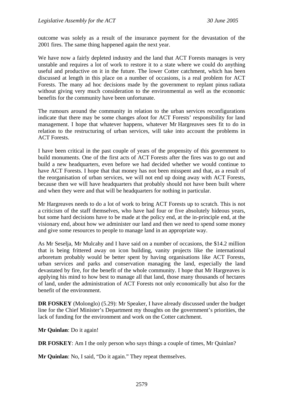outcome was solely as a result of the insurance payment for the devastation of the 2001 fires. The same thing happened again the next year.

We have now a fairly depleted industry and the land that ACT Forests manages is very unstable and requires a lot of work to restore it to a state where we could do anything useful and productive on it in the future. The lower Cotter catchment, which has been discussed at length in this place on a number of occasions, is a real problem for ACT Forests. The many ad hoc decisions made by the government to replant pinus radiata without giving very much consideration to the environmental as well as the economic benefits for the community have been unfortunate.

The rumours around the community in relation to the urban services reconfigurations indicate that there may be some changes afoot for ACT Forests' responsibility for land management. I hope that whatever happens, whatever Mr Hargreaves sees fit to do in relation to the restructuring of urban services, will take into account the problems in ACT Forests.

I have been critical in the past couple of years of the propensity of this government to build monuments. One of the first acts of ACT Forests after the fires was to go out and build a new headquarters, even before we had decided whether we would continue to have ACT Forests. I hope that that money has not been misspent and that, as a result of the reorganisation of urban services, we will not end up doing away with ACT Forests, because then we will have headquarters that probably should not have been built where and when they were and that will be headquarters for nothing in particular.

Mr Hargreaves needs to do a lot of work to bring ACT Forests up to scratch. This is not a criticism of the staff themselves, who have had four or five absolutely hideous years, but some hard decisions have to be made at the policy end, at the in-principle end, at the visionary end, about how we administer our land and then we need to spend some money and give some resources to people to manage land in an appropriate way.

As Mr Seselja, Mr Mulcahy and I have said on a number of occasions, the \$14.2 million that is being frittered away on icon building, vanity projects like the international arboretum probably would be better spent by having organisations like ACT Forests, urban services and parks and conservation managing the land, especially the land devastated by fire, for the benefit of the whole community. I hope that Mr Hargreaves is applying his mind to how best to manage all that land, those many thousands of hectares of land, under the administration of ACT Forests not only economically but also for the benefit of the environment.

**DR FOSKEY** (Molonglo) (5.29): Mr Speaker, I have already discussed under the budget line for the Chief Minister's Department my thoughts on the government's priorities, the lack of funding for the environment and work on the Cotter catchment.

**Mr Quinlan**: Do it again!

**DR FOSKEY:** Am I the only person who says things a couple of times, Mr Quinlan?

**Mr Quinlan**: No, I said, "Do it again." They repeat themselves.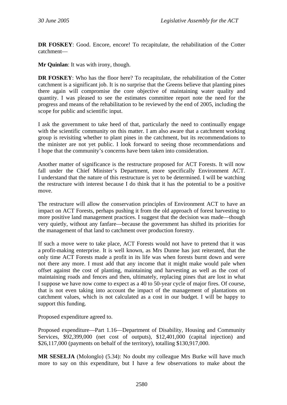**DR FOSKEY**: Good. Encore, encore! To recapitulate, the rehabilitation of the Cotter catchment—

**Mr Quinlan**: It was with irony, though.

**DR FOSKEY**: Who has the floor here? To recapitulate, the rehabilitation of the Cotter catchment is a significant job. It is no surprise that the Greens believe that planting pines there again will compromise the core objective of maintaining water quality and quantity. I was pleased to see the estimates committee report note the need for the progress and means of the rehabilitation to be reviewed by the end of 2005, including the scope for public and scientific input.

I ask the government to take heed of that, particularly the need to continually engage with the scientific community on this matter. I am also aware that a catchment working group is revisiting whether to plant pines in the catchment, but its recommendations to the minister are not yet public. I look forward to seeing those recommendations and I hope that the community's concerns have been taken into consideration.

Another matter of significance is the restructure proposed for ACT Forests. It will now fall under the Chief Minister's Department, more specifically Environment ACT. I understand that the nature of this restructure is yet to be determined. I will be watching the restructure with interest because I do think that it has the potential to be a positive move.

The restructure will allow the conservation principles of Environment ACT to have an impact on ACT Forests, perhaps pushing it from the old approach of forest harvesting to more positive land management practices. I suggest that the decision was made—though very quietly, without any fanfare—because the government has shifted its priorities for the management of that land to catchment over production forestry.

If such a move were to take place, ACT Forests would not have to pretend that it was a profit-making enterprise. It is well known, as Mrs Dunne has just reiterated, that the only time ACT Forests made a profit in its life was when forests burnt down and were not there any more. I must add that any income that it might make would pale when offset against the cost of planting, maintaining and harvesting as well as the cost of maintaining roads and fences and then, ultimately, replacing pines that are lost in what I suppose we have now come to expect as a 40 to 50-year cycle of major fires. Of course, that is not even taking into account the impact of the management of plantations on catchment values, which is not calculated as a cost in our budget. I will be happy to support this funding.

Proposed expenditure agreed to.

Proposed expenditure—Part 1.16—Department of Disability, Housing and Community Services, \$92,399,000 (net cost of outputs), \$12,401,000 (capital injection) and \$26,117,000 (payments on behalf of the territory), totalling \$130,917,000.

**MR SESELJA** (Molonglo) (5.34): No doubt my colleague Mrs Burke will have much more to say on this expenditure, but I have a few observations to make about the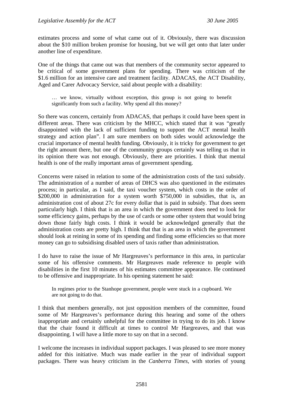estimates process and some of what came out of it. Obviously, there was discussion about the \$10 million broken promise for housing, but we will get onto that later under another line of expenditure.

One of the things that came out was that members of the community sector appeared to be critical of some government plans for spending. There was criticism of the \$1.6 million for an intensive care and treatment facility. ADACAS, the ACT Disability, Aged and Carer Advocacy Service, said about people with a disability:

… we know, virtually without exception, this group is not going to benefit significantly from such a facility. Why spend all this money?

So there was concern, certainly from ADACAS, that perhaps it could have been spent in different areas. There was criticism by the MHCC, which stated that it was "greatly disappointed with the lack of sufficient funding to support the ACT mental health strategy and action plan". I am sure members on both sides would acknowledge the crucial importance of mental health funding. Obviously, it is tricky for government to get the right amount there, but one of the community groups certainly was telling us that in its opinion there was not enough. Obviously, there are priorities. I think that mental health is one of the really important areas of government spending.

Concerns were raised in relation to some of the administration costs of the taxi subsidy. The administration of a number of areas of DHCS was also questioned in the estimates process; in particular, as I said, the taxi voucher system, which costs in the order of \$200,000 in administration for a system worth \$750,000 in subsidies, that is, an administration cost of about 27c for every dollar that is paid in subsidy. That does seem particularly high. I think that is an area in which the government does need to look for some efficiency gains, perhaps by the use of cards or some other system that would bring down those fairly high costs. I think it would be acknowledged generally that the administration costs are pretty high. I think that that is an area in which the government should look at reining in some of its spending and finding some efficiencies so that more money can go to subsidising disabled users of taxis rather than administration.

I do have to raise the issue of Mr Hargreaves's performance in this area, in particular some of his offensive comments. Mr Hargreaves made reference to people with disabilities in the first 10 minutes of his estimates committee appearance. He continued to be offensive and inappropriate. In his opening statement he said:

In regimes prior to the Stanhope government, people were stuck in a cupboard. We are not going to do that.

I think that members generally, not just opposition members of the committee, found some of Mr Hargreaves's performance during this hearing and some of the others inappropriate and certainly unhelpful for the committee in trying to do its job. I know that the chair found it difficult at times to control Mr Hargreaves, and that was disappointing. I will have a little more to say on that in a second.

I welcome the increases in individual support packages. I was pleased to see more money added for this initiative. Much was made earlier in the year of individual support packages. There was heavy criticism in the *Canberra Times*, with stories of young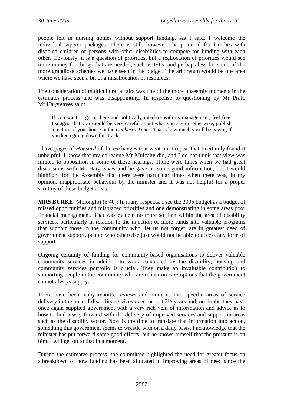people left in nursing homes without support funding. As I said, I welcome the individual support packages. There is still, however, the potential for families with disabled children or persons with other disabilities to compete for funding with each other. Obviously, it is a question of priorities, but a reallocation of priorities would see more money for things that are needed, such as ISPs, and perhaps less for some of the more grandiose schemes we have seen in the budget. The arboretum would be one area where we have seen a bit of a misallocation of resources.

The consideration of multicultural affairs was one of the more unseemly moments in the estimates process and was disappointing. In response to questioning by Mr Pratt, Mr Hargreaves said:

If you want to go in there and politically interfere with its management, feel free. I suggest that you should be very careful about what you say or, otherwise, publish a picture of your house in the *Canberra Times*. That's how much you'll be paying if you keep going down this track.

I have pages of *Hansard* of the exchanges that went on. I repeat that I certainly found it unhelpful, I know that my colleague Mr Mulcahy did, and I do not think that view was limited to opposition in some of these hearings. There were times when we had great discussions with Mr Hargreaves and he gave us some good information, but I would highlight for the Assembly that there were particular times when there was, in my opinion, inappropriate behaviour by the minister and it was not helpful for a proper scrutiny of these budget areas.

**MRS BURKE** (Molonglo) (5.40): In many respects, I see the 2005 budget as a budget of missed opportunities and misplaced priorities and one demonstrating in some areas poor financial management. That was evident no more so than within the area of disability services, particularly in relation to the injection of more funds into valuable programs that support those in the community who, let us not forget, are in greatest need of government support, people who otherwise just would not be able to access any form of support.

Ongoing certainty of funding for community-based organisations to deliver valuable community services in addition to work conducted by the disability, housing and community services portfolio is crucial. They make an invaluable contribution to supporting people in the community who are reliant on care options that the government cannot always supply.

There have been many reports, reviews and inquiries into specific areas of service delivery in the area of disability services over the last 3½ years and, no doubt, they have once again supplied government with a very rich vein of information and advice as to how to find a way forward with the delivery of improved services and support in areas such as the disability sector. Now is the time to translate that information into action, something this government seems to wrestle with on a daily basis. I acknowledge that the minister has put forward some good efforts, but he knows himself that the pressure is on him. I will get on to that in a moment.

During the estimates process, the committee highlighted the need for greater focus on a breakdown of how funding has been allocated to improving areas of need since the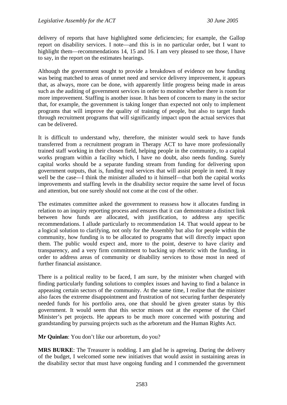delivery of reports that have highlighted some deficiencies; for example, the Gallop report on disability services. I note—and this is in no particular order, but I want to highlight them—recommendations 14, 15 and 16. I am very pleased to see those, I have to say, in the report on the estimates hearings.

Although the government sought to provide a breakdown of evidence on how funding was being matched to areas of unmet need and service delivery improvement, it appears that, as always, more can be done, with apparently little progress being made in areas such as the auditing of government services in order to monitor whether there is room for more improvement. Staffing is another issue. It has been of concern to many in the sector that, for example, the government is taking longer than expected not only to implement programs that will improve the quality of training of people, but also to target funds through recruitment programs that will significantly impact upon the actual services that can be delivered.

It is difficult to understand why, therefore, the minister would seek to have funds transferred from a recruitment program in Therapy ACT to have more professionally trained staff working in their chosen field, helping people in the community, to a capital works program within a facility which, I have no doubt, also needs funding. Surely capital works should be a separate funding stream from funding for delivering upon government outputs, that is, funding real services that will assist people in need. It may well be the case—I think the minister alluded to it himself—that both the capital works improvements and staffing levels in the disability sector require the same level of focus and attention, but one surely should not come at the cost of the other.

The estimates committee asked the government to reassess how it allocates funding in relation to an inquiry reporting process and ensures that it can demonstrate a distinct link between how funds are allocated, with justification, to address any specific recommendations. I allude particularly to recommendation 14. That would appear to be a logical solution to clarifying, not only for the Assembly but also for people within the community, how funding is to be allocated to programs that will directly impact upon them. The public would expect and, more to the point, deserve to have clarity and transparency, and a very firm commitment to backing up rhetoric with the funding, in order to address areas of community or disability services to those most in need of further financial assistance.

There is a political reality to be faced, I am sure, by the minister when charged with finding particularly funding solutions to complex issues and having to find a balance in appeasing certain sectors of the community. At the same time, I realise that the minister also faces the extreme disappointment and frustration of not securing further desperately needed funds for his portfolio area, one that should be given greater status by this government. It would seem that this sector misses out at the expense of the Chief Minister's pet projects. He appears to be much more concerned with posturing and grandstanding by pursuing projects such as the arboretum and the Human Rights Act.

**Mr Quinlan**: You don't like our arboretum, do you?

**MRS BURKE**: The Treasurer is nodding. I am glad he is agreeing. During the delivery of the budget, I welcomed some new initiatives that would assist in sustaining areas in the disability sector that must have ongoing funding and I commended the government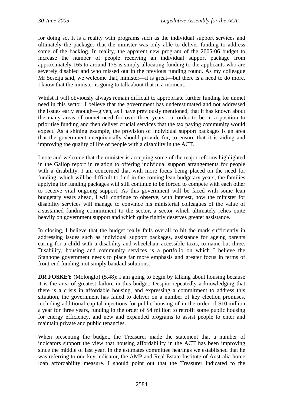for doing so. It is a reality with programs such as the individual support services and ultimately the packages that the minister was only able to deliver funding to address some of the backlog. In reality, the apparent new program of the 2005-06 budget to increase the number of people receiving an individual support package from approximately 165 to around 175 is simply allocating funding to the applicants who are severely disabled and who missed out in the previous funding round. As my colleague Mr Seselja said, we welcome that, minister—it is great—but there is a need to do more. I know that the minister is going to talk about that in a moment.

Whilst it will obviously always remain difficult to appropriate further funding for unmet need in this sector, I believe that the government has underestimated and not addressed the issues early enough—given, as I have previously mentioned, that it has known about the many areas of unmet need for over three years—in order to be in a position to prioritise funding and then deliver crucial services that the tax paying community would expect. As a shining example, the provision of individual support packages is an area that the government unequivocally should provide for, to ensure that it is aiding and improving the quality of life of people with a disability in the ACT.

I note and welcome that the minister is accepting some of the major reforms highlighted in the Gallop report in relation to offering individual support arrangements for people with a disability. I am concerned that with more focus being placed on the need for funding, which will be difficult to find in the coming lean budgetary years, the families applying for funding packages will still continue to be forced to compete with each other to receive vital ongoing support. As this government will be faced with some lean budgetary years ahead, I will continue to observe, with interest, how the minister for disability services will manage to convince his ministerial colleagues of the value of a sustained funding commitment to the sector, a sector which ultimately relies quite heavily on government support and which quite rightly deserves greater assistance.

In closing, I believe that the budget really fails overall to hit the mark sufficiently in addressing issues such as individual support packages, assistance for ageing parents caring for a child with a disability and wheelchair accessible taxis, to name but three. Disability, housing and community services is a portfolio on which I believe the Stanhope government needs to place far more emphasis and greater focus in terms of front-end funding, not simply bandaid solutions.

**DR FOSKEY** (Molonglo) (5.48): I am going to begin by talking about housing because it is the area of greatest failure in this budget. Despite repeatedly acknowledging that there is a crisis in affordable housing, and expressing a commitment to address this situation, the government has failed to deliver on a number of key election promises, including additional capital injections for public housing of in the order of \$10 million a year for three years, funding in the order of \$4 million to retrofit some public housing for energy efficiency, and new and expanded programs to assist people to enter and maintain private and public tenancies.

When presenting the budget, the Treasurer made the statement that a number of indicators support the view that housing affordability in the ACT has been improving since the middle of last year. In the estimates committee hearings we established that he was referring to one key indicator, the AMP and Real Estate Institute of Australia home loan affordability measure. I should point out that the Treasurer indicated to the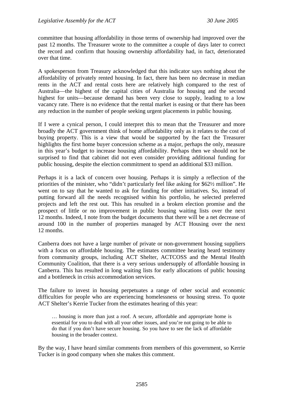committee that housing affordability in those terms of ownership had improved over the past 12 months. The Treasurer wrote to the committee a couple of days later to correct the record and confirm that housing ownership affordability had, in fact, deteriorated over that time.

A spokesperson from Treasury acknowledged that this indicator says nothing about the affordability of privately rented housing. In fact, there has been no decrease in median rents in the ACT and rental costs here are relatively high compared to the rest of Australia—the highest of the capital cities of Australia for housing and the second highest for units—because demand has been very close to supply, leading to a low vacancy rate. There is no evidence that the rental market is easing or that there has been any reduction in the number of people seeking urgent placements in public housing.

If I were a cynical person, I could interpret this to mean that the Treasurer and more broadly the ACT government think of home affordability only as it relates to the cost of buying property. This is a view that would be supported by the fact the Treasurer highlights the first home buyer concession scheme as a major, perhaps the only, measure in this year's budget to increase housing affordability. Perhaps then we should not be surprised to find that cabinet did not even consider providing additional funding for public housing, despite the election commitment to spend an additional \$33 million.

Perhaps it is a lack of concern over housing. Perhaps it is simply a reflection of the priorities of the minister, who "didn't particularly feel like asking for \$62½ million". He went on to say that he wanted to ask for funding for other initiatives. So, instead of putting forward all the needs recognised within his portfolio, he selected preferred projects and left the rest out. This has resulted in a broken election promise and the prospect of little or no improvement in public housing waiting lists over the next 12 months. Indeed, I note from the budget documents that there will be a net decrease of around 100 in the number of properties managed by ACT Housing over the next 12 months.

Canberra does not have a large number of private or non-government housing suppliers with a focus on affordable housing. The estimates committee hearing heard testimony from community groups, including ACT Shelter, ACTCOSS and the Mental Health Community Coalition, that there is a very serious undersupply of affordable housing in Canberra. This has resulted in long waiting lists for early allocations of public housing and a bottleneck in crisis accommodation services.

The failure to invest in housing perpetuates a range of other social and economic difficulties for people who are experiencing homelessness or housing stress. To quote ACT Shelter's Kerrie Tucker from the estimates hearing of this year:

… housing is more than just a roof. A secure, affordable and appropriate home is essential for you to deal with all your other issues, and you're not going to be able to do that if you don't have secure housing. So you have to see the lack of affordable housing in the broader context.

By the way, I have heard similar comments from members of this government, so Kerrie Tucker is in good company when she makes this comment.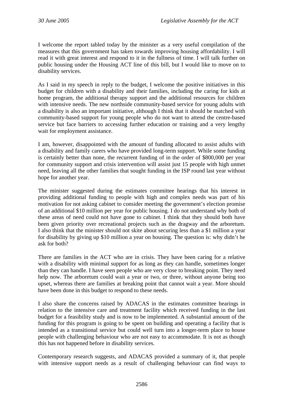I welcome the report tabled today by the minister as a very useful compilation of the measures that this government has taken towards improving housing affordability. I will read it with great interest and respond to it in the fullness of time. I will talk further on public housing under the Housing ACT line of this bill, but I would like to move on to disability services.

As I said in my speech in reply to the budget, I welcome the positive initiatives in this budget for children with a disability and their families, including the caring for kids at home program, the additional therapy support and the additional resources for children with intensive needs. The new northside community-based service for young adults with a disability is also an important initiative, although I think that it should be matched with community-based support for young people who do not want to attend the centre-based service but face barriers to accessing further education or training and a very lengthy wait for employment assistance.

I am, however, disappointed with the amount of funding allocated to assist adults with a disability and family carers who have provided long-term support. While some funding is certainly better than none, the recurrent funding of in the order of \$800,000 per year for community support and crisis intervention will assist just 15 people with high unmet need, leaving all the other families that sought funding in the ISP round last year without hope for another year.

The minister suggested during the estimates committee hearings that his interest in providing additional funding to people with high and complex needs was part of his motivation for not asking cabinet to consider meeting the government's election promise of an additional \$10 million per year for public housing. I do not understand why both of these areas of need could not have gone to cabinet. I think that they should both have been given priority over recreational projects such as the dragway and the arboretum. I also think that the minister should not skite about securing less than a \$1 million a year for disability by giving up \$10 million a year on housing. The question is: why didn't he ask for both?

There are families in the ACT who are in crisis. They have been caring for a relative with a disability with minimal support for as long as they can handle, sometimes longer than they can handle. I have seen people who are very close to breaking point. They need help now. The arboretum could wait a year or two, or three, without anyone being too upset, whereas there are families at breaking point that cannot wait a year. More should have been done in this budget to respond to these needs.

I also share the concerns raised by ADACAS in the estimates committee hearings in relation to the intensive care and treatment facility which received funding in the last budget for a feasibility study and is now to be implemented. A substantial amount of the funding for this program is going to be spent on building and operating a facility that is intended as a transitional service but could well turn into a longer-term place to house people with challenging behaviour who are not easy to accommodate. It is not as though this has not happened before in disability services.

Contemporary research suggests, and ADACAS provided a summary of it, that people with intensive support needs as a result of challenging behaviour can find ways to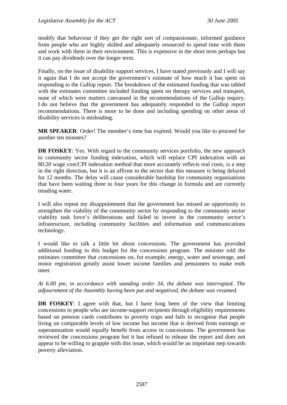modify that behaviour if they get the right sort of compassionate, informed guidance from people who are highly skilled and adequately resourced to spend time with them and work with them in their environment. This is expensive in the short term perhaps but it can pay dividends over the longer term.

Finally, on the issue of disability support services, I have stated previously and I will say it again that I do not accept the government's estimate of how much it has spent on responding to the Gallop report. The breakdown of the estimated funding that was tabled with the estimates committee included funding spent on therapy services and transport, none of which were matters canvassed in the recommendations of the Gallop inquiry. I do not believe that the government has adequately responded to the Gallop report recommendations. There is more to be done and including spending on other areas of disability services is misleading.

**MR SPEAKER**: Order! The member's time has expired. Would you like to proceed for another ten minutes?

**DR FOSKEY**: Yes. With regard to the community services portfolio, the new approach to community sector funding indexation, which will replace CPI indexation with an 80:20 wage cost/CPI indexation method that more accurately reflects real costs, is a step in the right direction, but it is an affront to the sector that this measure is being delayed for 12 months. The delay will cause considerable hardship for community organisations that have been waiting three to four years for this change in formula and are currently treading water.

I will also repeat my disappointment that the government has missed an opportunity to strengthen the viability of the community sector by responding to the community sector viability task force's deliberations and failed to invest in the community sector's infrastructure, including community facilities and information and communications technology.

I would like to talk a little bit about concessions. The government has provided additional funding in this budget for the concessions program. The minister told the estimates committee that concessions on, for example, energy, water and sewerage, and motor registration greatly assist lower income families and pensioners to make ends meet.

*At 6.00 pm, in accordance with standing order 34, the debate was interrupted. The adjournment of the Assembly having been put and negatived, the debate was resumed.* 

**DR FOSKEY**: I agree with that, but I have long been of the view that limiting concessions to people who are income-support recipients through eligibility requirements based on pension cards contributes to poverty traps and fails to recognise that people living on comparable levels of low income but income that is derived from earnings or superannuation would equally benefit from access to concessions. The government has reviewed the concessions program but it has refused to release the report and does not appear to be willing to grapple with this issue, which would be an important step towards poverty alleviation.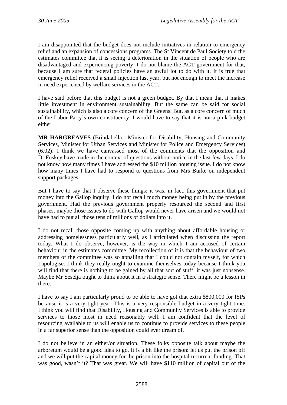I am disappointed that the budget does not include initiatives in relation to emergency relief and an expansion of concessions programs. The St Vincent de Paul Society told the estimates committee that it is seeing a deterioration in the situation of people who are disadvantaged and experiencing poverty. I do not blame the ACT government for that, because I am sure that federal policies have an awful lot to do with it. It is true that emergency relief received a small injection last year, but not enough to meet the increase in need experienced by welfare services in the ACT.

I have said before that this budget is not a green budget. By that I mean that it makes little investment in environment sustainability. But the same can be said for social sustainability, which is also a core concern of the Greens. But, as a core concern of much of the Labor Party's own constituency, I would have to say that it is not a pink budget either.

**MR HARGREAVES** (Brindabella—Minister for Disability, Housing and Community Services, Minister for Urban Services and Minister for Police and Emergency Services) (6.02): I think we have canvassed most of the comments that the opposition and Dr Foskey have made in the context of questions without notice in the last few days. I do not know how many times I have addressed the \$10 million housing issue. I do not know how many times I have had to respond to questions from Mrs Burke on independent support packages.

But I have to say that I observe these things: it was, in fact, this government that put money into the Gallop inquiry. I do not recall much money being put in by the previous government. Had the previous government properly resourced the second and first phases, maybe those issues to do with Gallop would never have arisen and we would not have had to put all those tens of millions of dollars into it.

I do not recall those opposite coming up with anything about affordable housing or addressing homelessness particularly well, as I articulated when discussing the report today. What I do observe, however, is the way in which I am accused of certain behaviour in the estimates committee. My recollection of it is that the behaviour of two members of the committee was so appalling that I could not contain myself, for which I apologise. I think they really ought to examine themselves today because I think you will find that there is nothing to be gained by all that sort of stuff; it was just nonsense. Maybe Mr Seselja ought to think about it in a strategic sense. There might be a lesson in there.

I have to say I am particularly proud to be able to have got that extra \$800,000 for ISPs because it is a very tight year. This is a very responsible budget in a very tight time. I think you will find that Disability, Housing and Community Services is able to provide services to those most in need reasonably well. I am confident that the level of resourcing available to us will enable us to continue to provide services to these people in a far superior sense than the opposition could ever dream of.

I do not believe in an either/or situation. These folks opposite talk about maybe the arboretum would be a good idea to go. It is a bit like the prison: let us put the prison off and we will put the capital money for the prison into the hospital recurrent funding. That was good, wasn't it? That was great. We will have \$110 million of capital out of the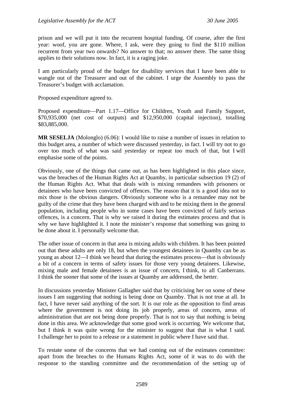prison and we will put it into the recurrent hospital funding. Of course, after the first year: woof, you are gone. Where, I ask, were they going to find the \$110 million recurrent from year two onwards? No answer to that; no answer there. The same thing applies to their solutions now. In fact, it is a raging joke.

I am particularly proud of the budget for disability services that I have been able to wangle out of the Treasurer and out of the cabinet. I urge the Assembly to pass the Treasurer's budget with acclamation.

Proposed expenditure agreed to.

Proposed expenditure—Part 1.17—Office for Children, Youth and Family Support, \$70,935,000 (net cost of outputs) and \$12,950,000 (capital injection), totalling \$83,885,000.

**MR SESELJA** (Molonglo) (6.06): I would like to raise a number of issues in relation to this budget area, a number of which were discussed yesterday, in fact. I will try not to go over too much of what was said yesterday or repeat too much of that, but I will emphasise some of the points.

Obviously, one of the things that came out, as has been highlighted in this place since, was the breaches of the Human Rights Act at Quamby, in particular subsection 19 (2) of the Human Rights Act. What that deals with is mixing remandees with prisoners or detainees who have been convicted of offences. The reason that it is a good idea not to mix those is the obvious dangers. Obviously someone who is a remandee may not be guilty of the crime that they have been charged with and to be mixing them in the general population, including people who in some cases have been convicted of fairly serious offences, is a concern. That is why we raised it during the estimates process and that is why we have highlighted it. I note the minister's response that something was going to be done about it. I personally welcome that.

The other issue of concern in that area is mixing adults with children. It has been pointed out that these adults are only 18, but when the youngest detainees in Quamby can be as young as about 12—I think we heard that during the estimates process—that is obviously a bit of a concern in terms of safety issues for those very young detainees. Likewise, mixing male and female detainees is an issue of concern, I think, to all Canberrans. I think the sooner that some of the issues at Quamby are addressed, the better.

In discussions yesterday Minister Gallagher said that by criticising her on some of these issues I am suggesting that nothing is being done on Quamby. That is not true at all. In fact, I have never said anything of the sort. It is our role as the opposition to find areas where the government is not doing its job properly, areas of concern, areas of administration that are not being done properly. That is not to say that nothing is being done in this area. We acknowledge that some good work is occurring. We welcome that, but I think it was quite wrong for the minister to suggest that that is what I said. I challenge her to point to a release or a statement in public where I have said that.

To restate some of the concerns that we had coming out of the estimates committee: apart from the breaches to the Humans Rights Act, some of it was to do with the response to the standing committee and the recommendation of the setting up of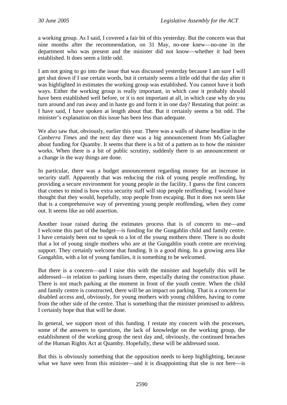a working group. As I said, I covered a fair bit of this yesterday. But the concern was that nine months after the recommendation, on 31 May, no-one knew—no-one in the department who was present and the minister did not know—whether it had been established. It does seem a little odd.

I am not going to go into the issue that was discussed yesterday because I am sure I will get shut down if I use certain words, but it certainly seems a little odd that the day after it was highlighted in estimates the working group was established. You cannot have it both ways. Either the working group is really important, in which case it probably should have been established well before, or it is not important at all, in which case why do you turn around and run away and in haste go and form it in one day? Restating that point: as I have said, I have spoken at length about that. But it certainly seems a bit odd. The minister's explanation on this issue has been less than adequate.

We also saw that, obviously, earlier this year. There was a walls of shame headline in the *Canberra Times* and the next day there was a big announcement from Ms Gallagher about funding for Quamby. It seems that there is a bit of a pattern as to how the minister works. When there is a bit of public scrutiny, suddenly there is an announcement or a change in the way things are done.

In particular, there was a budget announcement regarding money for an increase in security staff. Apparently that was reducing the risk of young people reoffending, by providing a secure environment for young people in the facility. I guess the first concern that comes to mind is how extra security staff will stop people reoffending. I would have thought that they would, hopefully, stop people from escaping. But it does not seem like that is a comprehensive way of preventing young people reoffending, when they come out. It seems like an odd assertion.

Another issue raised during the estimates process that is of concern to me—and I welcome this part of the budget—is funding for the Gungahlin child and family centre. I have certainly been out to speak to a lot of the young mothers there. There is no doubt that a lot of young single mothers who are at the Gungahlin youth centre are receiving support. They certainly welcome that funding. It is a good thing. In a growing area like Gungahlin, with a lot of young families, it is something to be welcomed.

But there is a concern—and I raise this with the minister and hopefully this will be addressed—in relation to parking issues there, especially during the construction phase. There is not much parking at the moment in front of the youth centre. When the child and family centre is constructed, there will be an impact on parking. That is a concern for disabled access and, obviously, for young mothers with young children, having to come from the other side of the centre. That is something that the minister promised to address. I certainly hope that that will be done.

In general, we support most of this funding. I restate my concern with the processes, some of the answers to questions, the lack of knowledge on the working group, the establishment of the working group the next day and, obviously, the continued breaches of the Human Rights Act at Quamby. Hopefully, these will be addressed soon.

But this is obviously something that the opposition needs to keep highlighting, because what we have seen from this minister—and it is disappointing that she is not here—is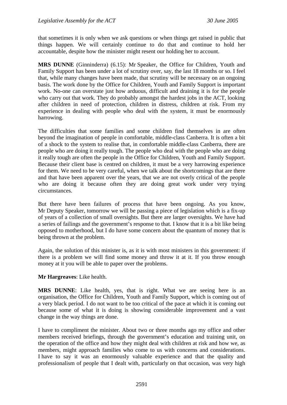that sometimes it is only when we ask questions or when things get raised in public that things happen. We will certainly continue to do that and continue to hold her accountable, despite how the minister might resent our holding her to account.

**MRS DUNNE** (Ginninderra) (6.15): Mr Speaker, the Office for Children, Youth and Family Support has been under a lot of scrutiny over, say, the last 18 months or so. I feel that, while many changes have been made, that scrutiny will be necessary on an ongoing basis. The work done by the Office for Children, Youth and Family Support is important work. No-one can overstate just how arduous, difficult and draining it is for the people who carry out that work. They do probably amongst the hardest jobs in the ACT, looking after children in need of protection, children in distress, children at risk. From my experience in dealing with people who deal with the system, it must be enormously harrowing.

The difficulties that some families and some children find themselves in are often beyond the imagination of people in comfortable, middle-class Canberra. It is often a bit of a shock to the system to realise that, in comfortable middle-class Canberra, there are people who are doing it really tough. The people who deal with the people who are doing it really tough are often the people in the Office for Children, Youth and Family Support. Because their client base is centred on children, it must be a very harrowing experience for them. We need to be very careful, when we talk about the shortcomings that are there and that have been apparent over the years, that we are not overly critical of the people who are doing it because often they are doing great work under very trying circumstances.

But there have been failures of process that have been ongoing. As you know, Mr Deputy Speaker, tomorrow we will be passing a piece of legislation which is a fix-up of years of a collection of small oversights. But there are larger oversights. We have had a series of failings and the government's response to that. I know that it is a bit like being opposed to motherhood, but I do have some concern about the quantum of money that is being thrown at the problem.

Again, the solution of this minister is, as it is with most ministers in this government: if there is a problem we will find some money and throw it at it. If you throw enough money at it you will be able to paper over the problems.

**Mr Hargreaves**: Like health.

**MRS DUNNE**: Like health, yes, that is right. What we are seeing here is an organisation, the Office for Children, Youth and Family Support, which is coming out of a very black period. I do not want to be too critical of the pace at which it is coming out because some of what it is doing is showing considerable improvement and a vast change in the way things are done.

I have to compliment the minister. About two or three months ago my office and other members received briefings, through the government's education and training unit, on the operation of the office and how they might deal with children at risk and how we, as members, might approach families who come to us with concerns and considerations. I have to say it was an enormously valuable experience and that the quality and professionalism of people that I dealt with, particularly on that occasion, was very high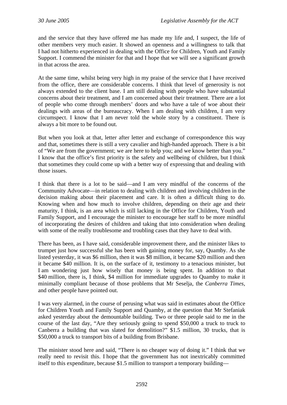and the service that they have offered me has made my life and, I suspect, the life of other members very much easier. It showed an openness and a willingness to talk that I had not hitherto experienced in dealing with the Office for Children, Youth and Family Support. I commend the minister for that and I hope that we will see a significant growth in that across the area.

At the same time, whilst being very high in my praise of the service that I have received from the office, there are considerable concerns. I think that level of generosity is not always extended to the client base. I am still dealing with people who have substantial concerns about their treatment, and I am concerned about their treatment. There are a lot of people who come through members' doors and who have a tale of woe about their dealings with areas of the bureaucracy. When I am dealing with children, I am very circumspect. I know that I am never told the whole story by a constituent. There is always a bit more to be found out.

But when you look at that, letter after letter and exchange of correspondence this way and that, sometimes there is still a very cavalier and high-handed approach. There is a bit of "We are from the government; we are here to help you; and we know better than you." I know that the office's first priority is the safety and wellbeing of children, but I think that sometimes they could come up with a better way of expressing that and dealing with those issues.

I think that there is a lot to be said—and I am very mindful of the concerns of the Community Advocate—in relation to dealing with children and involving children in the decision making about their placement and care. It is often a difficult thing to do. Knowing when and how much to involve children, depending on their age and their maturity, I think, is an area which is still lacking in the Office for Children, Youth and Family Support, and I encourage the minister to encourage her staff to be more mindful of incorporating the desires of children and taking that into consideration when dealing with some of the really troublesome and troubling cases that they have to deal with.

There has been, as I have said, considerable improvement there, and the minister likes to trumpet just how successful she has been with gaining money for, say, Quamby. As she listed yesterday, it was \$6 million, then it was \$8 million, it became \$20 million and then it became \$40 million. It is, on the surface of it, testimony to a tenacious minister, but I am wondering just how wisely that money is being spent. In addition to that \$40 million, there is, I think, \$4 million for immediate upgrades to Quamby to make it minimally compliant because of those problems that Mr Seselja, the *Canberra Times*, and other people have pointed out.

I was very alarmed, in the course of perusing what was said in estimates about the Office for Children Youth and Family Support and Quamby, at the question that Mr Stefaniak asked yesterday about the demountable building. Two or three people said to me in the course of the last day, "Are they seriously going to spend \$50,000 a truck to truck to Canberra a building that was slated for demolition?" \$1.5 million, 30 trucks, that is \$50,000 a truck to transport bits of a building from Brisbane.

The minister stood here and said, "There is no cheaper way of doing it." I think that we really need to revisit this. I hope that the government has not inextricably committed itself to this expenditure, because \$1.5 million to transport a temporary building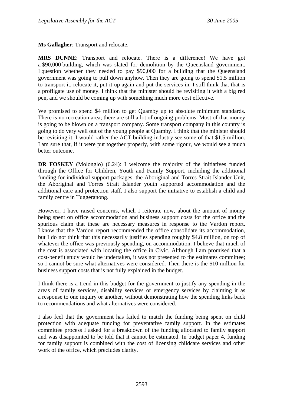**Ms Gallagher**: Transport and relocate.

**MRS DUNNE**: Transport and relocate. There is a difference! We have got a \$90,000 building, which was slated for demolition by the Queensland government. I question whether they needed to pay \$90,000 for a building that the Queensland government was going to pull down anyhow. Then they are going to spend \$1.5 million to transport it, relocate it, put it up again and put the services in. I still think that that is a profligate use of money. I think that the minister should be revisiting it with a big red pen, and we should be coming up with something much more cost effective.

We promised to spend \$4 million to get Quamby up to absolute minimum standards. There is no recreation area; there are still a lot of ongoing problems. Most of that money is going to be blown on a transport company. Some transport company in this country is going to do very well out of the young people at Quamby. I think that the minister should be revisiting it. I would rather the ACT building industry see some of that \$1.5 million. I am sure that, if it were put together properly, with some rigour, we would see a much better outcome.

**DR FOSKEY** (Molonglo) (6.24): I welcome the majority of the initiatives funded through the Office for Children, Youth and Family Support, including the additional funding for individual support packages, the Aboriginal and Torres Strait Islander Unit, the Aboriginal and Torres Strait Islander youth supported accommodation and the additional care and protection staff. I also support the initiative to establish a child and family centre in Tuggeranong.

However, I have raised concerns, which I reiterate now, about the amount of money being spent on office accommodation and business support costs for the office and the spurious claim that these are necessary measures in response to the Vardon report. I know that the Vardon report recommended the office consolidate its accommodation, but I do not think that this necessarily justifies spending roughly \$4.8 million, on top of whatever the office was previously spending, on accommodation. I believe that much of the cost is associated with locating the office in Civic. Although I am promised that a cost-benefit study would be undertaken, it was not presented to the estimates committee; so I cannot be sure what alternatives were considered. Then there is the \$10 million for business support costs that is not fully explained in the budget.

I think there is a trend in this budget for the government to justify any spending in the areas of family services, disability services or emergency services by claiming it as a response to one inquiry or another, without demonstrating how the spending links back to recommendations and what alternatives were considered.

I also feel that the government has failed to match the funding being spent on child protection with adequate funding for preventative family support. In the estimates committee process I asked for a breakdown of the funding allocated to family support and was disappointed to be told that it cannot be estimated. In budget paper 4, funding for family support is combined with the cost of licensing childcare services and other work of the office, which precludes clarity.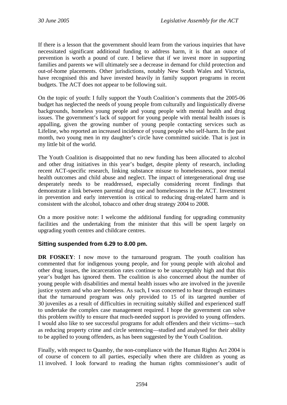If there is a lesson that the government should learn from the various inquiries that have necessitated significant additional funding to address harm, it is that an ounce of prevention is worth a pound of cure. I believe that if we invest more in supporting families and parents we will ultimately see a decrease in demand for child protection and out-of-home placements. Other jurisdictions, notably New South Wales and Victoria, have recognised this and have invested heavily in family support programs in recent budgets. The ACT does not appear to be following suit.

On the topic of youth: I fully support the Youth Coalition's comments that the 2005-06 budget has neglected the needs of young people from culturally and linguistically diverse backgrounds, homeless young people and young people with mental health and drug issues. The government's lack of support for young people with mental health issues is appalling, given the growing number of young people contacting services such as Lifeline, who reported an increased incidence of young people who self-harm. In the past month, two young men in my daughter's circle have committed suicide. That is just in my little bit of the world.

The Youth Coalition is disappointed that no new funding has been allocated to alcohol and other drug initiatives in this year's budget, despite plenty of research, including recent ACT-specific research, linking substance misuse to homelessness, poor mental health outcomes and child abuse and neglect. The impact of intergenerational drug use desperately needs to be readdressed, especially considering recent findings that demonstrate a link between parental drug use and homelessness in the ACT. Investment in prevention and early intervention is critical to reducing drug-related harm and is consistent with the alcohol, tobacco and other drug strategy 2004 to 2008.

On a more positive note: I welcome the additional funding for upgrading community facilities and the undertaking from the minister that this will be spent largely on upgrading youth centres and childcare centres.

# **Sitting suspended from 6.29 to 8.00 pm.**

**DR FOSKEY**: I now move to the turnaround program. The youth coalition has commented that for indigenous young people, and for young people with alcohol and other drug issues, the incarceration rates continue to be unacceptably high and that this year's budget has ignored them. The coalition is also concerned about the number of young people with disabilities and mental health issues who are involved in the juvenile justice system and who are homeless. As such, I was concerned to hear through estimates that the turnaround program was only provided to 15 of its targeted number of 30 juveniles as a result of difficulties in recruiting suitably skilled and experienced staff to undertake the complex case management required. I hope the government can solve this problem swiftly to ensure that much-needed support is provided to young offenders. I would also like to see successful programs for adult offenders and their victims—such as reducing property crime and circle sentencing—studied and analysed for their ability to be applied to young offenders, as has been suggested by the Youth Coalition.

Finally, with respect to Quamby, the non-compliance with the Human Rights Act 2004 is of course of concern to all parties, especially when there are children as young as 11 involved. I look forward to reading the human rights commissioner's audit of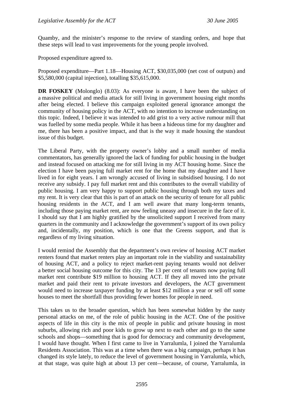Quamby, and the minister's response to the review of standing orders, and hope that these steps will lead to vast improvements for the young people involved.

Proposed expenditure agreed to.

Proposed expenditure—Part 1.18—Housing ACT, \$30,035,000 (net cost of outputs) and \$5,580,000 (capital injection), totalling \$35,615,000.

**DR FOSKEY** (Molonglo) (8.03): As everyone is aware, I have been the subject of a massive political and media attack for still living in government housing eight months after being elected. I believe this campaign exploited general ignorance amongst the community of housing policy in the ACT, with no intention to increase understanding on this topic. Indeed, I believe it was intended to add grist to a very active rumour mill that was fuelled by some media people. While it has been a hideous time for my daughter and me, there has been a positive impact, and that is the way it made housing the standout issue of this budget.

The Liberal Party, with the property owner's lobby and a small number of media commentators, has generally ignored the lack of funding for public housing in the budget and instead focused on attacking me for still living in my ACT housing home. Since the election I have been paying full market rent for the home that my daughter and I have lived in for eight years. I am wrongly accused of living in subsidised housing. I do not receive any subsidy. I pay full market rent and this contributes to the overall viability of public housing. I am very happy to support public housing through both my taxes and my rent. It is very clear that this is part of an attack on the security of tenure for all public housing residents in the ACT, and I am well aware that many long-term tenants, including those paying market rent, are now feeling uneasy and insecure in the face of it. I should say that I am highly gratified by the unsolicited support I received from many quarters in the community and I acknowledge the government's support of its own policy and, incidentally, my position, which is one that the Greens support, and that is regardless of my living situation.

I would remind the Assembly that the department's own review of housing ACT market renters found that market renters play an important role in the viability and sustainability of housing ACT, and a policy to reject market-rent paying tenants would not deliver a better social housing outcome for this city. The 13 per cent of tenants now paying full market rent contribute \$19 million to housing ACT. If they all moved into the private market and paid their rent to private investors and developers, the ACT government would need to increase taxpayer funding by at least \$12 million a year or sell off some houses to meet the shortfall thus providing fewer homes for people in need.

This takes us to the broader question, which has been somewhat hidden by the nasty personal attacks on me, of the role of public housing in the ACT. One of the positive aspects of life in this city is the mix of people in public and private housing in most suburbs, allowing rich and poor kids to grow up next to each other and go to the same schools and shops—something that is good for democracy and community development, I would have thought. When I first came to live in Yarralumla, I joined the Yarralumla Residents Association. This was at a time when there was a big campaign, perhaps it has changed its style lately, to reduce the level of government housing in Yarralumla, which, at that stage, was quite high at about 13 per cent—because, of course, Yarralumla, in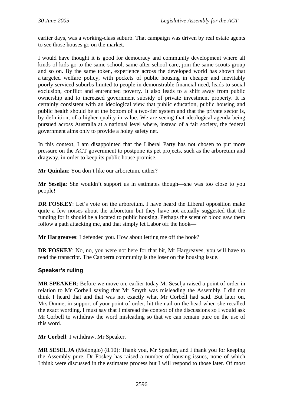earlier days, was a working-class suburb. That campaign was driven by real estate agents to see those houses go on the market.

I would have thought it is good for democracy and community development where all kinds of kids go to the same school, same after school care, join the same scouts group and so on. By the same token, experience across the developed world has shown that a targeted welfare policy, with pockets of public housing in cheaper and inevitably poorly serviced suburbs limited to people in demonstrable financial need, leads to social exclusion, conflict and entrenched poverty. It also leads to a shift away from public ownership and to increased government subsidy of private investment property. It is certainly consistent with an ideological view that public education, public housing and public health should be at the bottom of a two-tier system and that the private sector is, by definition, of a higher quality in value. We are seeing that ideological agenda being pursued across Australia at a national level where, instead of a fair society, the federal government aims only to provide a holey safety net.

In this context, I am disappointed that the Liberal Party has not chosen to put more pressure on the ACT government to postpone its pet projects, such as the arboretum and dragway, in order to keep its public house promise.

**Mr Quinlan**: You don't like our arboretum, either?

**Mr Seselja**: She wouldn't support us in estimates though—she was too close to you people!

**DR FOSKEY**: Let's vote on the arboretum. I have heard the Liberal opposition make quite a few noises about the arboretum but they have not actually suggested that the funding for it should be allocated to public housing. Perhaps the scent of blood saw them follow a path attacking me, and that simply let Labor off the hook—

**Mr Hargreaves**: I defended you. How about letting me off the hook?

**DR FOSKEY**: No, no, you were not here for that bit, Mr Hargreaves, you will have to read the transcript. The Canberra community is the loser on the housing issue.

# **Speaker's ruling**

**MR SPEAKER**: Before we move on, earlier today Mr Seselja raised a point of order in relation to Mr Corbell saying that Mr Smyth was misleading the Assembly. I did not think I heard that and that was not exactly what Mr Corbell had said. But later on, Mrs Dunne, in support of your point of order, hit the nail on the head when she recalled the exact wording. I must say that I misread the context of the discussions so I would ask Mr Corbell to withdraw the word misleading so that we can remain pure on the use of this word.

**Mr Corbell**: I withdraw, Mr Speaker.

**MR SESELJA** (Molonglo) (8.10): Thank you, Mr Speaker, and I thank you for keeping the Assembly pure. Dr Foskey has raised a number of housing issues, none of which I think were discussed in the estimates process but I will respond to those later. Of most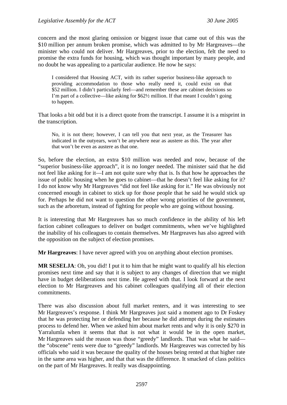concern and the most glaring omission or biggest issue that came out of this was the \$10 million per annum broken promise, which was admitted to by Mr Hargreaves—the minister who could not deliver. Mr Hargreaves, prior to the election, felt the need to promise the extra funds for housing, which was thought important by many people, and no doubt he was appealing to a particular audience. He now he says:

I considered that Housing ACT, with its rather superior business-like approach to providing accommodation to those who really need it, could exist on that \$52 million. I didn't particularly feel—and remember these are cabinet decisions so I'm part of a collective—like asking for \$62½ million. If that meant I couldn't going to happen.

That looks a bit odd but it is a direct quote from the transcript. I assume it is a misprint in the transcription.

No, it is not there; however, I can tell you that next year, as the Treasurer has indicated in the outyears, won't be anywhere near as austere as this. The year after that won't be even as austere as that one.

So, before the election, an extra \$10 million was needed and now, because of the "superior business-like approach", it is no longer needed. The minister said that he did not feel like asking for it—I am not quite sure why that is. Is that how he approaches the issue of public housing when he goes to cabinet—that he doesn't feel like asking for it? I do not know why Mr Hargreaves "did not feel like asking for it." He was obviously not concerned enough in cabinet to stick up for those people that he said he would stick up for. Perhaps he did not want to question the other wrong priorities of the government, such as the arboretum, instead of fighting for people who are going without housing.

It is interesting that Mr Hargreaves has so much confidence in the ability of his left faction cabinet colleagues to deliver on budget commitments, when we've highlighted the inability of his colleagues to contain themselves. Mr Hargreaves has also agreed with the opposition on the subject of election promises.

**Mr Hargreaves**: I have never agreed with you on anything about election promises.

**MR SESELJA**: Oh, you did! I put it to him that he might want to qualify all his election promises next time and say that it is subject to any changes of direction that we might have in budget deliberations next time. He agreed with that. I look forward at the next election to Mr Hargreaves and his cabinet colleagues qualifying all of their election commitments.

There was also discussion about full market renters, and it was interesting to see Mr Hargreaves's response. I think Mr Hargreaves just said a moment ago to Dr Foskey that he was protecting her or defending her because he did attempt during the estimates process to defend her. When we asked him about market rents and why it is only \$270 in Yarralumla when it seems that that is not what it would be in the open market, Mr Hargreaves said the reason was those "greedy" landlords. That was what he said the "obscene" rents were due to "greedy" landlords. Mr Hargreaves was corrected by his officials who said it was because the quality of the houses being rented at that higher rate in the same area was higher, and that that was the difference. It smacked of class politics on the part of Mr Hargreaves. It really was disappointing.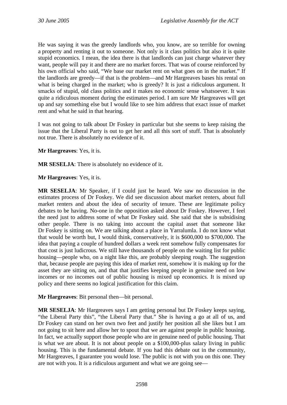He was saying it was the greedy landlords who, you know, are so terrible for owning a property and renting it out to someone. Not only is it class politics but also it is quite stupid economics. I mean, the idea there is that landlords can just charge whatever they want, people will pay it and there are no market forces. That was of course reinforced by his own official who said, "We base our market rent on what goes on in the market." If the landlords are greedy—if that is the problem—and Mr Hargreaves bases his rental on what is being charged in the market; who is greedy? It is just a ridiculous argument. It smacks of stupid, old class politics and it makes no economic sense whatsoever. It was quite a ridiculous moment during the estimates period. I am sure Mr Hargreaves will get up and say something else but I would like to see him address that exact issue of market rent and what he said in that hearing.

I was not going to talk about Dr Foskey in particular but she seems to keep raising the issue that the Liberal Party is out to get her and all this sort of stuff. That is absolutely not true. There is absolutely no evidence of it.

**Mr Hargreaves**: Yes, it is.

**MR SESELJA**: There is absolutely no evidence of it.

**Mr Hargreaves**: Yes, it is.

**MR SESELJA**: Mr Speaker, if I could just be heard. We saw no discussion in the estimates process of Dr Foskey. We did see discussion about market renters, about full market renters and about the idea of security of tenure. These are legitimate policy debates to be having. No-one in the opposition asked about Dr Foskey. However, I feel the need just to address some of what Dr Foskey said. She said that she is subsidising other people. There is no taking into account the capital asset that someone like Dr Foskey is sitting on. We are talking about a place in Yarralumla. I do not know what that would be worth but, I would think, conservatively, it is \$600,000 to \$700,000. The idea that paying a couple of hundred dollars a week rent somehow fully compensates for that cost is just ludicrous. We still have thousands of people on the waiting list for public housing—people who, on a night like this, are probably sleeping rough. The suggestion that, because people are paying this idea of market rent, somehow it is making up for the asset they are sitting on, and that that justifies keeping people in genuine need on low incomes or no incomes out of public housing is mixed up economics. It is mixed up policy and there seems no logical justification for this claim.

**Mr Hargreaves**: Bit personal then—bit personal.

**MR SESELJA**: Mr Hargreaves says I am getting personal but Dr Foskey keeps saying, "the Liberal Party this", "the Liberal Party that." She is having a go at all of us, and Dr Foskey can stand on her own two feet and justify her position all she likes but I am not going to sit here and allow her to spout that we are against people in public housing. In fact, we actually support those people who are in genuine need of public housing. That is what we are about. It is not about people on a \$100,000-plus salary living in public housing. This is the fundamental debate. If you had this debate out in the community, Mr Hargreaves, I guarantee you would lose. The public is not with you on this one. They are not with you. It is a ridiculous argument and what we are going see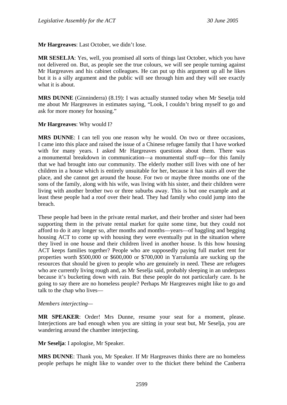**Mr Hargreaves**: Last October, we didn't lose.

**MR SESELJA**: Yes, well, you promised all sorts of things last October, which you have not delivered on. But, as people see the true colours, we will see people turning against Mr Hargreaves and his cabinet colleagues. He can put up this argument up all he likes but it is a silly argument and the public will see through him and they will see exactly what it is about.

**MRS DUNNE** (Ginninderra) (8.19): I was actually stunned today when Mr Seselja told me about Mr Hargreaves in estimates saying, "Look, I couldn't bring myself to go and ask for more money for housing."

### **Mr Hargreaves**: Why would I?

**MRS DUNNE**: I can tell you one reason why he would. On two or three occasions, I came into this place and raised the issue of a Chinese refugee family that I have worked with for many years. I asked Mr Hargreaves questions about them. There was a monumental breakdown in communication—a monumental stuff-up—for this family that we had brought into our community. The elderly mother still lives with one of her children in a house which is entirely unsuitable for her, because it has stairs all over the place, and she cannot get around the house. For two or maybe three months one of the sons of the family, along with his wife, was living with his sister, and their children were living with another brother two or three suburbs away. This is but one example and at least these people had a roof over their head. They had family who could jump into the breach.

These people had been in the private rental market, and their brother and sister had been supporting them in the private rental market for quite some time, but they could not afford to do it any longer so, after months and months—years—of haggling and begging housing ACT to come up with housing they were eventually put in the situation where they lived in one house and their children lived in another house. Is this how housing ACT keeps families together? People who are supposedly paying full market rent for properties worth \$500,000 or \$600,000 or \$700,000 in Yarralumla are sucking up the resources that should be given to people who are genuinely in need. These are refugees who are currently living rough and, as Mr Seselja said, probably sleeping in an underpass because it's bucketing down with rain. But these people do not particularly care. Is he going to say there are no homeless people? Perhaps Mr Hargreaves might like to go and talk to the chap who lives—

## *Members interjecting—*

**MR SPEAKER**: Order! Mrs Dunne, resume your seat for a moment, please. Interjections are bad enough when you are sitting in your seat but, Mr Seselja, you are wandering around the chamber interjecting.

**Mr Seselja**: I apologise, Mr Speaker.

**MRS DUNNE**: Thank you, Mr Speaker. If Mr Hargreaves thinks there are no homeless people perhaps he might like to wander over to the thicket there behind the Canberra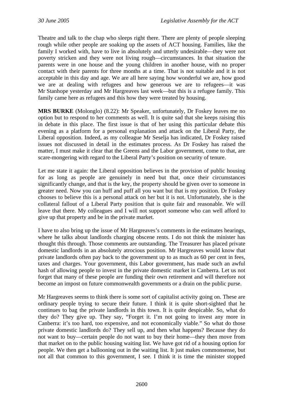Theatre and talk to the chap who sleeps right there. There are plenty of people sleeping rough while other people are soaking up the assets of ACT housing. Families, like the family I worked with, have to live in absolutely and utterly undesirable—they were not poverty stricken and they were not living rough—circumstances. In that situation the parents were in one house and the young children in another house, with no proper contact with their parents for three months at a time. That is not suitable and it is not acceptable in this day and age. We are all here saying how wonderful we are, how good we are at dealing with refugees and how generous we are to refugees—it was Mr Stanhope yesterday and Mr Hargreaves last week—but this is a refugee family. This family came here as refugees and this how they were treated by housing.

**MRS BURKE** (Molonglo) (8.22): Mr Speaker, unfortunately, Dr Foskey leaves me no option but to respond to her comments as well. It is quite sad that she keeps raising this in debate in this place. The first issue is that of her using this particular debate this evening as a platform for a personal explanation and attack on the Liberal Party, the Liberal opposition. Indeed, as my colleague Mr Seselja has indicated, Dr Foskey raised issues not discussed in detail in the estimates process. As Dr Foskey has raised the matter, I must make it clear that the Greens and the Labor government, come to that, are scare-mongering with regard to the Liberal Party's position on security of tenure.

Let me state it again: the Liberal opposition believes in the provision of public housing for as long as people are genuinely in need but that, once their circumstances significantly change, and that is the key, the property should be given over to someone in greater need. Now you can huff and puff all you want but that is my position. Dr Foskey chooses to believe this is a personal attack on her but it is not. Unfortunately, she is the collateral fallout of a Liberal Party position that is quite fair and reasonable. We will leave that there. My colleagues and I will not support someone who can well afford to give up that property and be in the private market.

I have to also bring up the issue of Mr Hargreaves's comments in the estimates hearings, where he talks about landlords charging obscene rents. I do not think the minister has thought this through. Those comments are outstanding. The Treasurer has placed private domestic landlords in an absolutely atrocious position. Mr Hargreaves would know that private landlords often pay back to the government up to as much as 60 per cent in fees, taxes and charges. Your government, this Labor government, has made such an awful hash of allowing people to invest in the private domestic market in Canberra. Let us not forget that many of these people are funding their own retirement and will therefore not become an impost on future commonwealth governments or a drain on the public purse.

Mr Hargreaves seems to think there is some sort of capitalist activity going on. These are ordinary people trying to secure their future. I think it is quite short-sighted that he continues to bag the private landlords in this town. It is quite despicable. So, what do they do? They give up. They say, "Forget it. I'm not going to invest any more in Canberra: it's too hard, too expensive, and not economically viable." So what do those private domestic landlords do? They sell up, and then what happens? Because they do not want to buy—certain people do not want to buy their home—they then move from that market on to the public housing waiting list. We have got rid of a housing option for people. We then get a ballooning out in the waiting list. It just makes commonsense, but not all that common to this government, I see. I think it is time the minister stopped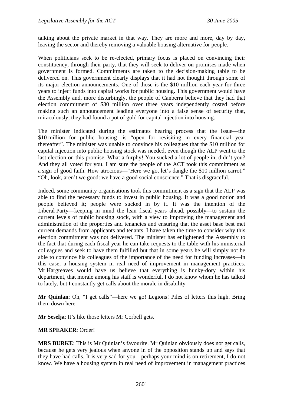talking about the private market in that way. They are more and more, day by day, leaving the sector and thereby removing a valuable housing alternative for people.

When politicians seek to be re-elected, primary focus is placed on convincing their constituency, through their party, that they will seek to deliver on promises made when government is formed. Commitments are taken to the decision-making table to be delivered on. This government clearly displays that it had not thought through some of its major election announcements. One of those is the \$10 million each year for three years to inject funds into capital works for public housing. This government would have the Assembly and, more disturbingly, the people of Canberra believe that they had that election commitment of \$30 million over three years independently costed before making such an announcement leading everyone into a false sense of security that, miraculously, they had found a pot of gold for capital injection into housing.

The minister indicated during the estimates hearing process that the issue—the \$10 million for public housing—is "open for revisiting in every financial year thereafter". The minister was unable to convince his colleagues that the \$10 million for capital injection into public housing stock was needed, even though the ALP went to the last election on this promise. What a furphy! You sucked a lot of people in, didn't you? And they all voted for you. I am sure the people of the ACT took this commitment as a sign of good faith. How atrocious—"Here we go, let's dangle the \$10 million carrot." "Oh, look, aren't we good: we have a good social conscience." That is disgraceful.

Indeed, some community organisations took this commitment as a sign that the ALP was able to find the necessary funds to invest in public housing. It was a good notion and people believed it; people were sucked in by it. It was the intention of the Liberal Party—keeping in mind the lean fiscal years ahead, possibly—to sustain the current levels of public housing stock, with a view to improving the management and administration of the properties and tenancies and ensuring that the asset base best met current demands from applicants and tenants. I have taken the time to consider why this election commitment was not delivered. The minister has enlightened the Assembly to the fact that during each fiscal year he can take requests to the table with his ministerial colleagues and seek to have them fulfilled but that in some years he will simply not be able to convince his colleagues of the importance of the need for funding increases—in this case, a housing system in real need of improvement in management practices. Mr Hargreaves would have us believe that everything is hunky-dory within his department, that morale among his staff is wonderful. I do not know whom he has talked to lately, but I constantly get calls about the morale in disability—

**Mr Quinlan**: Oh, "I get calls"—here we go! Legions! Piles of letters this high. Bring them down here.

**Mr Seselja**: It's like those letters Mr Corbell gets.

## **MR SPEAKER**: Order!

**MRS BURKE**: This is Mr Quinlan's favourite. Mr Quinlan obviously does not get calls, because he gets very jealous when anyone in of the opposition stands up and says that they have had calls. It is very sad for you—perhaps your mind is on retirement, I do not know. We have a housing system in real need of improvement in management practices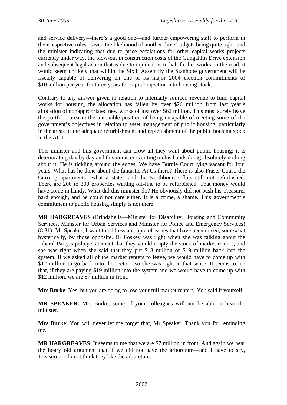and service delivery—there's a good one—and further empowering staff to perform in their respective roles. Given the likelihood of another three budgets being quite tight, and the minister indicating that due to price escalations for other capital works projects currently under way, the blow-out in construction costs of the Gungahlin Drive extension and subsequent legal action that is due to injunctions to halt further works on the road, it would seem unlikely that within the Sixth Assembly the Stanhope government will be fiscally capable of delivering on one of its major 2004 election commitments of \$10 million per year for three years for capital injection into housing stock.

Contrary to any answer given in relation to internally sourced revenue to fund capital works for housing, the allocation has fallen by over \$26 million from last year's allocation of nonappropriated new works of just over \$62 million. This must surely leave the portfolio area in the untenable position of being incapable of meeting some of the government's objectives in relation to asset management of public housing, particularly in the areas of the adequate refurbishment and replenishment of the public housing stock in the ACT.

This minister and this government can crow all they want about public housing: it is deteriorating day by day and this minister is sitting on his hands doing absolutely nothing about it. He is tickling around the edges. We have Burnie Court lying vacant for four years. What has he done about the fantastic APUs there? There is also Fraser Court, the Currong apartments—what a state—and the Northbourne flats still not refurbished. There are 200 to 300 properties waiting off-line to be refurbished. That money would have come in handy. What did this minister do? He obviously did not push his Treasurer hard enough, and he could not care either. It is a crime, a shame. This government's commitment to public housing simply is not there.

**MR HARGREAVES** (Brindabella—Minister for Disability, Housing and Community Services, Minister for Urban Services and Minister for Police and Emergency Services) (8.31): Mr Speaker, I want to address a couple of issues that have been raised, somewhat hysterically, by those opposite. Dr Foskey was right when she was talking about the Liberal Party's policy statement that they would empty the stock of market renters, and she was right when she said that they put \$18 million or \$19 million back into the system. If we asked all of the market renters to leave, we would have to come up with \$12 million to go back into the sector—so she was right in that sense. It seems to me that, if they are paying \$19 million into the system and we would have to come up with \$12 million, we are \$7 million in front.

**Mrs Burke**: Yes, but you are going to lose your full market renters. You said it yourself.

**MR SPEAKER**: Mrs Burke, some of your colleagues will not be able to hear the minister.

**Mrs Burke**: You will never let me forget that, Mr Speaker. Thank you for reminding me.

**MR HARGREAVES**: It seems to me that we are \$7 million in front. And again we hear the hoary old argument that if we did not have the arboretum—and I have to say, Treasurer, I do not think they like the arboretum.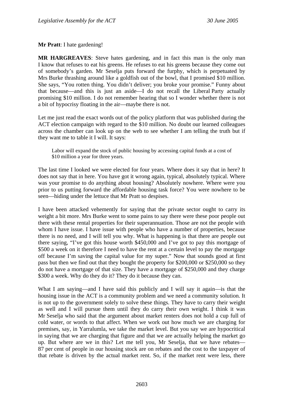**Mr Pratt**: I hate gardening!

**MR HARGREAVES**: Steve hates gardening, and in fact this man is the only man I know that refuses to eat his greens. He refuses to eat his greens because they come out of somebody's garden. Mr Seselja puts forward the furphy, which is perpetuated by Mrs Burke thrashing around like a goldfish out of the bowl, that I promised \$10 million. She says, "You rotten thing. You didn't deliver; you broke your promise." Funny about that because—and this is just an aside—I do not recall the Liberal Party actually promising \$10 million. I do not remember hearing that so I wonder whether there is not a bit of hypocrisy floating in the air—maybe there is not.

Let me just read the exact words out of the policy platform that was published during the ACT election campaign with regard to the \$10 million. No doubt our learned colleagues across the chamber can look up on the web to see whether I am telling the truth but if they want me to table it I will. It says:

Labor will expand the stock of public housing by accessing capital funds at a cost of \$10 million a year for three years.

The last time I looked we were elected for four years. Where does it say that in here? It does not say that in here. You have got it wrong again, typical, absolutely typical. Where was your promise to do anything about housing? Absolutely nowhere. Where were you prior to us putting forward the affordable housing task force? You were nowhere to be seen—hiding under the lettuce that Mr Pratt so despises.

I have been attacked vehemently for saying that the private sector ought to carry its weight a bit more. Mrs Burke went to some pains to say there were these poor people out there with these rental properties for their superannuation. Those are not the people with whom I have issue. I have issue with people who have a number of properties, because there is no need, and I will tell you why. What is happening is that there are people out there saying, "I've got this house worth \$450,000 and I've got to pay this mortgage of \$500 a week on it therefore I need to have the rent at a certain level to pay the mortgage off because I'm saving the capital value for my super." Now that sounds good at first pass but then we find out that they bought the property for \$200,000 or \$250,000 so they do not have a mortgage of that size. They have a mortgage of \$250,000 and they charge \$300 a week. Why do they do it? They do it because they can.

What I am saying—and I have said this publicly and I will say it again—is that the housing issue in the ACT is a community problem and we need a community solution. It is not up to the government solely to solve these things. They have to carry their weight as well and I will pursue them until they do carry their own weight. I think it was Mr Seselja who said that the argument about market renters does not hold a cup full of cold water, or words to that affect. When we work out how much we are charging for premises, say, in Yarralumla, we take the market level. But you say we are hypocritical in saying that we are charging that figure and that we are actually helping the market go up. But where are we in this? Let me tell you, Mr Seselja, that we have rebates— 87 per cent of people in our housing stock are on rebates and the cost to the taxpayer of that rebate is driven by the actual market rent. So, if the market rent were less, there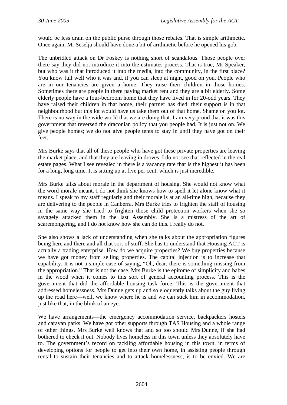would be less drain on the public purse through those rebates. That is simple arithmetic. Once again, Mr Seselja should have done a bit of arithmetic before he opened his gob.

The unbridled attack on Dr Foskey is nothing short of scandalous. Those people over there say they did not introduce it into the estimates process. That is true, Mr Speaker, but who was it that introduced it into the media, into the community, in the first place? You know full well who it was and, if you can sleep at night, good on you. People who are in our tenancies are given a home. They raise their children in those homes. Sometimes there are people in there paying market rent and they are a bit elderly. Some elderly people have a four-bedroom home that they have lived in for 20-odd years. They have raised their children in that home, their partner has died, their support is in that neighbourhood but this lot would have us take them out of that home. Shame on you lot. There is no way in the wide world that we are doing that. I am very proud that it was this government that reversed the draconian policy that you people had. It is just not on. We give people homes; we do not give people tents to stay in until they have got on their feet.

Mrs Burke says that all of these people who have got these private properties are leaving the market place, and that they are leaving in droves. I do not see that reflected in the real estate pages. What I see revealed in there is a vacancy rate that is the highest it has been for a long, long time. It is sitting up at five per cent, which is just incredible.

Mrs Burke talks about morale in the department of housing. She would not know what the word morale meant. I do not think she knows how to spell it let alone know what it means. I speak to my staff regularly and their morale is at an all-time high, because they are delivering to the people in Canberra. Mrs Burke tries to frighten the staff of housing in the same way she tried to frighten those child protection workers when she so savagely attacked them in the last Assembly. She is a mistress of the art of scaremongering, and I do not know how she can do this. I really do not.

She also shows a lack of understanding when she talks about the appropriation figures being here and there and all that sort of stuff. She has to understand that Housing ACT is actually a trading enterprise. How do we acquire properties? We buy properties because we have got money from selling properties. The capital injection is to increase that capability. It is not a simple case of saying, "Oh, dear, there is something missing from the appropriation." That is not the case. Mrs Burke is the epitome of simplicity and babes in the wood when it comes to this sort of general accounting process. This is the government that did the affordable housing task force. This is the government that addressed homelessness. Mrs Dunne gets up and so eloquently talks about the guy living up the road here—well, we know where he is and we can stick him in accommodation, just like that, in the blink of an eye.

We have arrangements—the emergency accommodation service, backpackers hostels and caravan parks. We have got other supports through TAS Housing and a whole range of other things. Mrs Burke well knows that and so too should Mrs Dunne, if she had bothered to check it out. Nobody lives homeless in this town unless they absolutely have to. The government's record on tackling affordable housing in this town, in terms of developing options for people to get into their own home, in assisting people through rental to sustain their tenancies and to attack homelessness, is to be envied. We are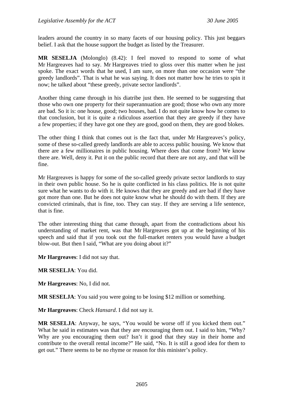leaders around the country in so many facets of our housing policy. This just beggars belief. I ask that the house support the budget as listed by the Treasurer.

**MR SESELJA** (Molonglo) (8.42): I feel moved to respond to some of what Mr Hargreaves had to say. Mr Hargreaves tried to gloss over this matter when he just spoke. The exact words that he used, I am sure, on more than one occasion were "the greedy landlords". That is what he was saying. It does not matter how he tries to spin it now; he talked about "these greedy, private sector landlords".

Another thing came through in his diatribe just then. He seemed to be suggesting that those who own one property for their superannuation are good; those who own any more are bad. So it is: one house, good; two houses, bad. I do not quite know how he comes to that conclusion, but it is quite a ridiculous assertion that they are greedy if they have a few properties; if they have got one they are good, good on them, they are good blokes.

The other thing I think that comes out is the fact that, under Mr Hargreaves's policy, some of these so-called greedy landlords are able to access public housing. We know that there are a few millionaires in public housing. Where does that come from? We know there are. Well, deny it. Put it on the public record that there are not any, and that will be fine.

Mr Hargreaves is happy for some of the so-called greedy private sector landlords to stay in their own public house. So he is quite conflicted in his class politics. He is not quite sure what he wants to do with it. He knows that they are greedy and are bad if they have got more than one. But he does not quite know what he should do with them. If they are convicted criminals, that is fine, too. They can stay. If they are serving a life sentence, that is fine.

The other interesting thing that came through, apart from the contradictions about his understanding of market rent, was that Mr Hargreaves got up at the beginning of his speech and said that if you took out the full-market renters you would have a budget blow-out. But then I said, "What are you doing about it?"

**Mr Hargreaves**: I did not say that.

**MR SESELJA**: You did.

**Mr Hargreaves**: No, I did not.

**MR SESELJA**: You said you were going to be losing \$12 million or something.

**Mr Hargreaves**: Check *Hansard*. I did not say it.

**MR SESELJA**: Anyway, he says, "You would be worse off if you kicked them out." What he said in estimates was that they are encouraging them out. I said to him, "Why? Why are you encouraging them out? Isn't it good that they stay in their home and contribute to the overall rental income?" He said, "No. It is still a good idea for them to get out." There seems to be no rhyme or reason for this minister's policy.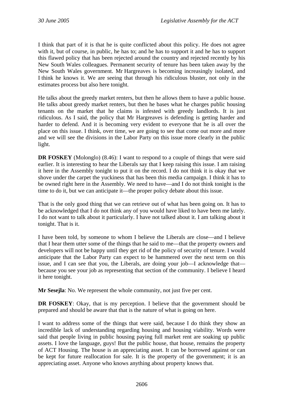I think that part of it is that he is quite conflicted about this policy. He does not agree with it, but of course, in public, he has to; and he has to support it and he has to support this flawed policy that has been rejected around the country and rejected recently by his New South Wales colleagues. Permanent security of tenure has been taken away by the New South Wales government. Mr Hargreaves is becoming increasingly isolated, and I think he knows it. We are seeing that through his ridiculous bluster, not only in the estimates process but also here tonight.

He talks about the greedy market renters, but then he allows them to have a public house. He talks about greedy market renters, but then he bases what he charges public housing tenants on the market that he claims is infested with greedy landlords. It is just ridiculous. As I said, the policy that Mr Hargreaves is defending is getting harder and harder to defend. And it is becoming very evident to everyone that he is all over the place on this issue. I think, over time, we are going to see that come out more and more and we will see the divisions in the Labor Party on this issue more clearly in the public light.

**DR FOSKEY** (Molonglo) (8.46): I want to respond to a couple of things that were said earlier. It is interesting to hear the Liberals say that I keep raising this issue. I am raising it here in the Assembly tonight to put it on the record. I do not think it is okay that we shove under the carpet the yuckiness that has been this media campaign. I think it has to be owned right here in the Assembly. We need to have—and I do not think tonight is the time to do it, but we can anticipate it—the proper policy debate about this issue.

That is the only good thing that we can retrieve out of what has been going on. It has to be acknowledged that I do not think any of you would have liked to have been me lately. I do not want to talk about it particularly. I have not talked about it. I am talking about it tonight. That is it.

I have been told, by someone to whom I believe the Liberals are close—and I believe that I hear them utter some of the things that he said to me—that the property owners and developers will not be happy until they get rid of the policy of security of tenure. I would anticipate that the Labor Party can expect to be hammered over the next term on this issue, and I can see that you, the Liberals, are doing your job—I acknowledge that because you see your job as representing that section of the community. I believe I heard it here tonight.

**Mr Sesejla**: No. We represent the whole community, not just five per cent.

**DR FOSKEY:** Okay, that is my perception. I believe that the government should be prepared and should be aware that that is the nature of what is going on here.

I want to address some of the things that were said, because I do think they show an incredible lack of understanding regarding housing and housing viability. Words were said that people living in public housing paying full market rent are soaking up public assets. I love the language, guys! But the public house, that house, remains the property of ACT Housing. The house is an appreciating asset. It can be borrowed against or can be kept for future reallocation for sale. It is the property of the government; it is an appreciating asset. Anyone who knows anything about property knows that.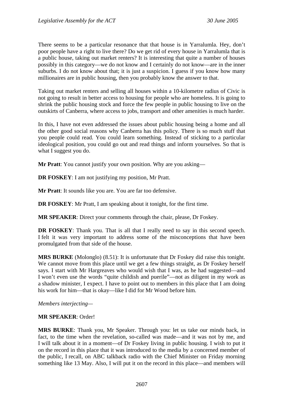There seems to be a particular resonance that that house is in Yarralumla. Hey, don't poor people have a right to live there? Do we get rid of every house in Yarralumla that is a public house, taking out market renters? It is interesting that quite a number of houses possibly in this category—we do not know and I certainly do not know—are in the inner suburbs. I do not know about that; it is just a suspicion. I guess if you know how many millionaires are in public housing, then you probably know the answer to that.

Taking out market renters and selling all houses within a 10-kilometre radius of Civic is not going to result in better access to housing for people who are homeless. It is going to shrink the public housing stock and force the few people in public housing to live on the outskirts of Canberra, where access to jobs, transport and other amenities is much harder.

In this, I have not even addressed the issues about public housing being a home and all the other good social reasons why Canberra has this policy. There is so much stuff that you people could read. You could learn something. Instead of sticking to a particular ideological position, you could go out and read things and inform yourselves. So that is what I suggest you do.

**Mr Pratt**: You cannot justify your own position. Why are you asking—

**DR FOSKEY**: I am not justifying my position, Mr Pratt.

**Mr Pratt**: It sounds like you are. You are far too defensive.

**DR FOSKEY**: Mr Pratt, I am speaking about it tonight, for the first time.

**MR SPEAKER**: Direct your comments through the chair, please, Dr Foskey.

**DR FOSKEY**: Thank you. That is all that I really need to say in this second speech. I felt it was very important to address some of the misconceptions that have been promulgated from that side of the house.

**MRS BURKE** (Molonglo) (8.51): It is unfortunate that Dr Foskey did raise this tonight. We cannot move from this place until we get a few things straight, as Dr Foskey herself says. I start with Mr Hargreaves who would wish that I was, as he had suggested—and I won't even use the words "quite childish and puerile"—not as diligent in my work as a shadow minister, I expect. I have to point out to members in this place that I am doing his work for him—that is okay—like I did for Mr Wood before him.

*Members interjecting—* 

### **MR SPEAKER**: Order!

**MRS BURKE**: Thank you, Mr Speaker. Through you: let us take our minds back, in fact, to the time when the revelation, so-called was made—and it was not by me, and I will talk about it in a moment—of Dr Foskey living in public housing. I wish to put it on the record in this place that it was introduced to the media by a concerned member of the public, I recall, on ABC talkback radio with the Chief Minister on Friday morning something like 13 May. Also, I will put it on the record in this place—and members will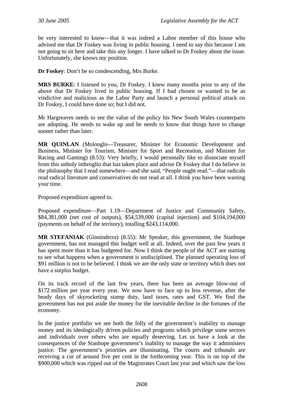be very interested to know—that it was indeed a Labor member of this house who advised me that Dr Foskey was living in public housing. I need to say this because I am not going to sit here and take this any longer. I have talked to Dr Foskey about the issue. Unfortunately, she knows my position.

**Dr Foskey**: Don't be so condescending, Mrs Burke.

**MRS BURKE**: I listened to you, Dr Foskey. I knew many months prior to any of the above that Dr Foskey lived in public housing. If I had chosen or wanted to be as vindictive and malicious as the Labor Party and launch a personal political attack on Dr Foskey, I could have done so; but I did not.

Mr Hargreaves needs to see the value of the policy his New South Wales counterparts are adopting. He needs to wake up and he needs to know that things have to change sooner rather than later.

**MR QUINLAN** (Molonglo—Treasurer, Minister for Economic Development and Business, Minister for Tourism, Minister for Sport and Recreation, and Minister for Racing and Gaming) (8.53): Very briefly, I would personally like to dissociate myself from this unholy imbroglio that has taken place and advise Dr Foskey that I do believe in the philosophy that I read somewhere—and she said, "People ought read."—that radicals read radical literature and conservatives do not read at all. I think you have been wasting your time.

Proposed expenditure agreed to.

Proposed expenditure—Part 1.19—Department of Justice and Community Safety, \$84,381,000 (net cost of outputs), \$54,539,000 (capital injection) and \$104,194,000 (payments on behalf of the territory), totalling \$243,114,000.

**MR STEFANIAK** (Ginninderra) (8.55): Mr Speaker, this government, the Stanhope government, has not managed this budget well at all. Indeed, over the past few years it has spent more than it has budgeted for. Now I think the people of the ACT are starting to see what happens when a government is undisciplined. The planned operating loss of \$91 million is not to be believed. I think we are the only state or territory which does not have a surplus budget.

On its track record of the last few years, there has been an average blow-out of \$172 million per year every year. We now have to face up to less revenue, after the heady days of skyrocketing stamp duty, land taxes, rates and GST. We find the government has not put aside the money for the inevitable decline in the fortunes of the economy.

In the justice portfolio we see both the folly of the government's inability to manage money and its ideologically driven policies and programs which privilege some sectors and individuals over others who are equally deserving. Let us have a look at the consequences of the Stanhope government's inability to manage the way it administers justice. The government's priorities are illuminating. The courts and tribunals are receiving a cut of around five per cent in the forthcoming year. This is on top of the \$900,000 which was ripped out of the Magistrates Court last year and which saw the loss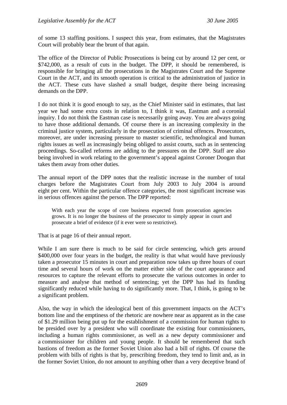of some 13 staffing positions. I suspect this year, from estimates, that the Magistrates Court will probably bear the brunt of that again.

The office of the Director of Public Prosecutions is being cut by around 12 per cent, or \$742,000, as a result of cuts in the budget. The DPP, it should be remembered, is responsible for bringing all the prosecutions in the Magistrates Court and the Supreme Court in the ACT, and its smooth operation is critical to the administration of justice in the ACT. These cuts have slashed a small budget, despite there being increasing demands on the DPP.

I do not think it is good enough to say, as the Chief Minister said in estimates, that last year we had some extra costs in relation to, I think it was, Eastman and a coronial inquiry. I do not think the Eastman case is necessarily going away. You are always going to have those additional demands. Of course there is an increasing complexity in the criminal justice system, particularly in the prosecution of criminal offences. Prosecutors, moreover, are under increasing pressure to master scientific, technological and human rights issues as well as increasingly being obliged to assist courts, such as in sentencing proceedings. So-called reforms are adding to the pressures on the DPP. Staff are also being involved in work relating to the government's appeal against Coroner Doogan that takes them away from other duties.

The annual report of the DPP notes that the realistic increase in the number of total charges before the Magistrates Court from July 2003 to July 2004 is around eight per cent. Within the particular offence categories, the most significant increase was in serious offences against the person. The DPP reported:

With each year the scope of core business expected from prosecution agencies grows. It is no longer the business of the prosecutor to simply appear in court and prosecute a brief of evidence (if it ever were so restrictive).

That is at page 16 of their annual report.

While I am sure there is much to be said for circle sentencing, which gets around \$400,000 over four years in the budget, the reality is that what would have previously taken a prosecutor 15 minutes in court and preparation now takes up three hours of court time and several hours of work on the matter either side of the court appearance and resources to capture the relevant efforts to prosecute the various outcomes in order to measure and analyse that method of sentencing; yet the DPP has had its funding significantly reduced while having to do significantly more. That, I think, is going to be a significant problem.

Also, the way in which the ideological bent of this government impacts on the ACT's bottom line and the emptiness of the rhetoric are nowhere near as apparent as in the case of \$1.29 million being put up for the establishment of a commission for human rights to be presided over by a president who will coordinate the existing four commissioners, including a human rights commissioner, as well as a new deputy commissioner and a commissioner for children and young people. It should be remembered that such bastions of freedom as the former Soviet Union also had a bill of rights. Of course the problem with bills of rights is that by, prescribing freedom, they tend to limit and, as in the former Soviet Union, do not amount to anything other than a very deceptive brand of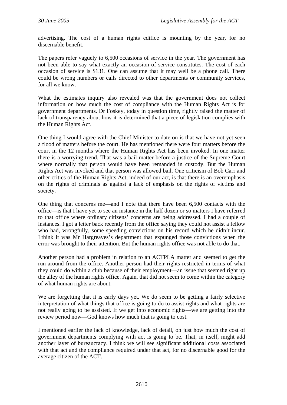advertising. The cost of a human rights edifice is mounting by the year, for no discernable benefit.

The papers refer vaguely to 6,500 occasions of service in the year. The government has not been able to say what exactly an occasion of service constitutes. The cost of each occasion of service is \$131. One can assume that it may well be a phone call. There could be wrong numbers or calls directed to other departments or community services, for all we know.

What the estimates inquiry also revealed was that the government does not collect information on how much the cost of compliance with the Human Rights Act is for government departments. Dr Foskey, today in question time, rightly raised the matter of lack of transparency about how it is determined that a piece of legislation complies with the Human Rights Act.

One thing I would agree with the Chief Minister to date on is that we have not yet seen a flood of matters before the court. He has mentioned there were four matters before the court in the 12 months where the Human Rights Act has been invoked. In one matter there is a worrying trend. That was a bail matter before a justice of the Supreme Court where normally that person would have been remanded in custody. But the Human Rights Act was invoked and that person was allowed bail. One criticism of Bob Carr and other critics of the Human Rights Act, indeed of our act, is that there is an overemphasis on the rights of criminals as against a lack of emphasis on the rights of victims and society.

One thing that concerns me—and I note that there have been 6,500 contacts with the office—is that I have yet to see an instance in the half dozen or so matters I have referred to that office where ordinary citizens' concerns are being addressed. I had a couple of instances. I got a letter back recently from the office saying they could not assist a fellow who had, wrongfully, some speeding convictions on his record which he didn't incur. I think it was Mr Hargreaves's department that expunged those convictions when the error was brought to their attention. But the human rights office was not able to do that.

Another person had a problem in relation to an ACTPLA matter and seemed to get the run-around from the office. Another person had their rights restricted in terms of what they could do within a club because of their employment—an issue that seemed right up the alley of the human rights office. Again, that did not seem to come within the category of what human rights are about.

We are forgetting that it is early days yet. We do seem to be getting a fairly selective interpretation of what things that office is going to do to assist rights and what rights are not really going to be assisted. If we get into economic rights—we are getting into the review period now—God knows how much that is going to cost.

I mentioned earlier the lack of knowledge, lack of detail, on just how much the cost of government departments complying with act is going to be. That, in itself, might add another layer of bureaucracy. I think we will see significant additional costs associated with that act and the compliance required under that act, for no discernable good for the average citizen of the ACT.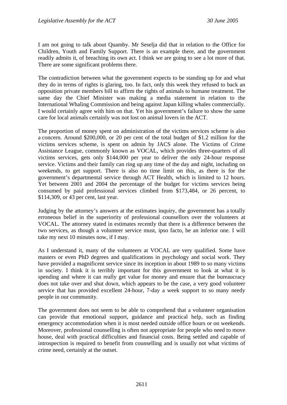I am not going to talk about Quamby. Mr Seselja did that in relation to the Office for Children, Youth and Family Support. There is an example there, and the government readily admits it, of breaching its own act. I think we are going to see a lot more of that. There are some significant problems there.

The contradiction between what the government expects to be standing up for and what they do in terms of rights is glaring, too. In fact, only this week they refused to back an opposition private members bill to affirm the rights of animals to humane treatment. The same day the Chief Minister was making a media statement in relation to the International Whaling Commission and being against Japan killing whales commercially. I would certainly agree with him on that. Yet his government's failure to show the same care for local animals certainly was not lost on animal lovers in the ACT.

The proportion of money spent on administration of the victims services scheme is also a concern. Around \$200,000, or 20 per cent of the total budget of \$1.2 million for the victims services scheme, is spent on admin by JACS alone. The Victims of Crime Assistance League, commonly known as VOCAL, which provides three-quarters of all victims services, gets only \$144,000 per year to deliver the only 24-hour response service. Victims and their family can ring up any time of the day and night, including on weekends, to get support. There is also no time limit on this, as there is for the government's departmental service through ACT Health, which is limited to 12 hours. Yet between 2001 and 2004 the percentage of the budget for victims services being consumed by paid professional services climbed from \$173,484, or 26 percent, to \$114,309, or 43 per cent, last year.

Judging by the attorney's answers at the estimates inquiry, the government has a totally erroneous belief in the superiority of professional counsellors over the volunteers at VOCAL. The attorney stated in estimates recently that there is a difference between the two services, as though a volunteer service must, ipso facto, be an inferior one. I will take my next 10 minutes now, if I may.

As I understand it, many of the volunteers at VOCAL are very qualified. Some have masters or even PhD degrees and qualifications in psychology and social work. They have provided a magnificent service since its inception in about 1989 to so many victims in society. I think it is terribly important for this government to look at what it is spending and where it can really get value for money and ensure that the bureaucracy does not take over and shut down, which appears to be the case, a very good volunteer service that has provided excellent 24-hour, 7-day a week support to so many needy people in our community.

The government does not seem to be able to comprehend that a volunteer organisation can provide that emotional support, guidance and practical help, such as finding emergency accommodation when it is most needed outside office hours or on weekends. Moreover, professional counselling is often not appropriate for people who need to move house, deal with practical difficulties and financial costs. Being settled and capable of introspection is required to benefit from counselling and is usually not what victims of crime need, certainly at the outset.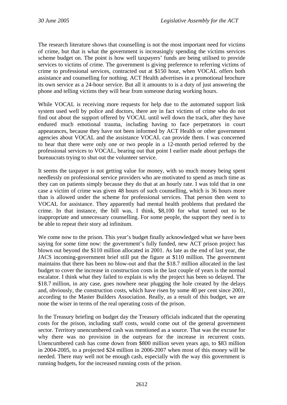The research literature shows that counselling is not the most important need for victims of crime, but that is what the government is increasingly spending the victims services scheme budget on. The point is how well taxpayers' funds are being utilised to provide services to victims of crime. The government is giving preference to referring victims of crime to professional services, contracted out at \$150 hour, when VOCAL offers both assistance and counselling for nothing. ACT Health advertises in a promotional brochure its own service as a 24-hour service. But all it amounts to is a duty of just answering the phone and telling victims they will hear from someone during working hours.

While VOCAL is receiving more requests for help due to the automated support link system used well by police and doctors, there are in fact victims of crime who do not find out about the support offered by VOCAL until well down the track, after they have endured much emotional trauma, including having to face perpetrators in court appearances, because they have not been informed by ACT Health or other government agencies about VOCAL and the assistance VOCAL can provide them. I was concerned to hear that there were only one or two people in a 12-month period referred by the professional services to VOCAL, bearing out that point I earlier made about perhaps the bureaucrats trying to shut out the volunteer service.

It seems the taxpayer is not getting value for money, with so much money being spent needlessly on professional service providers who are motivated to spend as much time as they can on patients simply because they do that at an hourly rate. I was told that in one case a victim of crime was given 48 hours of such counselling, which is 36 hours more than is allowed under the scheme for professional services. That person then went to VOCAL for assistance. They apparently had mental health problems that predated the crime. In that instance, the bill was, I think, \$8,100 for what turned out to be inappropriate and unnecessary counselling. For some people, the support they need is to be able to repeat their story ad infinitum.

We come now to the prison. This year's budget finally acknowledged what we have been saying for some time now: the government's fully funded, new ACT prison project has blown out beyond the \$110 million allocated in 2001. As late as the end of last year, the JACS incoming-government brief still put the figure at \$110 million. The government maintains that there has been no blow-out and that the \$18.7 million allocated in the last budget to cover the increase in construction costs in the last couple of years is the normal escalator. I think what they failed to explain is why the project has been so delayed. The \$18.7 million, in any case, goes nowhere near plugging the hole created by the delays and, obviously, the construction costs, which have risen by some 40 per cent since 2001, according to the Master Builders Association. Really, as a result of this budget, we are none the wiser in terms of the real operating costs of the prison.

In the Treasury briefing on budget day the Treasury officials indicated that the operating costs for the prison, including staff costs, would come out of the general government sector. Territory unencumbered cash was mentioned as a source. That was the excuse for why there was no provision in the outyears for the increase in recurrent costs. Unencumbered cash has come down from \$800 million seven years ago, to \$83 million in 2004-2005, to a projected \$24 million in 2006-2007 when most of this money will be needed. There may well not be enough cash, especially with the way this government is running budgets, for the increased running costs of the prison.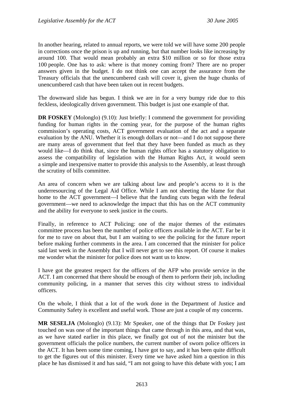In another hearing, related to annual reports, we were told we will have some 200 people in corrections once the prison is up and running, but that number looks like increasing by around 100. That would mean probably an extra \$10 million or so for those extra 100 people. One has to ask: where is that money coming from? There are no proper answers given in the budget. I do not think one can accept the assurance from the Treasury officials that the unencumbered cash will cover it, given the huge chunks of unencumbered cash that have been taken out in recent budgets.

The downward slide has begun. I think we are in for a very bumpy ride due to this feckless, ideologically driven government. This budget is just one example of that.

**DR FOSKEY** (Molonglo) (9.10): Just briefly: I commend the government for providing funding for human rights in the coming year, for the purpose of the human rights commission's operating costs, ACT government evaluation of the act and a separate evaluation by the ANU. Whether it is enough dollars or not—and I do not suppose there are many areas of government that feel that they have been funded as much as they would like—I do think that, since the human rights office has a statutory obligation to assess the compatibility of legislation with the Human Rights Act, it would seem a simple and inexpensive matter to provide this analysis to the Assembly, at least through the scrutiny of bills committee.

An area of concern when we are talking about law and people's access to it is the underresourcing of the Legal Aid Office. While I am not sheeting the blame for that home to the ACT government—I believe that the funding cuts began with the federal government—we need to acknowledge the impact that this has on the ACT community and the ability for everyone to seek justice in the courts.

Finally, in reference to ACT Policing: one of the major themes of the estimates committee process has been the number of police officers available in the ACT. Far be it for me to rave on about that, but I am waiting to see the policing for the future report before making further comments in the area. I am concerned that the minister for police said last week in the Assembly that I will never get to see this report. Of course it makes me wonder what the minister for police does not want us to know.

I have got the greatest respect for the officers of the AFP who provide service in the ACT. I am concerned that there should be enough of them to perform their job, including community policing, in a manner that serves this city without stress to individual officers.

On the whole, I think that a lot of the work done in the Department of Justice and Community Safety is excellent and useful work. Those are just a couple of my concerns.

**MR SESELJA** (Molonglo) (9.13): Mr Speaker, one of the things that Dr Foskey just touched on was one of the important things that came through in this area, and that was, as we have stated earlier in this place, we finally got out of not the minister but the government officials the police numbers, the current number of sworn police officers in the ACT. It has been some time coming, I have got to say, and it has been quite difficult to get the figures out of this minister. Every time we have asked him a question in this place he has dismissed it and has said, "I am not going to have this debate with you; I am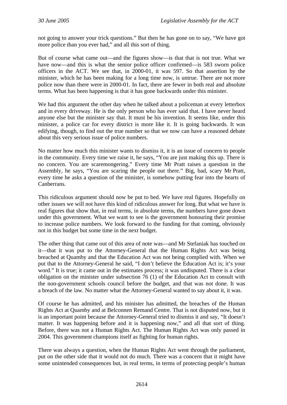not going to answer your trick questions." But then he has gone on to say, "We have got more police than you ever had," and all this sort of thing.

But of course what came out—and the figures show—is that that is not true. What we have now—and this is what the senior police officer confirmed—is 583 sworn police officers in the ACT. We see that, in 2000-01, it was 597. So that assertion by the minister, which he has been making for a long time now, is untrue. There are not more police now than there were in 2000-01. In fact, there are fewer in both real and absolute terms. What has been happening is that it has gone backwards under this minister.

We had this argument the other day when he talked about a policeman at every letterbox and in every driveway. He is the only person who has ever said that. I have never heard anyone else but the minister say that. It must be his invention. It seems like, under this minister, a police car for every district is more like it. It is going backwards. It was edifying, though, to find out the true number so that we now can have a reasoned debate about this very serious issue of police numbers.

No matter how much this minister wants to dismiss it, it is an issue of concern to people in the community. Every time we raise it, he says, "You are just making this up. There is no concern. You are scaremongering." Every time Mr Pratt raises a question in the Assembly, he says, "You are scaring the people out there." Big, bad, scary Mr Pratt, every time he asks a question of the minister, is somehow putting fear into the hearts of Canberrans.

This ridiculous argument should now be put to bed. We have real figures. Hopefully on other issues we will not have this kind of ridiculous answer for long. But what we have is real figures that show that, in real terms, in absolute terms, the numbers have gone down under this government. What we want to see is the government honouring their promise to increase police numbers. We look forward to the funding for that coming, obviously not in this budget but some time in the next budget.

The other thing that came out of this area of note was—and Mr Stefaniak has touched on it—that it was put to the Attorney-General that the Human Rights Act was being breached at Quamby and that the Education Act was not being complied with. When we put that to the Attorney-General he said, "I don't believe the Education Act is; it's your word." It is true; it came out in the estimates process; it was undisputed. There is a clear obligation on the minister under subsection 76 (1) of the Education Act to consult with the non-government schools council before the budget, and that was not done. It was a breach of the law. No matter what the Attorney-General wanted to say about it, it was.

Of course he has admitted, and his minister has admitted, the breaches of the Human Rights Act at Quamby and at Belconnen Remand Centre. That is not disputed now, but it is an important point because the Attorney-General tried to dismiss it and say, "It doesn't matter. It was happening before and it is happening now," and all that sort of thing. Before, there was not a Human Rights Act. The Human Rights Act was only passed in 2004. This government champions itself as fighting for human rights.

There was always a question, when the Human Rights Act went through the parliament, put on the other side that it would not do much. There was a concern that it might have some unintended consequences but, in real terms, in terms of protecting people's human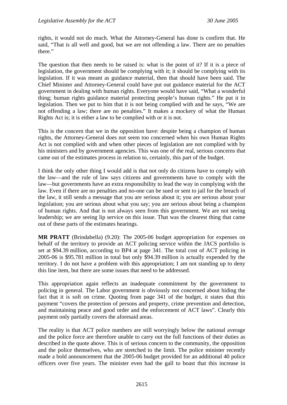rights, it would not do much. What the Attorney-General has done is confirm that. He said, "That is all well and good, but we are not offending a law. There are no penalties there."

The question that then needs to be raised is: what is the point of it? If it is a piece of legislation, the government should be complying with it; it should be complying with its legislation. If it was meant as guidance material, then that should have been said. The Chief Minister and Attorney-General could have put out guidance material for the ACT government in dealing with human rights. Everyone would have said, "What a wonderful thing; human rights guidance material protecting people's human rights." He put it in legislation. Then we put to him that it is not being complied with and he says, "We are not offending a law; there are no penalties." It makes a mockery of what the Human Rights Act is; it is either a law to be complied with or it is not.

This is the concern that we in the opposition have: despite being a champion of human rights, the Attorney-General does not seem too concerned when his own Human Rights Act is not complied with and when other pieces of legislation are not complied with by his ministers and by government agencies. This was one of the real, serious concerns that came out of the estimates process in relation to, certainly, this part of the budget.

I think the only other thing I would add is that not only do citizens have to comply with the law—and the rule of law says citizens and governments have to comply with the law—but governments have an extra responsibility to lead the way in complying with the law. Even if there are no penalties and no-one can be sued or sent to jail for the breach of the law, it still sends a message that you are serious about it; you are serious about your legislation; you are serious about what you say; you are serious about being a champion of human rights. And that is not always seen from this government. We are not seeing leadership; we are seeing lip service on this issue. That was the clearest thing that came out of these parts of the estimates hearings.

**MR PRATT** (Brindabella) (9.20): The 2005-06 budget appropriation for expenses on behalf of the territory to provide an ACT policing service within the JACS portfolio is set at \$94.39 million, according to BP4 at page 341. The total cost of ACT policing in 2005-06 is \$95.781 million in total but only \$94.39 million is actually expended by the territory. I do not have a problem with this appropriation; I am not standing up to deny this line item, but there are some issues that need to be addressed.

This appropriation again reflects an inadequate commitment by the government to policing in general. The Labor government is obviously not concerned about hiding the fact that it is soft on crime. Quoting from page 341 of the budget, it states that this payment "covers the protection of persons and property, crime prevention and detection, and maintaining peace and good order and the enforcement of ACT laws". Clearly this payment only partially covers the aforesaid areas.

The reality is that ACT police numbers are still worryingly below the national average and the police force are therefore unable to carry out the full functions of their duties as described in the quote above. This is of serious concern to the community, the opposition and the police themselves, who are stretched to the limit. The police minister recently made a bold announcement that the 2005-06 budget provided for an additional 40 police officers over five years. The minister even had the gall to boast that this increase in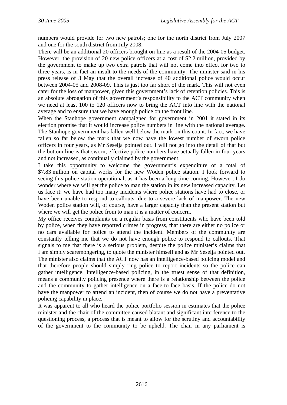numbers would provide for two new patrols; one for the north district from July 2007 and one for the south district from July 2008.

There will be an additional 20 officers brought on line as a result of the 2004-05 budget. However, the provision of 20 new police officers at a cost of \$2.2 million, provided by the government to make up two extra patrols that will not come into effect for two to three years, is in fact an insult to the needs of the community. The minister said in his press release of 3 May that the overall increase of 40 additional police would occur between 2004-05 and 2008-09. This is just too far short of the mark. This will not even cater for the loss of manpower, given this government's lack of retention policies. This is an absolute abrogation of this government's responsibility to the ACT community when we need at least 100 to 120 officers now to bring the ACT into line with the national average and to ensure that we have enough police on the front line.

When the Stanhope government campaigned for government in 2001 it stated in its election promise that it would increase police numbers in line with the national average. The Stanhope government has fallen well below the mark on this count. In fact, we have fallen so far below the mark that we now have the lowest number of sworn police officers in four years, as Mr Seselja pointed out. I will not go into the detail of that but the bottom line is that sworn, effective police numbers have actually fallen in four years and not increased, as continually claimed by the government.

I take this opportunity to welcome the government's expenditure of a total of \$7.83 million on capital works for the new Woden police station. I look forward to seeing this police station operational, as it has been a long time coming. However, I do wonder where we will get the police to man the station in its new increased capacity. Let us face it: we have had too many incidents where police stations have had to close, or have been unable to respond to callouts, due to a severe lack of manpower. The new Woden police station will, of course, have a larger capacity than the present station but where we will get the police from to man it is a matter of concern.

My office receives complaints on a regular basis from constituents who have been told by police, when they have reported crimes in progress, that there are either no police or no cars available for police to attend the incident. Members of the community are constantly telling me that we do not have enough police to respond to callouts. That signals to me that there is a serious problem, despite the police minister's claims that I am simply scaremongering, to quote the minister himself and as Mr Seselja pointed out. The minister also claims that the ACT now has an intelligence-based policing model and that therefore people should simply ring police to report incidents so the police can gather intelligence. Intelligence-based policing, in the truest sense of that definition, means a community policing presence where there is a relationship between the police and the community to gather intelligence on a face-to-face basis. If the police do not have the manpower to attend an incident, then of course we do not have a preventative policing capability in place.

It was apparent to all who heard the police portfolio session in estimates that the police minister and the chair of the committee caused blatant and significant interference to the questioning process, a process that is meant to allow for the scrutiny and accountability of the government to the community to be upheld. The chair in any parliament is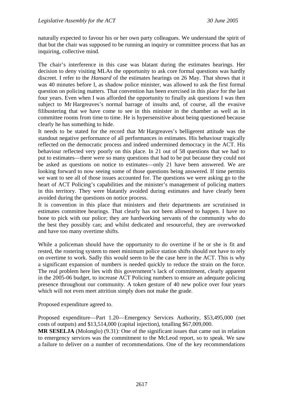naturally expected to favour his or her own party colleagues. We understand the spirit of that but the chair was supposed to be running an inquiry or committee process that has an inquiring, collective mind.

The chair's interference in this case was blatant during the estimates hearings. Her decision to deny visiting MLAs the opportunity to ask core formal questions was hardly discreet. I refer to the *Hansard* of the estimates hearings on 26 May. That shows that it was 40 minutes before I, as shadow police minister, was allowed to ask the first formal question on policing matters. That convention has been exercised in this place for the last four years. Even when I was afforded the opportunity to finally ask questions I was then subject to Mr Hargreaves's normal barrage of insults and, of course, all the evasive filibustering that we have come to see in this minister in the chamber as well as in committee rooms from time to time. He is hypersensitive about being questioned because clearly he has something to hide.

It needs to be stated for the record that Mr Hargreaves's belligerent attitude was the standout negative performance of all performances in estimates. His behaviour tragically reflected on the democratic process and indeed undermined democracy in the ACT. His behaviour reflected very poorly on this place. In 21 out of 58 questions that we had to put to estimates—there were so many questions that had to be put because they could not be asked as questions on notice to estimates—only 21 have been answered. We are looking forward to now seeing some of those questions being answered. If time permits we want to see all of those issues accounted for. The questions we were asking go to the heart of ACT Policing's capabilities and the minister's management of policing matters in this territory. They were blatantly avoided during estimates and have clearly been avoided during the questions on notice process.

It is convention in this place that ministers and their departments are scrutinised in estimates committee hearings. That clearly has not been allowed to happen. I have no bone to pick with our police; they are hardworking servants of the community who do the best they possibly can; and whilst dedicated and resourceful, they are overworked and have too many overtime shifts.

While a policeman should have the opportunity to do overtime if he or she is fit and rested, the rostering system to meet minimum police station shifts should not have to rely on overtime to work. Sadly this would seem to be the case here in the ACT. This is why a significant expansion of numbers is needed quickly to reduce the strain on the force. The real problem here lies with this government's lack of commitment, clearly apparent in the 2005-06 budget, to increase ACT Policing numbers to ensure an adequate policing presence throughout our community. A token gesture of 40 new police over four years which will not even meet attrition simply does not make the grade.

Proposed expenditure agreed to.

Proposed expenditure—Part 1.20—Emergency Services Authority, \$53,495,000 (net costs of outputs) and \$13,514,000 (capital injection), totalling \$67,009,000.

**MR SESELJA** (Molonglo) (9.31): One of the significant issues that came out in relation to emergency services was the commitment to the McLeod report, so to speak. We saw a failure to deliver on a number of recommendations. One of the key recommendations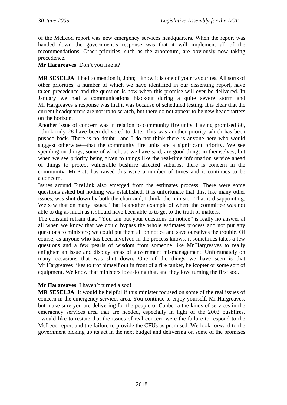of the McLeod report was new emergency services headquarters. When the report was handed down the government's response was that it will implement all of the recommendations. Other priorities, such as the arboretum, are obviously now taking precedence.

**Mr Hargreaves**: Don't you like it?

**MR SESELJA**: I had to mention it, John; I know it is one of your favourites. All sorts of other priorities, a number of which we have identified in our dissenting report, have taken precedence and the question is now when this promise will ever be delivered. In January we had a communications blackout during a quite severe storm and Mr Hargreaves's response was that it was because of scheduled testing. It is clear that the current headquarters are not up to scratch, but there do not appear to be new headquarters on the horizon.

Another issue of concern was in relation to community fire units. Having promised 80, I think only 28 have been delivered to date. This was another priority which has been pushed back. There is no doubt—and I do not think there is anyone here who would suggest otherwise—that the community fire units are a significant priority. We see spending on things, some of which, as we have said, are good things in themselves; but when we see priority being given to things like the real-time information service ahead of things to protect vulnerable bushfire affected suburbs, there is concern in the community. Mr Pratt has raised this issue a number of times and it continues to be a concern.

Issues around FireLink also emerged from the estimates process. There were some questions asked but nothing was established. It is unfortunate that this, like many other issues, was shut down by both the chair and, I think, the minister. That is disappointing. We saw that on many issues. That is another example of where the committee was not able to dig as much as it should have been able to to get to the truth of matters.

The constant refrain that, "You can put your questions on notice" is really no answer at all when we know that we could bypass the whole estimates process and not put any questions to ministers; we could put them all on notice and save ourselves the trouble. Of course, as anyone who has been involved in the process knows, it sometimes takes a few questions and a few pearls of wisdom from someone like Mr Hargreaves to really enlighten an issue and display areas of government mismanagement. Unfortunately on many occasions that was shut down. One of the things we have seen is that Mr Hargreaves likes to trot himself out in front of a fire tanker, helicopter or some sort of equipment. We know that ministers love doing that, and they love turning the first sod.

### **Mr Hargreaves**: I haven't turned a sod!

**MR SESELJA**: It would be helpful if this minister focused on some of the real issues of concern in the emergency services area. You continue to enjoy yourself, Mr Hargreaves, but make sure you are delivering for the people of Canberra the kinds of services in the emergency services area that are needed, especially in light of the 2003 bushfires. I would like to restate that the issues of real concern were the failure to respond to the McLeod report and the failure to provide the CFUs as promised. We look forward to the government picking up its act in the next budget and delivering on some of the promises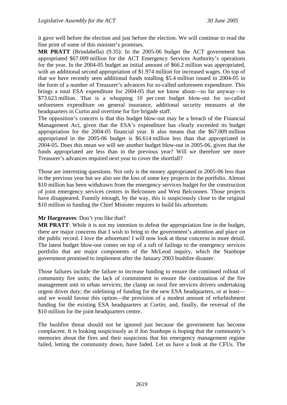it gave well before the election and just before the election. We will continue to read the fine print of some of this minister's promises.

**MR PRATT** (Brindabella) (9.35): In the 2005-06 budget the ACT government has appropriated \$67.009 million for the ACT Emergency Services Authority's operations for the year. In the 2004-05 budget an initial amount of \$66.2 million was appropriated, with an additional second appropriation of \$1.974 million for increased wages. On top of that we have recently seen additional funds totalling \$5.4 million issued in 2004-05 in the form of a number of Treasurer's advances for so-called unforeseen expenditure. This brings a total ESA expenditure for 2004-05 that we know about—so far anyway—to \$73.623 million. That is a whopping 10 per cent budget blow-out for so-called unforeseen expenditure on general insurance, additional security measures at the headquarters in Curtin and overtime for fire brigade staff.

The opposition's concern is that this budget blow-out may be a breach of the Financial Management Act, given that the ESA's expenditure has clearly exceeded its budget appropriation for the 2004-05 financial year. It also means that the \$67.009 million appropriated in the 2005-06 budget is \$6.614 million less than that appropriated in 2004-05. Does this mean we will see another budget blow-out in 2005-06, given that the funds appropriated are less than in the previous year? Will we therefore see more Treasurer's advances required next year to cover the shortfall?

Those are interesting questions. Not only is the money appropriated in 2005-06 less than in the previous year but we also see the loss of some key projects in the portfolio. Almost \$10 million has been withdrawn from the emergency services budget for the construction of joint emergency services centres in Belconnen and West Belconnen. Those projects have disappeared. Funnily enough, by the way, this is suspiciously close to the original \$10 million in funding the Chief Minister requires to build his arboretum.

### **Mr Hargreaves**: Don't you like that?

**MR PRATT**: While it is not my intention to defeat the appropriation line in the budget, there are major concerns that I wish to bring to the government's attention and place on the public record. I love the arboretum! I will now look at those concerns in more detail. The latest budget blow-out comes on top of a raft of failings to the emergency services portfolio that are major components of the McLeod inquiry, which the Stanhope government promised to implement after the January 2003 bushfire disaster.

Those failures include the failure to increase funding to ensure the continued rollout of community fire units; the lack of commitment to ensure the continuation of the fire management unit in urban services; the clamp on rural fire services drivers undertaking urgent driver duty; the sidelining of funding for the new ESA headquarters, or at least and we would favour this option—the provision of a modest amount of refurbishment funding for the existing ESA headquarters at Curtin; and, finally, the reversal of the \$10 million for the joint headquarters centre.

The bushfire threat should not be ignored just because the government has become complacent. It is looking suspiciously as if Jon Stanhope is hoping that the community's memories about the fires and their suspicions that his emergency management regime failed, letting the community down, have faded. Let us have a look at the CFUs. The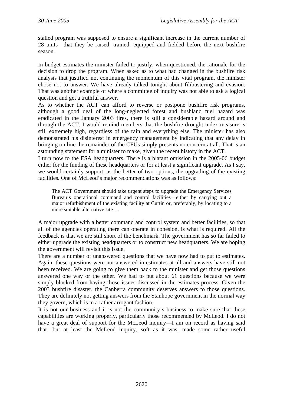stalled program was supposed to ensure a significant increase in the current number of 28 units—that they be raised, trained, equipped and fielded before the next bushfire season.

In budget estimates the minister failed to justify, when questioned, the rationale for the decision to drop the program. When asked as to what had changed in the bushfire risk analysis that justified not continuing the momentum of this vital program, the minister chose not to answer. We have already talked tonight about filibustering and evasion. That was another example of where a committee of inquiry was not able to ask a logical question and get a truthful answer.

As to whether the ACT can afford to reverse or postpone bushfire risk programs, although a good deal of the long-neglected forest and bushland fuel hazard was eradicated in the January 2003 fires, there is still a considerable hazard around and through the ACT. I would remind members that the bushfire drought index measure is still extremely high, regardless of the rain and everything else. The minister has also demonstrated his disinterest in emergency management by indicating that any delay in bringing on line the remainder of the CFUs simply presents no concern at all. That is an astounding statement for a minister to make, given the recent history in the ACT.

I turn now to the ESA headquarters. There is a blatant omission in the 2005-06 budget either for the funding of these headquarters or for at least a significant upgrade. As I say, we would certainly support, as the better of two options, the upgrading of the existing facilities. One of McLeod's major recommendations was as follows:

The ACT Government should take urgent steps to upgrade the Emergency Services Bureau's operational command and control facilities—either by carrying out a major refurbishment of the existing facility at Curtin or, preferably, by locating to a more suitable alternative site …

A major upgrade with a better command and control system and better facilities, so that all of the agencies operating there can operate in cohesion, is what is required. All the feedback is that we are still short of the benchmark. The government has so far failed to either upgrade the existing headquarters or to construct new headquarters. We are hoping the government will revisit this issue.

There are a number of unanswered questions that we have now had to put to estimates. Again, these questions were not answered in estimates at all and answers have still not been received. We are going to give them back to the minister and get those questions answered one way or the other. We had to put about 61 questions because we were simply blocked from having those issues discussed in the estimates process. Given the 2003 bushfire disaster, the Canberra community deserves answers to those questions. They are definitely not getting answers from the Stanhope government in the normal way they govern, which is in a rather arrogant fashion.

It is not our business and it is not the community's business to make sure that these capabilities are working properly, particularly those recommended by McLeod. I do not have a great deal of support for the McLeod inquiry—I am on record as having said that—but at least the McLeod inquiry, soft as it was, made some rather useful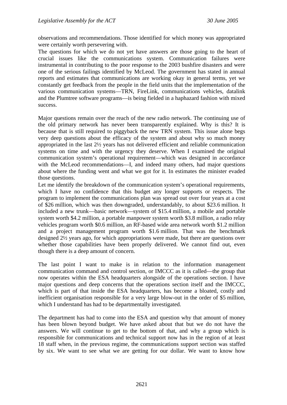observations and recommendations. Those identified for which money was appropriated were certainly worth persevering with.

The questions for which we do not yet have answers are those going to the heart of crucial issues like the communications system. Communication failures were instrumental in contributing to the poor response to the 2003 bushfire disasters and were one of the serious failings identified by McLeod. The government has stated in annual reports and estimates that communications are working okay in general terms, yet we constantly get feedback from the people in the field units that the implementation of the various communication systems—TRN, FireLink, communications vehicles, datalink and the Plumtree software programs—is being fielded in a haphazard fashion with mixed success.

Major questions remain over the reach of the new radio network. The continuing use of the old primary network has never been transparently explained. Why is this? It is because that is still required to piggyback the new TRN system. This issue alone begs very deep questions about the efficacy of the system and about why so much money appropriated in the last 2½ years has not delivered efficient and reliable communication systems on time and with the urgency they deserve. When I examined the original communication system's operational requirement—which was designed in accordance with the McLeod recommendations—I, and indeed many others, had major questions about where the funding went and what we got for it. In estimates the minister evaded those questions.

Let me identify the breakdown of the communication system's operational requirements, which I have no confidence that this budget any longer supports or respects. The program to implement the communications plan was spread out over four years at a cost of \$26 million, which was then downgraded, understandably, to about \$23.6 million. It included a new trunk—basic network—system of \$15.4 million, a mobile and portable system worth \$4.2 million, a portable manpower system worth \$3.8 million, a radio relay vehicles program worth \$0.6 million, an RF-based wide area network worth \$1.2 million and a project management program worth \$1.6 million. That was the benchmark designed 2½ years ago, for which appropriations were made, but there are questions over whether those capabilities have been properly delivered. We cannot find out, even though there is a deep amount of concern.

The last point I want to make is in relation to the information management communication command and control section, or IMCCC as it is called—the group that now operates within the ESA headquarters alongside of the operations section. I have major questions and deep concerns that the operations section itself and the IMCCC, which is part of that inside the ESA headquarters, has become a bloated, costly and inefficient organisation responsible for a very large blow-out in the order of \$5 million, which I understand has had to be departmentally investigated.

The department has had to come into the ESA and question why that amount of money has been blown beyond budget. We have asked about that but we do not have the answers. We will continue to get to the bottom of that, and why a group which is responsible for communications and technical support now has in the region of at least 18 staff when, in the previous regime, the communications support section was staffed by six. We want to see what we are getting for our dollar. We want to know how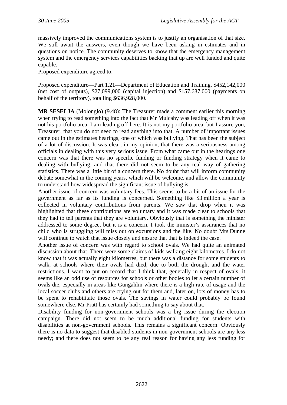massively improved the communications system is to justify an organisation of that size. We still await the answers, even though we have been asking in estimates and in questions on notice. The community deserves to know that the emergency management system and the emergency services capabilities backing that up are well funded and quite capable.

Proposed expenditure agreed to.

Proposed expenditure—Part 1.21—Department of Education and Training, \$452,142,000 (net cost of outputs), \$27,099,000 (capital injection) and \$157,687,000 (payments on behalf of the territory), totalling \$636,928,000.

**MR SESELJA** (Molonglo) (9.48): The Treasurer made a comment earlier this morning when trying to read something into the fact that Mr Mulcahy was leading off when it was not his portfolio area. I am leading off here. It is not my portfolio area, but I assure you, Treasurer, that you do not need to read anything into that. A number of important issues came out in the estimates hearings, one of which was bullying. That has been the subject of a lot of discussion. It was clear, in my opinion, that there was a seriousness among officials in dealing with this very serious issue. From what came out in the hearings one concern was that there was no specific funding or funding strategy when it came to dealing with bullying, and that there did not seem to be any real way of gathering statistics. There was a little bit of a concern there. No doubt that will inform community debate somewhat in the coming years, which will be welcome, and allow the community to understand how widespread the significant issue of bullying is.

Another issue of concern was voluntary fees. This seems to be a bit of an issue for the government as far as its funding is concerned. Something like \$3 million a year is collected in voluntary contributions from parents. We saw that drop when it was highlighted that these contributions are voluntary and it was made clear to schools that they had to tell parents that they are voluntary. Obviously that is something the minister addressed to some degree, but it is a concern. I took the minister's assurances that no child who is struggling will miss out on excursions and the like. No doubt Mrs Dunne will continue to watch that issue closely and ensure that that is indeed the case.

Another issue of concern was with regard to school ovals. We had quite an animated discussion about that. There were some claims of kids walking eight kilometres. I do not know that it was actually eight kilometres, but there was a distance for some students to walk, at schools where their ovals had died, due to both the drought and the water restrictions. I want to put on record that I think that, generally in respect of ovals, it seems like an odd use of resources for schools or other bodies to let a certain number of ovals die, especially in areas like Gungahlin where there is a high rate of usage and the local soccer clubs and others are crying out for them and, later on, lots of money has to be spent to rehabilitate those ovals. The savings in water could probably be found somewhere else. Mr Pratt has certainly had something to say about that.

Disability funding for non-government schools was a big issue during the election campaign. There did not seem to be much additional funding for students with disabilities at non-government schools. This remains a significant concern. Obviously there is no data to suggest that disabled students in non-government schools are any less needy; and there does not seem to be any real reason for having any less funding for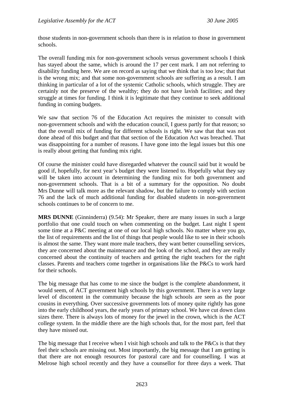those students in non-government schools than there is in relation to those in government schools.

The overall funding mix for non-government schools versus government schools I think has stayed about the same, which is around the 17 per cent mark. I am not referring to disability funding here. We are on record as saying that we think that is too low; that that is the wrong mix; and that some non-government schools are suffering as a result. I am thinking in particular of a lot of the systemic Catholic schools, which struggle. They are certainly not the preserve of the wealthy; they do not have lavish facilities; and they struggle at times for funding. I think it is legitimate that they continue to seek additional funding in coming budgets.

We saw that section 76 of the Education Act requires the minister to consult with non-government schools and with the education council, I guess partly for that reason; so that the overall mix of funding for different schools is right. We saw that that was not done ahead of this budget and that that section of the Education Act was breached. That was disappointing for a number of reasons. I have gone into the legal issues but this one is really about getting that funding mix right.

Of course the minister could have disregarded whatever the council said but it would be good if, hopefully, for next year's budget they were listened to. Hopefully what they say will be taken into account in determining the funding mix for both government and non-government schools. That is a bit of a summary for the opposition. No doubt Mrs Dunne will talk more as the relevant shadow, but the failure to comply with section 76 and the lack of much additional funding for disabled students in non-government schools continues to be of concern to me.

**MRS DUNNE** (Ginninderra) (9.54): Mr Speaker, there are many issues in such a large portfolio that one could touch on when commenting on the budget. Last night I spent some time at a P&C meeting at one of our local high schools. No matter where you go, the list of requirements and the list of things that people would like to see in their schools is almost the same. They want more male teachers, they want better counselling services, they are concerned about the maintenance and the look of the school, and they are really concerned about the continuity of teachers and getting the right teachers for the right classes. Parents and teachers come together in organisations like the P&Cs to work hard for their schools.

The big message that has come to me since the budget is the complete abandonment, it would seem, of ACT government high schools by this government. There is a very large level of discontent in the community because the high schools are seen as the poor cousins in everything. Over successive governments lots of money quite rightly has gone into the early childhood years, the early years of primary school. We have cut down class sizes there. There is always lots of money for the jewel in the crown, which is the ACT college system. In the middle there are the high schools that, for the most part, feel that they have missed out.

The big message that I receive when I visit high schools and talk to the P&Cs is that they feel their schools are missing out. Most importantly, the big message that I am getting is that there are not enough resources for pastoral care and for counselling. I was at Melrose high school recently and they have a counsellor for three days a week. That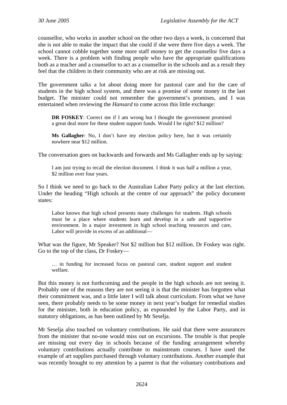counsellor, who works in another school on the other two days a week, is concerned that she is not able to make the impact that she could if she were there five days a week. The school cannot cobble together some more staff money to get the counsellor five days a week. There is a problem with finding people who have the appropriate qualifications both as a teacher and a counsellor to act as a counsellor in the schools and as a result they feel that the children in their community who are at risk are missing out.

The government talks a lot about doing more for pastoral care and for the care of students in the high school system, and there was a promise of some money in the last budget. The minister could not remember the government's promises, and I was entertained when reviewing the *Hansard* to come across this little exchange:

**DR FOSKEY**: Correct me if I am wrong but I thought the government promised a great deal more for these student support funds. Would I be right? \$12 million?

**Ms Gallagher**: No, I don't have my election policy here, but it was certainly nowhere near \$12 million.

The conversation goes on backwards and forwards and Ms Gallagher ends up by saying:

I am just trying to recall the election document. I think it was half a million a year, \$2 million over four years.

So I think we need to go back to the Australian Labor Party policy at the last election. Under the heading "High schools at the centre of our approach" the policy document states:

Labor knows that high school presents many challenges for students. High schools must be a place where students learn and develop in a safe and supportive environment. In a major investment in high school teaching resources and care, Labor will provide in excess of an additional—

What was the figure, Mr Speaker? Not \$2 million but \$12 million. Dr Foskey was right. Go to the top of the class, Dr Foskey—

… in funding for increased focus on pastoral care, student support and student welfare.

But this money is not forthcoming and the people in the high schools are not seeing it. Probably one of the reasons they are not seeing it is that the minister has forgotten what their commitment was, and a little later I will talk about curriculum. From what we have seen, there probably needs to be some money in next year's budget for remedial studies for the minister, both in education policy, as expounded by the Labor Party, and in statutory obligations, as has been outlined by Mr Seselja.

Mr Seselja also touched on voluntary contributions. He said that there were assurances from the minister that no-one would miss out on excursions. The trouble is that people are missing out every day in schools because of the funding arrangement whereby voluntary contributions actually contribute to mainstream courses. I have used the example of art supplies purchased through voluntary contributions. Another example that was recently brought to my attention by a parent is that the voluntary contributions and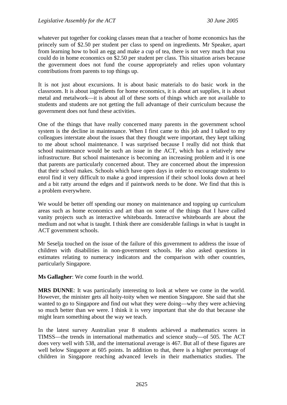whatever put together for cooking classes mean that a teacher of home economics has the princely sum of \$2.50 per student per class to spend on ingredients. Mr Speaker, apart from learning how to boil an egg and make a cup of tea, there is not very much that you could do in home economics on \$2.50 per student per class. This situation arises because the government does not fund the course appropriately and relies upon voluntary contributions from parents to top things up.

It is not just about excursions. It is about basic materials to do basic work in the classroom. It is about ingredients for home economics, it is about art supplies, it is about metal and metalwork—it is about all of these sorts of things which are not available to students and students are not getting the full advantage of their curriculum because the government does not fund these activities.

One of the things that have really concerned many parents in the government school system is the decline in maintenance. When I first came to this job and I talked to my colleagues interstate about the issues that they thought were important, they kept talking to me about school maintenance. I was surprised because I really did not think that school maintenance would be such an issue in the ACT, which has a relatively new infrastructure. But school maintenance is becoming an increasing problem and it is one that parents are particularly concerned about. They are concerned about the impression that their school makes. Schools which have open days in order to encourage students to enrol find it very difficult to make a good impression if their school looks down at heel and a bit ratty around the edges and if paintwork needs to be done. We find that this is a problem everywhere.

We would be better off spending our money on maintenance and topping up curriculum areas such as home economics and art than on some of the things that I have called vanity projects such as interactive whiteboards. Interactive whiteboards are about the medium and not what is taught. I think there are considerable failings in what is taught in ACT government schools.

Mr Seselja touched on the issue of the failure of this government to address the issue of children with disabilities in non-government schools. He also asked questions in estimates relating to numeracy indicators and the comparison with other countries, particularly Singapore.

**Ms Gallagher**: We come fourth in the world.

**MRS DUNNE**: It was particularly interesting to look at where we come in the world. However, the minister gets all hoity-toity when we mention Singapore. She said that she wanted to go to Singapore and find out what they were doing—why they were achieving so much better than we were. I think it is very important that she do that because she might learn something about the way we teach.

In the latest survey Australian year 8 students achieved a mathematics scores in TIMSS—the trends in international mathematics and science study—of 505. The ACT does very well with 538, and the international average is 467. But all of these figures are well below Singapore at 605 points. In addition to that, there is a higher percentage of children in Singapore reaching advanced levels in their mathematics studies. The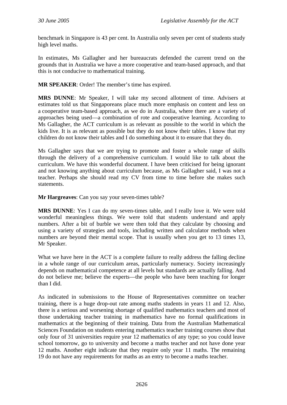benchmark in Singapore is 43 per cent. In Australia only seven per cent of students study high level maths.

In estimates, Ms Gallagher and her bureaucrats defended the current trend on the grounds that in Australia we have a more cooperative and team-based approach, and that this is not conducive to mathematical training.

**MR SPEAKER**: Order! The member's time has expired.

**MRS DUNNE**: Mr Speaker, I will take my second allotment of time. Advisers at estimates told us that Singaporeans place much more emphasis on content and less on a cooperative team-based approach, as we do in Australia, where there are a variety of approaches being used—a combination of rote and cooperative learning. According to Ms Gallagher, the ACT curriculum is as relevant as possible to the world in which the kids live. It is as relevant as possible but they do not know their tables. I know that my children do not know their tables and I do something about it to ensure that they do.

Ms Gallagher says that we are trying to promote and foster a whole range of skills through the delivery of a comprehensive curriculum. I would like to talk about the curriculum. We have this wonderful document. I have been criticised for being ignorant and not knowing anything about curriculum because, as Ms Gallagher said, I was not a teacher. Perhaps she should read my CV from time to time before she makes such statements.

**Mr Hargreaves**: Can you say your seven-times table?

**MRS DUNNE**: Yes I can do my seven-times table, and I really love it. We were told wonderful meaningless things. We were told that students understand and apply numbers. After a bit of burble we were then told that they calculate by choosing and using a variety of strategies and tools, including written and calculator methods when numbers are beyond their mental scope. That is usually when you get to 13 times 13, Mr Speaker.

What we have here in the ACT is a complete failure to really address the falling decline in a whole range of our curriculum areas, particularly numeracy. Society increasingly depends on mathematical competence at all levels but standards are actually falling. And do not believe me; believe the experts—the people who have been teaching for longer than I did.

As indicated in submissions to the House of Representatives committee on teacher training, there is a huge drop-out rate among maths students in years 11 and 12. Also, there is a serious and worsening shortage of qualified mathematics teachers and most of those undertaking teacher training in mathematics have no formal qualifications in mathematics at the beginning of their training. Data from the Australian Mathematical Sciences Foundation on students entering mathematics teacher training courses show that only four of 31 universities require year 12 mathematics of any type; so you could leave school tomorrow, go to university and become a maths teacher and not have done year 12 maths. Another eight indicate that they require only year 11 maths. The remaining 19 do not have any requirements for maths as an entry to become a maths teacher.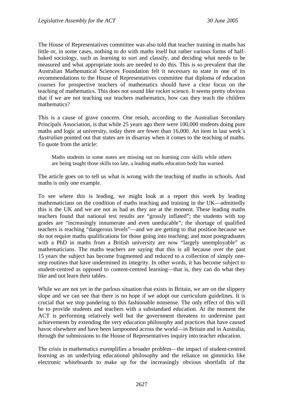The House of Representatives committee was also told that teacher training in maths has little or, in some cases, nothing to do with maths itself but rather various forms of halfbaked sociology, such as learning to sort and classify, and deciding what needs to be measured and what appropriate tools are needed to do this. This is so prevalent that the Australian Mathematical Sciences Foundation felt it necessary to state in one of its recommendations to the House of Representatives committee that diploma of education courses for prospective teachers of mathematics should have a clear focus on the teaching of mathematics. This does not sound like rocket science. It seems pretty obvious that if we are not teaching our teachers mathematics, how can they teach the children mathematics?

This is a cause of grave concern. One result, according to the Australian Secondary Principals Association, is that while 25 years ago there were 100,000 students doing pure maths and logic at university, today there are fewer than 16,000. An item in last week's *Australian* pointed out that states are in disarray when it comes to the teaching of maths. To quote from the article:

Maths students in some states are missing out on learning core skills while others are being taught those skills too late, a leading maths education body has warned.

The article goes on to tell us what is wrong with the teaching of maths in schools. And maths is only one example.

To see where this is leading, we might look at a report this week by leading mathematicians on the condition of maths teaching and training in the UK—admittedly this is the UK and we are not as bad as they are at the moment. These leading maths teachers found that national test results are "grossly inflated"; the students with top grades are "increasingly innumerate and even uneducable"; the shortage of qualified teachers is reaching "dangerous levels"—and we are getting to that position because we do not require maths qualifications for those going into teaching; and most postgraduates with a PhD in maths from a British university are now "largely unemployable" as mathematicians. The maths teachers are saying that this is all because over the past 15 years the subject has become fragmented and reduced to a collection of simply onestep routines that have undermined its integrity. In other words, it has become subject to student-centred as opposed to content-centred learning—that is, they can do what they like and not learn their tables.

While we are not yet in the parlous situation that exists in Britain, we are on the slippery slope and we can see that there is no hope if we adopt our curriculum guidelines. It is crucial that we stop pandering to this fashionable nonsense. The only effect of this will be to provide students and teachers with a substandard education. At the moment the ACT is performing relatively well but the government threatens to undermine past achievements by extending the very education philosophy and practices that have caused havoc elsewhere and have been lampooned across the world—in Britain and in Australia, through the submissions to the House of Representatives inquiry into teacher education.

The crisis in mathematics exemplifies a broader problem—the impact of student-centred learning as an underlying educational philosophy and the reliance on gimmicks like electronic whiteboards to make up for the increasingly obvious shortfalls of the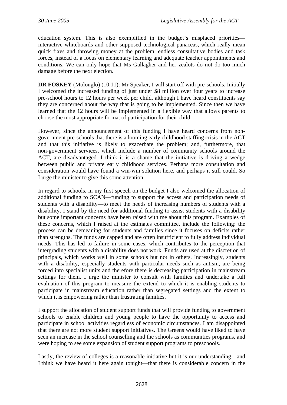education system. This is also exemplified in the budget's misplaced priorities interactive whiteboards and other supposed technological panaceas, which really mean quick fixes and throwing money at the problem, endless consultative bodies and task forces, instead of a focus on elementary learning and adequate teacher appointments and conditions. We can only hope that Ms Gallagher and her zealots do not do too much damage before the next election.

**DR FOSKEY** (Molonglo) (10.11): Mr Speaker, I will start off with pre-schools. Initially I welcomed the increased funding of just under \$8 million over four years to increase pre-school hours to 12 hours per week per child, although I have heard constituents say they are concerned about the way that is going to be implemented. Since then we have learned that the 12 hours will be implemented in a flexible way that allows parents to choose the most appropriate format of participation for their child.

However, since the announcement of this funding I have heard concerns from nongovernment pre-schools that there is a looming early childhood staffing crisis in the ACT and that this initiative is likely to exacerbate the problem; and, furthermore, that non-government services, which include a number of community schools around the ACT, are disadvantaged. I think it is a shame that the initiative is driving a wedge between public and private early childhood services. Perhaps more consultation and consideration would have found a win-win solution here, and perhaps it still could. So I urge the minister to give this some attention.

In regard to schools, in my first speech on the budget I also welcomed the allocation of additional funding to SCAN—funding to support the access and participation needs of students with a disability—to meet the needs of increasing numbers of students with a disability. I stand by the need for additional funding to assist students with a disability but some important concerns have been raised with me about this program. Examples of these concerns, which I raised at the estimates committee, include the following: the process can be demeaning for students and families since it focuses on deficits rather than strengths. The funds are capped and are often insufficient to fully address individual needs. This has led to failure in some cases, which contributes to the perception that intergrading students with a disability does not work. Funds are used at the discretion of principals, which works well in some schools but not in others. Increasingly, students with a disability, especially students with particular needs such as autism, are being forced into specialist units and therefore there is decreasing participation in mainstream settings for them. I urge the minister to consult with families and undertake a full evaluation of this program to measure the extend to which it is enabling students to participate in mainstream education rather than segregated settings and the extent to which it is empowering rather than frustrating families.

I support the allocation of student support funds that will provide funding to government schools to enable children and young people to have the opportunity to access and participate in school activities regardless of economic circumstances. I am disappointed that there are not more student support initiatives. The Greens would have liked to have seen an increase in the school counselling and the schools as communities programs, and were hoping to see some expansion of student support programs to preschools.

Lastly, the review of colleges is a reasonable initiative but it is our understanding—and I think we have heard it here again tonight—that there is considerable concern in the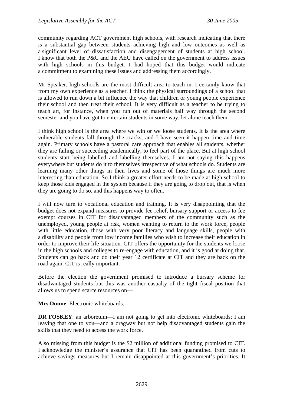community regarding ACT government high schools, with research indicating that there is a substantial gap between students achieving high and low outcomes as well as a significant level of dissatisfaction and disengagement of students at high school. I know that both the P&C and the AEU have called on the government to address issues with high schools in this budget. I had hoped that this budget would indicate a commitment to examining these issues and addressing them accordingly.

Mr Speaker, high schools are the most difficult area to teach in. I certainly know that from my own experience as a teacher. I think the physical surroundings of a school that is allowed to run down a bit influence the way that children or young people experience their school and then treat their school. It is very difficult as a teacher to be trying to teach art, for instance, when you run out of materials half way through the second semester and you have got to entertain students in some way, let alone teach them.

I think high school is the area where we win or we loose students. It is the area where vulnerable students fall through the cracks, and I have seen it happen time and time again. Primary schools have a pastoral care approach that enables all students, whether they are failing or succeeding academically, to feel part of the place. But at high school students start being labelled and labelling themselves. I am not saying this happens everywhere but students do it to themselves irrespective of what schools do. Students are learning many other things in their lives and some of those things are much more interesting than education. So I think a greater effort needs to be made at high school to keep those kids engaged in the system because if they are going to drop out, that is when they are going to do so, and this happens way to often.

I will now turn to vocational education and training. It is very disappointing that the budget does not expand measures to provide fee relief, bursary support or access to fee exempt courses in CIT for disadvantaged members of the community such as the unemployed, young people at risk, women wanting to return to the work force, people with little education, those with very poor literacy and language skills, people with a disability and people from low income families who wish to increase their education in order to improve their life situation. CIT offers the opportunity for the students we loose in the high schools and colleges to re-engage with education, and it is good at doing that. Students can go back and do their year 12 certificate at CIT and they are back on the road again. CIT is really important.

Before the election the government promised to introduce a bursary scheme for disadvantaged students but this was another casualty of the tight fiscal position that allows us to spend scarce resources on—

**Mrs Dunne**: Electronic whiteboards.

**DR FOSKEY**: an arboretum—I am not going to get into electronic whiteboards; I am leaving that one to you—and a dragway but not help disadvantaged students gain the skills that they need to access the work force.

Also missing from this budget is the \$2 million of additional funding promised to CIT. I acknowledge the minister's assurance that CIT has been quarantined from cuts to achieve savings measures but I remain disappointed at this government's priorities. It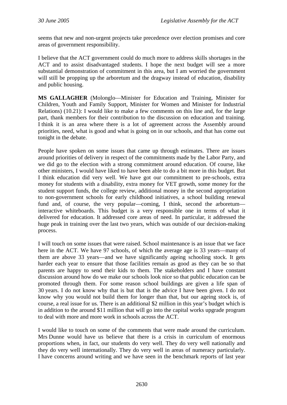seems that new and non-urgent projects take precedence over election promises and core areas of government responsibility.

I believe that the ACT government could do much more to address skills shortages in the ACT and to assist disadvantaged students. I hope the next budget will see a more substantial demonstration of commitment in this area, but I am worried the government will still be propping up the arboretum and the dragway instead of education, disability and public housing.

**MS GALLAGHER** (Molonglo—Minister for Education and Training, Minister for Children, Youth and Family Support, Minister for Women and Minister for Industrial Relations) (10.21): I would like to make a few comments on this line and, for the large part, thank members for their contribution to the discussion on education and training. I think it is an area where there is a lot of agreement across the Assembly around priorities, need, what is good and what is going on in our schools, and that has come out tonight in the debate.

People have spoken on some issues that came up through estimates. There are issues around priorities of delivery in respect of the commitments made by the Labor Party, and we did go to the election with a strong commitment around education. Of course, like other ministers, I would have liked to have been able to do a bit more in this budget. But I think education did very well. We have got our commitment to pre-schools, extra money for students with a disability, extra money for VET growth, some money for the student support funds, the college review, additional money in the second appropriation to non-government schools for early childhood initiatives, a school building renewal fund and, of course, the very popular—coming, I think, second the arboretum interactive whiteboards. This budget is a very responsible one in terms of what it delivered for education. It addressed core areas of need. In particular, it addressed the huge peak in training over the last two years, which was outside of our decision-making process.

I will touch on some issues that were raised. School maintenance is an issue that we face here in the ACT. We have 97 schools, of which the average age is 33 years—many of them are above 33 years—and we have significantly ageing schooling stock. It gets harder each year to ensure that those facilities remain as good as they can be so that parents are happy to send their kids to them. The stakeholders and I have constant discussion around how do we make our schools look nice so that public education can be promoted through them. For some reason school buildings are given a life span of 30 years. I do not know why that is but that is the advice I have been given. I do not know why you would not build them for longer than that, but our ageing stock is, of course, a real issue for us. There is an additional \$2 million in this year's budget which is in addition to the around \$11 million that will go into the capital works upgrade program to deal with more and more work in schools across the ACT.

I would like to touch on some of the comments that were made around the curriculum. Mrs Dunne would have us believe that there is a crisis in curriculum of enormous proportions when, in fact, our students do very well. They do very well nationally and they do very well internationally. They do very well in areas of numeracy particularly. I have concerns around writing and we have seen in the benchmark reports of last year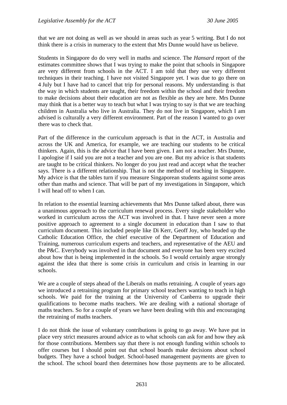that we are not doing as well as we should in areas such as year 5 writing. But I do not think there is a crisis in numeracy to the extent that Mrs Dunne would have us believe.

Students in Singapore do do very well in maths and science. The *Hansard* report of the estimates committee shows that I was trying to make the point that schools in Singapore are very different from schools in the ACT. I am told that they use very different techniques in their teaching. I have not visited Singapore yet. I was due to go there on 4 July but I have had to cancel that trip for personal reasons. My understanding is that the way in which students are taught, their freedom within the school and their freedom to make decisions about their education are not as flexible as they are here. Mrs Dunne may think that is a better way to teach but what I was trying to say is that we are teaching children in Australia who live in Australia. They do not live in Singapore, which I am advised is culturally a very different environment. Part of the reason I wanted to go over there was to check that.

Part of the difference in the curriculum approach is that in the ACT, in Australia and across the UK and America, for example, we are teaching our students to be critical thinkers. Again, this is the advice that I have been given. I am not a teacher. Mrs Dunne, I apologise if I said you are not a teacher and you are one. But my advice is that students are taught to be critical thinkers. No longer do you just read and accept what the teacher says. There is a different relationship. That is not the method of teaching in Singapore. My advice is that the tables turn if you measure Singaporean students against some areas other than maths and science. That will be part of my investigations in Singapore, which I will head off to when I can.

In relation to the essential learning achievements that Mrs Dunne talked about, there was a unanimous approach to the curriculum renewal process. Every single stakeholder who worked in curriculum across the ACT was involved in that. I have never seen a more positive approach to agreement to a single document in education than I saw to that curriculum document. This included people like Di Kerr, Geoff Joy, who headed up the Catholic Education Office, the chief executive of the Department of Education and Training, numerous curriculum experts and teachers, and representative of the AEU and the P&C. Everybody was involved in that document and everyone has been very excited about how that is being implemented in the schools. So I would certainly argue strongly against the idea that there is some crisis in curriculum and crisis in learning in our schools.

We are a couple of steps ahead of the Liberals on maths retraining. A couple of years ago we introduced a retraining program for primary school teachers wanting to teach in high schools. We paid for the training at the University of Canberra to upgrade their qualifications to become maths teachers. We are dealing with a national shortage of maths teachers. So for a couple of years we have been dealing with this and encouraging the retraining of maths teachers.

I do not think the issue of voluntary contributions is going to go away. We have put in place very strict measures around advice as to what schools can ask for and how they ask for those contributions. Members say that there is not enough funding within schools to offer courses but I should point out that school boards make decisions about school budgets. They have a school budget. School-based management payments are given to the school. The school board then determines how those payments are to be allocated.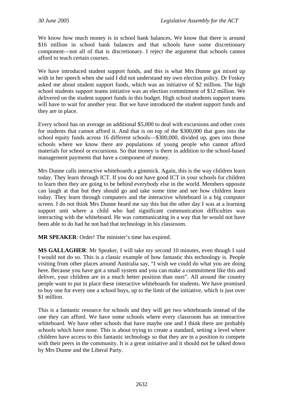We know how much money is in school bank balances. We know that there is around \$16 million in school bank balances and that schools have some discretionary component—not all of that is discretionary. I reject the argument that schools cannot afford to teach certain courses.

We have introduced student support funds, and this is what Mrs Dunne got mixed up with in her speech when she said I did not understand my own election policy. Dr Foskey asked me about student support funds, which was an initiative of \$2 million. The high school students support teams initiative was an election commitment of \$12 million. We delivered on the student support funds in this budget. High school students support teams will have to wait for another year. But we have introduced the student support funds and they are in place.

Every school has on average an additional \$5,000 to deal with excursions and other costs for students that cannot afford it. And that is on top of the \$300,000 that goes into the school equity funds across 16 different schools—\$300,000, divided up, goes into those schools where we know there are populations of young people who cannot afford materials for school or excursions. So that money is there in addition to the school-based management payments that have a component of money.

Mrs Dunne calls interactive whiteboards a gimmick. Again, this is the way children learn today. They learn through ICT. If you do not have good ICT in your schools for children to learn then they are going to be behind everybody else in the world. Members opposite can laugh at that but they should go and take some time and see how children learn today. They learn through computers and the interactive whiteboard is a big computer screen. I do not think Mrs Dunne heard me say this but the other day I was at a learning support unit where a child who had significant communication difficulties was interacting with the whiteboard. He was communicating in a way that he would not have been able to do had he not had that technology in his classroom.

**MR SPEAKER**: Order! The minister's time has expired.

**MS GALLAGHER**: Mr Speaker, I will take my second 10 minutes, even though I said I would not do so. This is a classic example of how fantastic this technology is. People visiting from other places around Australia say, "I wish we could do what you are doing here. Because you have got a small system and you can make a commitment like this and deliver, your children are in a much better position than ours". All around the country people want to put in place these interactive whiteboards for students. We have promised to buy one for every one a school buys, up to the limit of the initiative, which is just over \$1 million.

This is a fantastic resource for schools and they will get two whiteboards instead of the one they can afford. We have some schools where every classroom has an interactive whiteboard. We have other schools that have maybe one and I think there are probably schools which have none. This is about trying to create a standard, setting a level where children have access to this fantastic technology so that they are in a position to compete with their peers in the community. It is a great initiative and it should not be talked down by Mrs Dunne and the Liberal Party.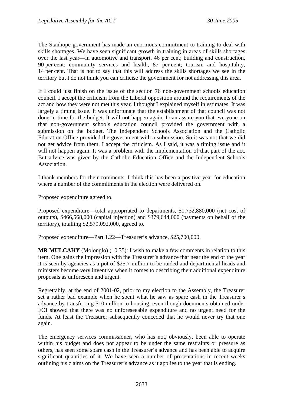The Stanhope government has made an enormous commitment to training to deal with skills shortages. We have seen significant growth in training in areas of skills shortages over the last year—in automotive and transport, 46 per cent; building and construction, 90 per cent; community services and health, 87 per cent; tourism and hospitality, 14 per cent. That is not to say that this will address the skills shortages we see in the territory but I do not think you can criticise the government for not addressing this area.

If I could just finish on the issue of the section 76 non-government schools education council. I accept the criticism from the Liberal opposition around the requirements of the act and how they were not met this year. I thought I explained myself in estimates. It was largely a timing issue. It was unfortunate that the establishment of that council was not done in time for the budget. It will not happen again. I can assure you that everyone on that non-government schools education council provided the government with a submission on the budget. The Independent Schools Association and the Catholic Education Office provided the government with a submission. So it was not that we did not get advice from them. I accept the criticism. As I said, it was a timing issue and it will not happen again. It was a problem with the implementation of that part of the act. But advice was given by the Catholic Education Office and the Independent Schools Association.

I thank members for their comments. I think this has been a positive year for education where a number of the commitments in the election were delivered on.

Proposed expenditure agreed to.

Proposed expenditure—total appropriated to departments, \$1,732,880,000 (net cost of outputs), \$466,568,000 (capital injection) and \$379,644,000 (payments on behalf of the territory), totalling \$2,579,092,000, agreed to.

Proposed expenditure—Part 1.22—Treasurer's advance, \$25,700,000.

**MR MULCAHY** (Molonglo) (10.35): I wish to make a few comments in relation to this item. One gains the impression with the Treasurer's advance that near the end of the year it is seen by agencies as a pot of \$25.7 million to be raided and departmental heads and ministers become very inventive when it comes to describing their additional expenditure proposals as unforeseen and urgent.

Regrettably, at the end of 2001-02, prior to my election to the Assembly, the Treasurer set a rather bad example when he spent what he saw as spare cash in the Treasurer's advance by transferring \$10 million to housing, even though documents obtained under FOI showed that there was no unforeseeable expenditure and no urgent need for the funds. At least the Treasurer subsequently conceded that he would never try that one again.

The emergency services commissioner, who has not, obviously, been able to operate within his budget and does not appear to be under the same restraints or pressure as others, has seen some spare cash in the Treasurer's advance and has been able to acquire significant quantities of it. We have seen a number of presentations in recent weeks outlining his claims on the Treasurer's advance as it applies to the year that is ending.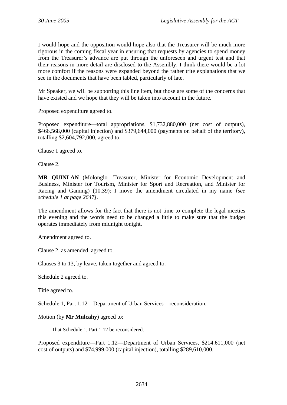I would hope and the opposition would hope also that the Treasurer will be much more rigorous in the coming fiscal year in ensuring that requests by agencies to spend money from the Treasurer's advance are put through the unforeseen and urgent test and that their reasons in more detail are disclosed to the Assembly. I think there would be a lot more comfort if the reasons were expanded beyond the rather trite explanations that we see in the documents that have been tabled, particularly of late.

Mr Speaker, we will be supporting this line item, but those are some of the concerns that have existed and we hope that they will be taken into account in the future.

Proposed expenditure agreed to.

Proposed expenditure—total appropriations, \$1,732,880,000 (net cost of outputs), \$466,568,000 (capital injection) and \$379,644,000 (payments on behalf of the territory), totalling \$2,604,792,000, agreed to.

Clause 1 agreed to.

Clause 2.

**MR QUINLAN** (Molonglo—Treasurer, Minister for Economic Development and Business, Minister for Tourism, Minister for Sport and Recreation, and Minister for Racing and Gaming) (10.39): I move the amendment circulated in my name *[see schedule 1 at page 2647]*.

The amendment allows for the fact that there is not time to complete the legal niceties this evening and the words need to be changed a little to make sure that the budget operates immediately from midnight tonight.

Amendment agreed to.

Clause 2, as amended, agreed to.

Clauses 3 to 13, by leave, taken together and agreed to.

Schedule 2 agreed to.

Title agreed to.

Schedule 1, Part 1.12—Department of Urban Services—reconsideration.

Motion (by **Mr Mulcahy**) agreed to:

That Schedule 1, Part 1.12 be reconsidered.

Proposed expenditure—Part 1.12—Department of Urban Services, \$214.611,000 (net cost of outputs) and \$74,999,000 (capital injection), totalling \$289,610,000.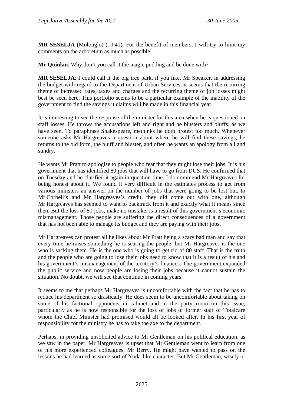**MR SESELJA** (Molonglo) (10.41): For the benefit of members, I will try to limit my comments on the arboretum as much as possible.

**Mr Quinlan**: Why don't you call it the magic pudding and be done with?

**MR SESELJA**: I could call it the big tree park, if you like. Mr Speaker, in addressing the budget with regard to the Department of Urban Services, it seems that the recurring theme of increased rates, taxes and charges and the recurring theme of job losses might best be seen here. This portfolio seems to be a particular example of the inability of the government to find the savings it claims will be made in this financial year.

It is interesting to see the response of the minister for this area when he is questioned on staff losses. He throws the accusations left and right and he blusters and bluffs, as we have seen. To paraphrase Shakespeare, methinks he doth protest too much. Whenever someone asks Mr Hargreaves a question about where he will find these savings, he returns to the old form, the bluff and bluster, and often he wants an apology from all and sundry.

He wants Mr Pratt to apologise to people who fear that they might lose their jobs. It is his government that has identified 80 jobs that will have to go from DUS. He confirmed that on Tuesday and he clarified it again in question time. I do commend Mr Hargreaves for being honest about it. We found it very difficult in the estimates process to get from various ministers an answer on the number of jobs that were going to be lost but, to Mr Corbell's and Mr Hargreaves's credit, they did come out with one, although Mr Hargreaves has seemed to want to backtrack from it and exactly what it means since then. But the loss of 80 jobs, make no mistake, is a result of this government's economic mismanagement. Those people are suffering the direct consequences of a government that has not been able to manage its budget and they are paying with their jobs.

Mr Hargreaves can protest all he likes about Mr Pratt being a scary bad man and say that every time he raises something he is scaring the people, but Mr Hargreaves is the one who is sacking them. He is the one who is going to get rid of 80 staff. That is the truth and the people who are going to lose their jobs need to know that it is a result of his and his government's mismanagement of the territory's finances. The government expanded the public service and now people are losing their jobs because it cannot sustain the situation. No doubt, we will see that continue in coming years.

It seems to me that perhaps Mr Hargreaves is uncomfortable with the fact that he has to reduce his department so drastically. He does seem to be uncomfortable about taking on some of his factional opponents in cabinet and in the party room on this issue, particularly as he is now responsible for the loss of jobs of former staff of Totalcare whom the Chief Minister had promised would all be looked after. In his first year of responsibility for the ministry he has to take the axe to the department.

Perhaps, in providing unsolicited advice to Mr Gentleman on his political education, as we saw in the paper, Mr Hargreaves is upset that Mr Gentleman went to learn from one of his more experienced colleagues, Mr Berry. He might have wanted to pass on the lessons he had learned as some sort of Yoda-like character. But Mr Gentleman, wisely or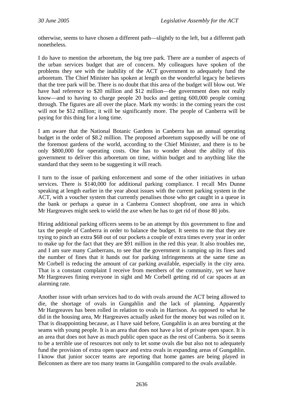otherwise, seems to have chosen a different path—slightly to the left, but a different path nonetheless.

I do have to mention the arboretum, the big tree park. There are a number of aspects of the urban services budget that are of concern. My colleagues have spoken of the problems they see with the inability of the ACT government to adequately fund the arboretum. The Chief Minister has spoken at length on the wonderful legacy he believes that the tree park will be. There is no doubt that this area of the budget will blow out. We have had reference to \$20 million and \$12 million—the government does not really know—and to having to charge people 20 bucks and getting 600,000 people coming through. The figures are all over the place. Mark my words: in the coming years the cost will not be \$12 million; it will be significantly more. The people of Canberra will be paying for this thing for a long time.

I am aware that the National Botanic Gardens in Canberra has an annual operating budget in the order of \$8.2 million. The proposed arboretum supposedly will be one of the foremost gardens of the world, according to the Chief Minister, and there is to be only \$800,000 for operating costs. One has to wonder about the ability of this government to deliver this arboretum on time, within budget and to anything like the standard that they seem to be suggesting it will reach.

I turn to the issue of parking enforcement and some of the other initiatives in urban services. There is \$140,000 for additional parking compliance. I recall Mrs Dunne speaking at length earlier in the year about issues with the current parking system in the ACT, with a voucher system that currently penalises those who get caught in a queue in the bank or perhaps a queue in a Canberra Connect shopfront, one area in which Mr Hargreaves might seek to wield the axe when he has to get rid of those 80 jobs.

Hiring additional parking officers seems to be an attempt by this government to fine and tax the people of Canberra in order to balance the budget. It seems to me that they are trying to pinch an extra \$68 out of our pockets a couple of extra times every year in order to make up for the fact that they are \$91 million in the red this year. It also troubles me, and I am sure many Canberrans, to see that the government is ramping up its fines and the number of fines that it hands out for parking infringements at the same time as Mr Corbell is reducing the amount of car parking available, especially in the city area. That is a constant complaint I receive from members of the community, yet we have Mr Hargreaves fining everyone in sight and Mr Corbell getting rid of car spaces at an alarming rate.

Another issue with urban services had to do with ovals around the ACT being allowed to die, the shortage of ovals in Gungahlin and the lack of planning. Apparently Mr Hargreaves has been rolled in relation to ovals in Harrison. As opposed to what he did in the housing area, Mr Hargreaves actually asked for the money but was rolled on it. That is disappointing because, as I have said before, Gungahlin is an area bursting at the seams with young people. It is an area that does not have a lot of private open space. It is an area that does not have as much public open space as the rest of Canberra. So it seems to be a terrible use of resources not only to let some ovals die but also not to adequately fund the provision of extra open space and extra ovals in expanding areas of Gungahlin. I know that junior soccer teams are reporting that home games are being played in Belconnen as there are too many teams in Gungahlin compared to the ovals available.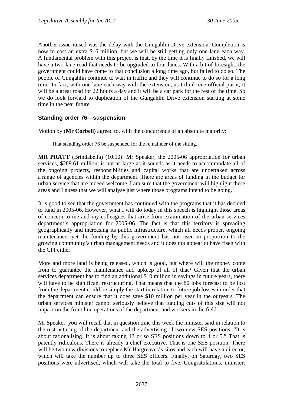Another issue raised was the delay with the Gungahlin Drive extension. Completion is now to cost an extra \$16 million, but we will be still getting only one lane each way. A fundamental problem with this project is that, by the time it is finally finished, we will have a two-lane road that needs to be upgraded to four lanes. With a bit of foresight, the government could have come to that conclusion a long time ago, but failed to do so. The people of Gungahlin continue to wait in traffic and they will continue to do so for a long time. In fact, with one lane each way with the extension, as I think one official put it, it will be a great road for 22 hours a day and it will be a car park for the rest of the time. So we do look forward to duplication of the Gungahlin Drive extension starting at some time in the near future.

## **Standing order 76—suspension**

Motion by (**Mr Corbell**) agreed to, with the concurrence of an absolute majority:

That standing order 76 be suspended for the remainder of the sitting.

**MR PRATT** (Brindabella) (10.50): Mr Speaker, the 2005-06 appropriation for urban services, \$289.61 million, is not as large as it sounds as it needs to accommodate all of the ongoing projects, responsibilities and capital works that are undertaken across a range of agencies within the department. There are areas of funding in the budget for urban service that are indeed welcome. I am sure that the government will highlight these areas and I guess that we will analyse just where those programs intend to be going.

It is good to see that the government has continued with the programs that it has decided to fund in 2005-06. However, what I will do today in this speech is highlight those areas of concern to me and my colleagues that arise from examination of the urban services department's appropriation for 2005-06. The fact is that this territory is spreading geographically and increasing its public infrastructure, which all needs proper, ongoing maintenance, yet the funding by this government has not risen in proportion to the growing community's urban management needs and it does not appear to have risen with the CPI either.

More and more land is being released, which is good, but where will the money come from to guarantee the maintenance and upkeep of all of that? Given that the urban services department has to find an additional \$10 million in savings in future years, there will have to be significant restructuring. That means that the 80 jobs forecast to be lost from the department could be simply the start in relation to future job losses in order that the department can ensure that it does save \$10 million per year in the outyears. The urban services minister cannot seriously believe that funding cuts of this size will not impact on the front line operations of the department and workers in the field.

Mr Speaker, you will recall that in question time this week the minister said in relation to the restructuring of the department and the advertising of two new SES positions, "It is about rationalising. It is about taking 13 or so SES positions down to 4 or 5." That is patently ridiculous. There is already a chief executive. That is one SES position. There will be two new divisions to replace Mr Hargreaves's silos and each will have a director, which will take the number up to three SES officers. Finally, on Saturday, two SES positions were advertised, which will take the total to five. Congratulations, minister: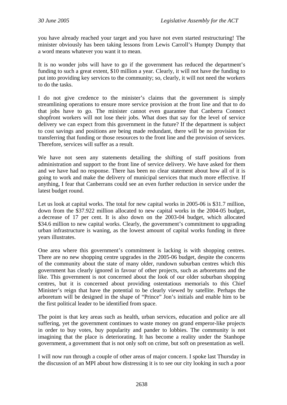you have already reached your target and you have not even started restructuring! The minister obviously has been taking lessons from Lewis Carroll's Humpty Dumpty that a word means whatever you want it to mean.

It is no wonder jobs will have to go if the government has reduced the department's funding to such a great extent, \$10 million a year. Clearly, it will not have the funding to put into providing key services to the community; so, clearly, it will not need the workers to do the tasks.

I do not give credence to the minister's claims that the government is simply streamlining operations to ensure more service provision at the front line and that to do that jobs have to go. The minister cannot even guarantee that Canberra Connect shopfront workers will not lose their jobs. What does that say for the level of service delivery we can expect from this government in the future? If the department is subject to cost savings and positions are being made redundant, there will be no provision for transferring that funding or those resources to the front line and the provision of services. Therefore, services will suffer as a result.

We have not seen any statements detailing the shifting of staff positions from administration and support to the front line of service delivery. We have asked for them and we have had no response. There has been no clear statement about how all of it is going to work and make the delivery of municipal services that much more effective. If anything, I fear that Canberrans could see an even further reduction in service under the latest budget round.

Let us look at capital works. The total for new capital works in 2005-06 is \$31.7 million, down from the \$37.922 million allocated to new capital works in the 2004-05 budget, a decrease of 17 per cent. It is also down on the 2003-04 budget, which allocated \$34.6 million to new capital works. Clearly, the government's commitment to upgrading urban infrastructure is waning, as the lowest amount of capital works funding in three years illustrates.

One area where this government's commitment is lacking is with shopping centres. There are no new shopping centre upgrades in the 2005-06 budget, despite the concerns of the community about the state of many older, rundown suburban centres which this government has clearly ignored in favour of other projects, such as arboretums and the like. This government is not concerned about the look of our older suburban shopping centres, but it is concerned about providing ostentatious memorials to this Chief Minister's reign that have the potential to be clearly viewed by satellite. Perhaps the arboretum will be designed in the shape of "Prince" Jon's initials and enable him to be the first political leader to be identified from space.

The point is that key areas such as health, urban services, education and police are all suffering, yet the government continues to waste money on grand emperor-like projects in order to buy votes, buy popularity and pander to lobbies. The community is not imagining that the place is deteriorating. It has become a reality under the Stanhope government, a government that is not only soft on crime, but soft on presentation as well.

I will now run through a couple of other areas of major concern. I spoke last Thursday in the discussion of an MPI about how distressing it is to see our city looking in such a poor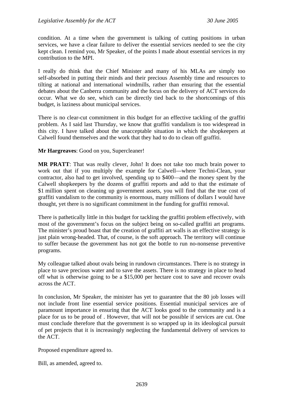condition. At a time when the government is talking of cutting positions in urban services, we have a clear failure to deliver the essential services needed to see the city kept clean. I remind you, Mr Speaker, of the points I made about essential services in my contribution to the MPI.

I really do think that the Chief Minister and many of his MLAs are simply too self-absorbed in putting their minds and their precious Assembly time and resources to tilting at national and international windmills, rather than ensuring that the essential debates about the Canberra community and the focus on the delivery of ACT services do occur. What we do see, which can be directly tied back to the shortcomings of this budget, is laziness about municipal services.

There is no clear-cut commitment in this budget for an effective tackling of the graffiti problem. As I said last Thursday, we know that graffiti vandalism is too widespread in this city. I have talked about the unacceptable situation in which the shopkeepers at Calwell found themselves and the work that they had to do to clean off graffiti.

**Mr Hargreaves**: Good on you, Supercleaner!

**MR PRATT**: That was really clever, John! It does not take too much brain power to work out that if you multiply the example for Calwell—where Techni-Clean, your contractor, also had to get involved, spending up to \$400—and the money spent by the Calwell shopkeepers by the dozens of graffiti reports and add to that the estimate of \$1 million spent on cleaning up government assets, you will find that the true cost of graffiti vandalism to the community is enormous, many millions of dollars I would have thought, yet there is no significant commitment in the funding for graffiti removal.

There is pathetically little in this budget for tackling the graffiti problem effectively, with most of the government's focus on the subject being on so-called graffiti art programs. The minister's proud boast that the creation of graffiti art walls is an effective strategy is just plain wrong-headed. That, of course, is the soft approach. The territory will continue to suffer because the government has not got the bottle to run no-nonsense preventive programs.

My colleague talked about ovals being in rundown circumstances. There is no strategy in place to save precious water and to save the assets. There is no strategy in place to head off what is otherwise going to be a \$15,000 per hectare cost to save and recover ovals across the ACT.

In conclusion, Mr Speaker, the minister has yet to guarantee that the 80 job losses will not include front line essential service positions. Essential municipal services are of paramount importance in ensuring that the ACT looks good to the community and is a place for us to be proud of . However, that will not be possible if services are cut. One must conclude therefore that the government is so wrapped up in its ideological pursuit of pet projects that it is increasingly neglecting the fundamental delivery of services to the ACT.

Proposed expenditure agreed to.

Bill, as amended, agreed to.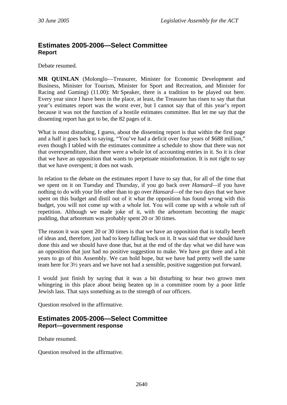# **Estimates 2005-2006—Select Committee Report**

Debate resumed.

**MR QUINLAN** (Molonglo—Treasurer, Minister for Economic Development and Business, Minister for Tourism, Minister for Sport and Recreation, and Minister for Racing and Gaming) (11.00): Mr Speaker, there is a tradition to be played out here. Every year since I have been in the place, at least, the Treasurer has risen to say that that year's estimates report was the worst ever, but I cannot say that of this year's report because it was not the function of a hostile estimates committee. But let me say that the dissenting report has got to be, the 82 pages of it.

What is most disturbing, I guess, about the dissenting report is that within the first page and a half it goes back to saying, "You've had a deficit over four years of \$688 million," even though I tabled with the estimates committee a schedule to show that there was not that overexpenditure, that there were a whole lot of accounting entries in it. So it is clear that we have an opposition that wants to perpetuate misinformation. It is not right to say that we have overspent; it does not wash.

In relation to the debate on the estimates report I have to say that, for all of the time that we spent on it on Tuesday and Thursday, if you go back over *Hansard—*if you have nothing to do with your life other than to go over *Hansard*—of the two days that we have spent on this budget and distil out of it what the opposition has found wrong with this budget, you will not come up with a whole lot. You will come up with a whole raft of repetition. Although we made joke of it, with the arboretum becoming the magic pudding, that arboretum was probably spent 20 or 30 times.

The reason it was spent 20 or 30 times is that we have an opposition that is totally bereft of ideas and, therefore, just had to keep falling back on it. It was said that we should have done this and we should have done that, but at the end of the day what we did have was an opposition that just had no positive suggestion to make. We have got three and a bit years to go of this Assembly. We can hold hope, but we have had pretty well the same team here for 3½ years and we have not had a sensible, positive suggestion put forward.

I would just finish by saying that it was a bit disturbing to hear two grown men whingeing in this place about being beaten up in a committee room by a poor little Jewish lass. That says something as to the strength of our officers.

Question resolved in the affirmative.

## **Estimates 2005-2006—Select Committee Report—government response**

Debate resumed.

Question resolved in the affirmative.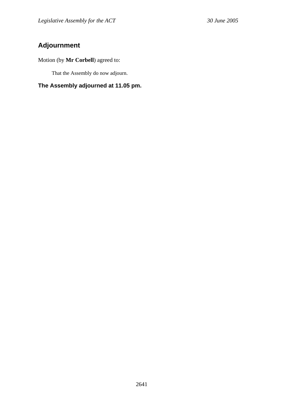# **Adjournment**

# Motion (by **Mr Corbell**) agreed to:

That the Assembly do now adjourn.

# **The Assembly adjourned at 11.05 pm.**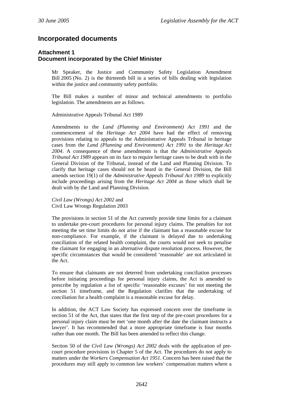# **Incorporated documents**

#### **Attachment 1 Document incorporated by the Chief Minister**

Mr Speaker, the Justice and Community Safety Legislation Amendment Bill 2005 (No. 2) is the thirteenth bill in a series of bills dealing with legislation within the justice and community safety portfolio.

The Bill makes a number of minor and technical amendments to portfolio legislation. The amendments are as follows.

Administrative Appeals Tribunal Act 1989

Amendments to the *Land (Planning and Environment) Act 1991* and the commencement of the *Heritage Act 2004* have had the effect of removing provisions relating to appeals to the Administrative Appeals Tribunal in heritage cases from the *Land (Planning and Environment) Act 1991* to the *Heritage Act 2004*. A consequence of these amendments is that the *Administrative Appeals Tribunal Act 1989* appears on its face to require heritage cases to be dealt with in the General Division of the Tribunal, instead of the Land and Planning Division. To clarify that heritage cases should not be heard in the General Division, the Bill amends section 19(1) of the *Administrative Appeals Tribunal Act 1989* to explicitly include proceedings arising from the *Heritage Act 2004* as those which shall be dealt with by the Land and Planning Division*.*

*Civil Law (Wrongs) Act 2002* and Civil Law Wrongs Regulation 2003

The provisions in section 51 of the Act currently provide time limits for a claimant to undertake pre-court procedures for personal injury claims. The penalties for not meeting the set time limits do not arise if the claimant has a reasonable excuse for non-compliance. For example, if the claimant is delayed due to undertaking conciliation of the related health complaint, the courts would not seek to penalise the claimant for engaging in an alternative dispute resolution process. However, the specific circumstances that would be considered 'reasonable' are not articulated in the Act.

To ensure that claimants are not deterred from undertaking conciliation processes before initiating proceedings for personal injury claims, the Act is amended to prescribe by regulation a list of specific 'reasonable excuses' for not meeting the section 51 timeframe, and the Regulation clarifies that the undertaking of conciliation for a health complaint is a reasonable excuse for delay.

In addition, the ACT Law Society has expressed concern over the timeframe in section 51 of the Act, that states that the first step of the pre-court procedures for a personal injury claim must be met 'one month after the date the claimant instructs a lawyer'. It has recommended that a more appropriate timeframe is four months rather than one month. The Bill has been amended to reflect this change.

Section 50 of the *Civil Law (Wrongs) Act 2002* deals with the application of precourt procedure provisions in Chapter 5 of the Act. The procedures do not apply to matters under the *Workers Compensation Act 1951*. Concern has been raised that the procedures may still apply to common law workers' compensation matters where a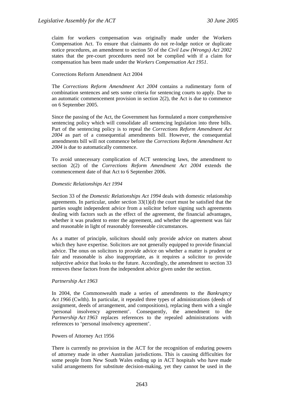claim for workers compensation was originally made under the Workers Compensation Act. To ensure that claimants do not re-lodge notice or duplicate notice procedures, an amendment to section 50 of the *Civil Law (Wrongs) Act 2002* states that the pre-court procedures need not be complied with if a claim for compensation has been made under the *Workers Compensation Act 1951*.

# Corrections Reform Amendment Act 2004

The *Corrections Reform Amendment Act 2004* contains a rudimentary form of combination sentences and sets some criteria for sentencing courts to apply. Due to an automatic commencement provision in section  $2(2)$ , the Act is due to commence on 6 September 2005.

Since the passing of the Act, the Government has formulated a more comprehensive sentencing policy which will consolidate all sentencing legislation into three bills. Part of the sentencing policy is to repeal the *Corrections Reform Amendment Act 2004* as part of a consequential amendments bill. However, the consequential amendments bill will not commence before the *Corrections Reform Amendment Act 2004* is due to automatically commence.

To avoid unnecessary complication of ACT sentencing laws, the amendment to section 2(2) of the *Corrections Reform Amendment Act 2004* extends the commencement date of that Act to 6 September 2006.

# *Domestic Relationships Act 1994*

Section 33 of the *Domestic Relationships Act 1994* deals with domestic relationship agreements. In particular, under section  $33(1)(d)$  the court must be satisfied that the parties sought independent advice from a solicitor before signing such agreements dealing with factors such as the effect of the agreement, the financial advantages, whether it was prudent to enter the agreement, and whether the agreement was fair and reasonable in light of reasonably foreseeable circumstances.

As a matter of principle, solicitors should only provide advice on matters about which they have expertise. Solicitors are not generally equipped to provide financial advice. The onus on solicitors to provide advice on whether a matter is prudent or fair and reasonable is also inappropriate, as it requires a solicitor to provide subjective advice that looks to the future. Accordingly, the amendment to section 33 removes these factors from the independent advice given under the section.

#### *Partnership Act 1963*

In 2004, the Commonwealth made a series of amendments to the *Bankruptcy Act 1966* (Cwlth). In particular, it repealed three types of administrations (deeds of assignment, deeds of arrangement, and compositions), replacing them with a single 'personal insolvency agreement'. Consequently, the amendment to the *Partnership Act 1963* replaces references to the repealed administrations with references to 'personal insolvency agreement'.

#### Powers of Attorney Act 1956

There is currently no provision in the ACT for the recognition of enduring powers of attorney made in other Australian jurisdictions. This is causing difficulties for some people from New South Wales ending up in ACT hospitals who have made valid arrangements for substitute decision-making, yet they cannot be used in the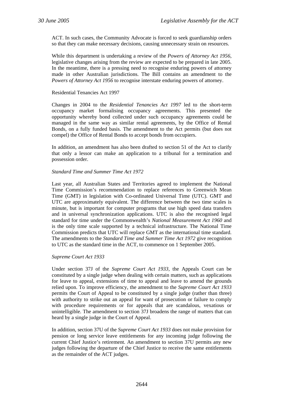ACT. In such cases, the Community Advocate is forced to seek guardianship orders so that they can make necessary decisions, causing unnecessary strain on resources.

While this department is undertaking a review of the *Powers of Attorney Act 1956*, legislative changes arising from the review are expected to be prepared in late 2005. In the meantime, there is a pressing need to recognise enduring powers of attorney made in other Australian jurisdictions. The Bill contains an amendment to the *Powers of Attorney Act 1956* to recognise interstate enduring powers of attorney.

### Residential Tenancies Act 1997

Changes in 2004 to the *Residential Tenancies Act 1997* led to the short-term occupancy market formalising occupancy agreements. This presented the opportunity whereby bond collected under such occupancy agreements could be managed in the same way as similar rental agreements, by the Office of Rental Bonds, on a fully funded basis. The amendment to the Act permits (but does not compel) the Office of Rental Bonds to accept bonds from occupiers.

In addition, an amendment has also been drafted to section 51 of the Act to clarify that only a lessor can make an application to a tribunal for a termination and possession order.

# *Standard Time and Summer Time Act 1972*

Last year, all Australian States and Territories agreed to implement the National Time Commission's recommendation to replace references to Greenwich Mean Time (GMT) in legislation with Co-ordinated Universal Time (UTC). GMT and UTC are approximately equivalent. The difference between the two time scales is minute, but is important for computer programs that use high speed data transfers and in universal synchronization applications. UTC is also the recognised legal standard for time under the Commonwealth's *National Measurement Act 1960* and is the only time scale supported by a technical infrastructure. The National Time Commission predicts that UTC will replace GMT as the international time standard. The amendments to the *Standard Time and Summer Time Act 1972* give recognition to UTC as the standard time in the ACT, to commence on 1 September 2005.

#### *Supreme Court Act 1933*

Under section 37J of the *Supreme Court Act 1933,* the Appeals Court can be constituted by a single judge when dealing with certain matters, such as applications for leave to appeal, extensions of time to appeal and leave to amend the grounds relied upon. To improve efficiency, the amendment to the *Supreme Court Act 1933*  permits the Court of Appeal to be constituted by a single judge (rather than three) with authority to strike out an appeal for want of prosecution or failure to comply with procedure requirements or for appeals that are scandalous, vexatious or unintelligible. The amendment to section 37J broadens the range of matters that can heard by a single judge in the Court of Appeal.

In addition, section 37U of the *Supreme Court Act 1933* does not make provision for pension or long service leave entitlements for any incoming judge following the current Chief Justice's retirement. An amendment to section 37U permits any new judges following the departure of the Chief Justice to receive the same entitlements as the remainder of the ACT judges.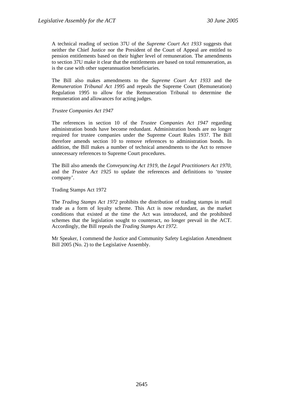A technical reading of section 37U of the *Supreme Court Act 1933* suggests that neither the Chief Justice nor the President of the Court of Appeal are entitled to pension entitlements based on their higher level of remuneration. The amendments to section 37U make it clear that the entitlements are based on total remuneration, as is the case with other superannuation beneficiaries.

The Bill also makes amendments to the *Supreme Court Act 1933* and the *Remuneration Tribunal Act 1995* and repeals the Supreme Court (Remuneration) Regulation 1995 to allow for the Remuneration Tribunal to determine the remuneration and allowances for acting judges.

# *Trustee Companies Act 1947*

The references in section 10 of the *Trustee Companies Act 1947* regarding administration bonds have become redundant. Administration bonds are no longer required for trustee companies under the Supreme Court Rules 1937. The Bill therefore amends section 10 to remove references to administration bonds. In addition, the Bill makes a number of technical amendments to the Act to remove unnecessary references to Supreme Court procedures.

The Bill also amends the *Conveyancing Act 1919*, the *Legal Practitioners Act 1970,*  and the *Trustee Act 1925* to update the references and definitions to 'trustee company'.

Trading Stamps Act 1972

The *Trading Stamps Act 1972* prohibits the distribution of trading stamps in retail trade as a form of loyalty scheme. This Act is now redundant, as the market conditions that existed at the time the Act was introduced, and the prohibited schemes that the legislation sought to counteract, no longer prevail in the ACT. Accordingly, the Bill repeals the *Trading Stamps Act 1972*.

Mr Speaker, I commend the Justice and Community Safety Legislation Amendment Bill 2005 (No. 2) to the Legislative Assembly.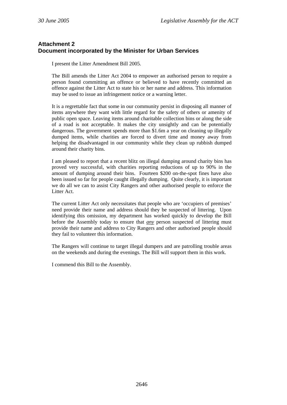# **Attachment 2 Document incorporated by the Minister for Urban Services**

I present the Litter Amendment Bill 2005.

The Bill amends the Litter Act 2004 to empower an authorised person to require a person found committing an offence or believed to have recently committed an offence against the Litter Act to state his or her name and address. This information may be used to issue an infringement notice or a warning letter.

It is a regrettable fact that some in our community persist in disposing all manner of items anywhere they want with little regard for the safety of others or amenity of public open space. Leaving items around charitable collection bins or along the side of a road is not acceptable. It makes the city unsightly and can be potentially dangerous. The government spends more than \$1.6m a year on cleaning up illegally dumped items, while charities are forced to divert time and money away from helping the disadvantaged in our community while they clean up rubbish dumped around their charity bins.

I am pleased to report that a recent blitz on illegal dumping around charity bins has proved very successful, with charities reporting reductions of up to 90% in the amount of dumping around their bins. Fourteen \$200 on-the-spot fines have also been issued so far for people caught illegally dumping. Quite clearly, it is important we do all we can to assist City Rangers and other authorised people to enforce the Litter Act.

The current Litter Act only necessitates that people who are 'occupiers of premises' need provide their name and address should they be suspected of littering. Upon identifying this omission, my department has worked quickly to develop the Bill before the Assembly today to ensure that *any* person suspected of littering must provide their name and address to City Rangers and other authorised people should they fail to volunteer this information.

The Rangers will continue to target illegal dumpers and are patrolling trouble areas on the weekends and during the evenings. The Bill will support them in this work.

I commend this Bill to the Assembly.